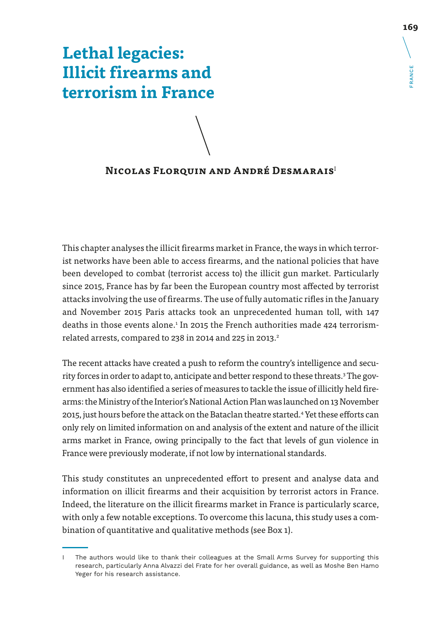# **Lethal legacies: Illicit firearms and terrorism in France**

## **Nicolas Florquin and André Desmarais**<sup>I</sup>

This chapter analyses the illicit firearms market in France, the ways in which terrorist networks have been able to access firearms, and the national policies that have been developed to combat (terrorist access to) the illicit gun market. Particularly since 2015, France has by far been the European country most affected by terrorist attacks involving the use of firearms. The use of fully automatic rifles in the January and November 2015 Paris attacks took an unprecedented human toll, with 147 deaths in those events alone.<sup>1</sup> In 2015 the French authorities made 424 terrorismrelated arrests, compared to 238 in 2014 and 225 in 2013. $2$ 

The recent attacks have created a push to reform the country's intelligence and security forces in order to adapt to, anticipate and better respond to these threats.<sup>3</sup> The government has also identified a series of measures to tackle the issue of illicitly held firearms: the Ministry of the Interior's National Action Plan was launched on 13 November 2015, just hours before the attack on the Bataclan theatre started.<sup>4</sup> Yet these efforts can only rely on limited information on and analysis of the extent and nature of the illicit arms market in France, owing principally to the fact that levels of gun violence in France were previously moderate, if not low by international standards.

This study constitutes an unprecedented effort to present and analyse data and information on illicit firearms and their acquisition by terrorist actors in France. Indeed, the literature on the illicit firearms market in France is particularly scarce, with only a few notable exceptions. To overcome this lacuna, this study uses a combination of quantitative and qualitative methods (see Box 1).

FRANCE

I The authors would like to thank their colleagues at the Small Arms Survey for supporting this research, particularly Anna Alvazzi del Frate for her overall guidance, as well as Moshe Ben Hamo Yeger for his research assistance.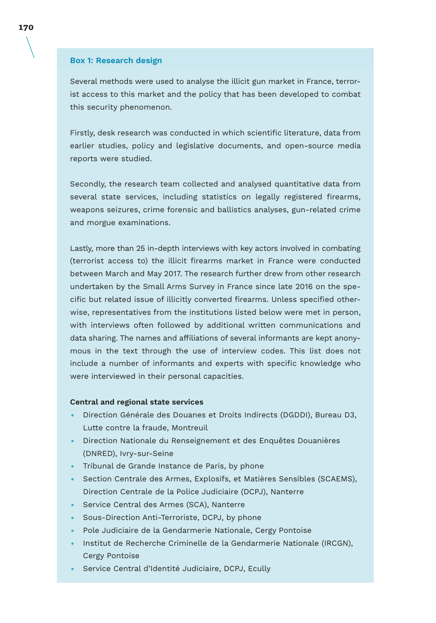#### **Box 1: Research design**

Several methods were used to analyse the illicit gun market in France, terrorist access to this market and the policy that has been developed to combat this security phenomenon.

Firstly, desk research was conducted in which scientific literature, data from earlier studies, policy and legislative documents, and open-source media reports were studied.

Secondly, the research team collected and analysed quantitative data from several state services, including statistics on legally registered firearms, weapons seizures, crime forensic and ballistics analyses, gun-related crime and morgue examinations.

Lastly, more than 25 in-depth interviews with key actors involved in combating (terrorist access to) the illicit firearms market in France were conducted between March and May 2017. The research further drew from other research undertaken by the Small Arms Survey in France since late 2016 on the specific but related issue of illicitly converted firearms. Unless specified otherwise, representatives from the institutions listed below were met in person, with interviews often followed by additional written communications and data sharing. The names and affiliations of several informants are kept anonymous in the text through the use of interview codes. This list does not include a number of informants and experts with specific knowledge who were interviewed in their personal capacities.

#### **Central and regional state services**

- Direction Générale des Douanes et Droits Indirects (DGDDI), Bureau D3, Lutte contre la fraude, Montreuil
- Direction Nationale du Renseignement et des Enquêtes Douanières (DNRED), Ivry-sur-Seine
- Tribunal de Grande Instance de Paris, by phone
- Section Centrale des Armes, Explosifs, et Matières Sensibles (SCAEMS), Direction Centrale de la Police Judiciaire (DCPJ), Nanterre
- Service Central des Armes (SCA), Nanterre
- Sous-Direction Anti-Terroriste, DCPJ, by phone
- Pole Judiciaire de la Gendarmerie Nationale, Cergy Pontoise
- Institut de Recherche Criminelle de la Gendarmerie Nationale (IRCGN), Cergy Pontoise
- Service Central d'Identité Judiciaire, DCPJ, Ecully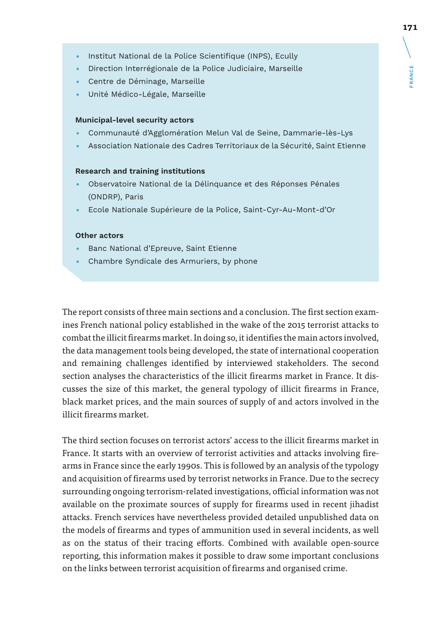- Institut National de la Police Scientifique (INPS), Ecully
- Direction Interrégionale de la Police Judiciaire, Marseille
- Centre de Déminage, Marseille
- Unité Médico-Légale, Marseille

#### **Municipal-level security actors**

- Communauté d'Agglomération Melun Val de Seine, Dammarie-lès-Lys
- Association Nationale des Cadres Territoriaux de la Sécurité, Saint Etienne

#### **Research and training institutions**

- Observatoire National de la Délinquance et des Réponses Pénales (ONDRP), Paris
- Ecole Nationale Supérieure de la Police, Saint-Cyr-Au-Mont-d'Or

#### **Other actors**

- Banc National d'Epreuve, Saint Etienne
- Chambre Syndicale des Armuriers, by phone

The report consists of three main sections and a conclusion. The first section examines French national policy established in the wake of the 2015 terrorist attacks to combat the illicit firearms market. In doing so, it identifies the main actors involved, the data management tools being developed, the state of international cooperation and remaining challenges identified by interviewed stakeholders. The second section analyses the characteristics of the illicit firearms market in France. It discusses the size of this market, the general typology of illicit firearms in France, black market prices, and the main sources of supply of and actors involved in the illicit firearms market.

The third section focuses on terrorist actors' access to the illicit firearms market in France. It starts with an overview of terrorist activities and attacks involving firearms in France since the early 1990s. This is followed by an analysis of the typology and acquisition of firearms used by terrorist networks in France. Due to the secrecy surrounding ongoing terrorism-related investigations, official information was not available on the proximate sources of supply for firearms used in recent jihadist attacks. French services have nevertheless provided detailed unpublished data on the models of firearms and types of ammunition used in several incidents, as well as on the status of their tracing efforts. Combined with available open-source reporting, this information makes it possible to draw some important conclusions on the links between terrorist acquisition of firearms and organised crime.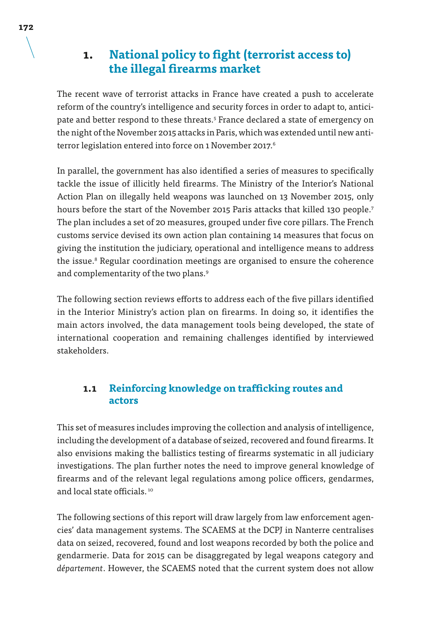## **1. National policy to fight (terrorist access to) the illegal firearms market**

The recent wave of terrorist attacks in France have created a push to accelerate reform of the country's intelligence and security forces in order to adapt to, anticipate and better respond to these threats.<sup>5</sup> France declared a state of emergency on the night of the November 2015 attacks in Paris, which was extended until new antiterror legislation entered into force on 1 November 2017.<sup>6</sup>

In parallel, the government has also identified a series of measures to specifically tackle the issue of illicitly held firearms. The Ministry of the Interior's National Action Plan on illegally held weapons was launched on 13 November 2015, only hours before the start of the November 2015 Paris attacks that killed 130 people.<sup>7</sup> The plan includes a set of 20 measures, grouped under five core pillars. The French customs service devised its own action plan containing 14 measures that focus on giving the institution the judiciary, operational and intelligence means to address the issue.<sup>8</sup> Regular coordination meetings are organised to ensure the coherence and complementarity of the two plans.<sup>9</sup>

The following section reviews efforts to address each of the five pillars identified in the Interior Ministry's action plan on firearms. In doing so, it identifies the main actors involved, the data management tools being developed, the state of international cooperation and remaining challenges identified by interviewed stakeholders.

### **1.1 Reinforcing knowledge on trafficking routes and actors**

This set of measures includes improving the collection and analysis of intelligence, including the development of a database of seized, recovered and found firearms. It also envisions making the ballistics testing of firearms systematic in all judiciary investigations. The plan further notes the need to improve general knowledge of firearms and of the relevant legal regulations among police officers, gendarmes, and local state officials.<sup>10</sup>

The following sections of this report will draw largely from law enforcement agencies' data management systems. The SCAEMS at the DCPJ in Nanterre centralises data on seized, recovered, found and lost weapons recorded by both the police and gendarmerie. Data for 2015 can be disaggregated by legal weapons category and *département*. However, the SCAEMS noted that the current system does not allow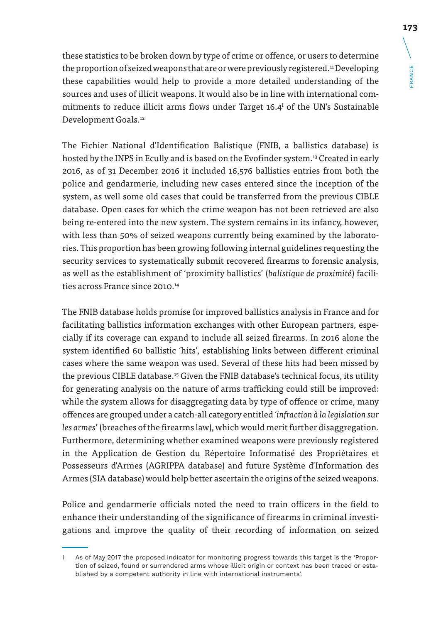these statistics to be broken down by type of crime or offence, or users to determine the proportion of seized weapons that are or were previously registered.<sup>11</sup> Developing these capabilities would help to provide a more detailed understanding of the sources and uses of illicit weapons. It would also be in line with international commitments to reduce illicit arms flows under Target 16.4 $^{\text{I}}$  of the UN's Sustainable Development Goals.<sup>12</sup>

The Fichier National d'Identification Balistique (FNIB, a ballistics database) is hosted by the INPS in Ecully and is based on the Evofinder system.13 Created in early 2016, as of 31 December 2016 it included 16,576 ballistics entries from both the police and gendarmerie, including new cases entered since the inception of the system, as well some old cases that could be transferred from the previous CIBLE database. Open cases for which the crime weapon has not been retrieved are also being re-entered into the new system. The system remains in its infancy, however, with less than 50% of seized weapons currently being examined by the laboratories. This proportion has been growing following internal guidelines requesting the security services to systematically submit recovered firearms to forensic analysis, as well as the establishment of 'proximity ballistics' (*balistique de proximité*) facilities across France since 2010.<sup>14</sup>

The FNIB database holds promise for improved ballistics analysis in France and for facilitating ballistics information exchanges with other European partners, especially if its coverage can expand to include all seized firearms. In 2016 alone the system identified 60 ballistic 'hits', establishing links between different criminal cases where the same weapon was used. Several of these hits had been missed by the previous CIBLE database.15 Given the FNIB database's technical focus, its utility for generating analysis on the nature of arms trafficking could still be improved: while the system allows for disaggregating data by type of offence or crime, many offences are grouped under a catch-all category entitled '*infraction à la legislation sur les armes*' (breaches of the firearms law), which would merit further disaggregation. Furthermore, determining whether examined weapons were previously registered in the Application de Gestion du Répertoire Informatisé des Propriétaires et Possesseurs d'Armes (AGRIPPA database) and future Système d'Information des Armes (SIA database) would help better ascertain the origins of the seized weapons.

Police and gendarmerie officials noted the need to train officers in the field to enhance their understanding of the significance of firearms in criminal investigations and improve the quality of their recording of information on seized

I As of May 2017 the proposed indicator for monitoring progress towards this target is the 'Proportion of seized, found or surrendered arms whose illicit origin or context has been traced or established by a competent authority in line with international instruments'.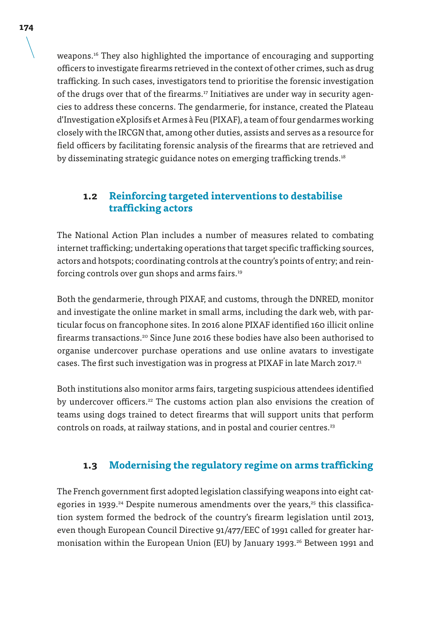weapons.16 They also highlighted the importance of encouraging and supporting officers to investigate firearms retrieved in the context of other crimes, such as drug trafficking. In such cases, investigators tend to prioritise the forensic investigation of the drugs over that of the firearms.<sup>17</sup> Initiatives are under way in security agencies to address these concerns. The gendarmerie, for instance, created the Plateau d'Investigation eXplosifs et Armes à Feu (PIXAF), a team of four gendarmes working closely with the IRCGN that, among other duties, assists and serves as a resource for field officers by facilitating forensic analysis of the firearms that are retrieved and by disseminating strategic guidance notes on emerging trafficking trends.<sup>18</sup>

### **1.2 Reinforcing targeted interventions to destabilise trafficking actors**

The National Action Plan includes a number of measures related to combating internet trafficking; undertaking operations that target specific trafficking sources, actors and hotspots; coordinating controls at the country's points of entry; and reinforcing controls over gun shops and arms fairs.19

Both the gendarmerie, through PIXAF, and customs, through the DNRED, monitor and investigate the online market in small arms, including the dark web, with particular focus on francophone sites. In 2016 alone PIXAF identified 160 illicit online firearms transactions.<sup>20</sup> Since June 2016 these bodies have also been authorised to organise undercover purchase operations and use online avatars to investigate cases. The first such investigation was in progress at PIXAF in late March 2017.<sup>21</sup>

Both institutions also monitor arms fairs, targeting suspicious attendees identified by undercover officers.<sup>22</sup> The customs action plan also envisions the creation of teams using dogs trained to detect firearms that will support units that perform controls on roads, at railway stations, and in postal and courier centres.<sup>23</sup>

### **1.3 Modernising the regulatory regime on arms trafficking**

The French government first adopted legislation classifying weapons into eight categories in 1939.<sup>24</sup> Despite numerous amendments over the years,<sup>25</sup> this classification system formed the bedrock of the country's firearm legislation until 2013, even though European Council Directive 91/477/EEC of 1991 called for greater harmonisation within the European Union (EU) by January 1993.<sup>26</sup> Between 1991 and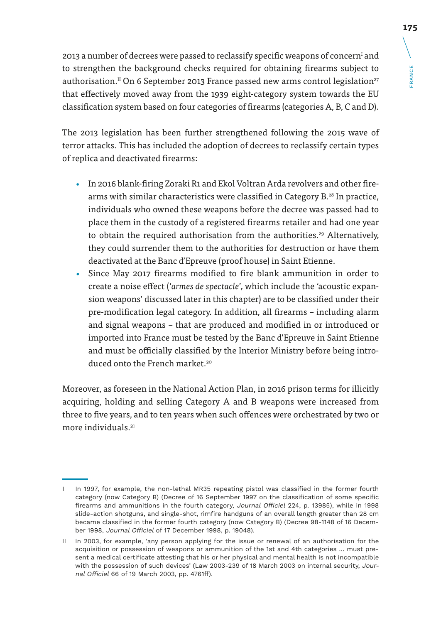2013 a number of decrees were passed to reclassify specific weapons of concern<sup>1</sup> and to strengthen the background checks required for obtaining firearms subject to authorisation.<sup>II</sup> On 6 September 2013 France passed new arms control legislation<sup>27</sup> that effectively moved away from the 1939 eight-category system towards the EU classification system based on four categories of firearms (categories A, B, C and D).

The 2013 legislation has been further strengthened following the 2015 wave of terror attacks. This has included the adoption of decrees to reclassify certain types of replica and deactivated firearms:

- In 2016 blank-firing Zoraki R1 and Ekol Voltran Arda revolvers and other firearms with similar characteristics were classified in Category B.<sup>28</sup> In practice, individuals who owned these weapons before the decree was passed had to place them in the custody of a registered firearms retailer and had one year to obtain the required authorisation from the authorities.<sup>29</sup> Alternatively, they could surrender them to the authorities for destruction or have them deactivated at the Banc d'Epreuve (proof house) in Saint Etienne.
- Since May 2017 firearms modified to fire blank ammunition in order to create a noise effect ('*armes de spectacle*', which include the 'acoustic expansion weapons' discussed later in this chapter) are to be classified under their pre-modification legal category. In addition, all firearms – including alarm and signal weapons – that are produced and modified in or introduced or imported into France must be tested by the Banc d'Epreuve in Saint Etienne and must be officially classified by the Interior Ministry before being introduced onto the French market.<sup>30</sup>

Moreover, as foreseen in the National Action Plan, in 2016 prison terms for illicitly acquiring, holding and selling Category A and B weapons were increased from three to five years, and to ten years when such offences were orchestrated by two or more individuals.<sup>31</sup>

**175**

I In 1997, for example, the non-lethal MR35 repeating pistol was classified in the former fourth category (now Category B) (Decree of 16 September 1997 on the classification of some specific firearms and ammunitions in the fourth category, Journal Officiel 224, p. 13985), while in 1998 slide-action shotguns, and single-shot, rimfire handguns of an overall length greater than 28 cm became classified in the former fourth category (now Category B) (Decree 98-1148 of 16 December 1998, Journal Officiel of 17 December 1998, p. 19048).

II In 2003, for example, 'any person applying for the issue or renewal of an authorisation for the acquisition or possession of weapons or ammunition of the 1st and 4th categories … must present a medical certificate attesting that his or her physical and mental health is not incompatible with the possession of such devices' (Law 2003-239 of 18 March 2003 on internal security, Journal Officiel 66 of 19 March 2003, pp. 4761ff).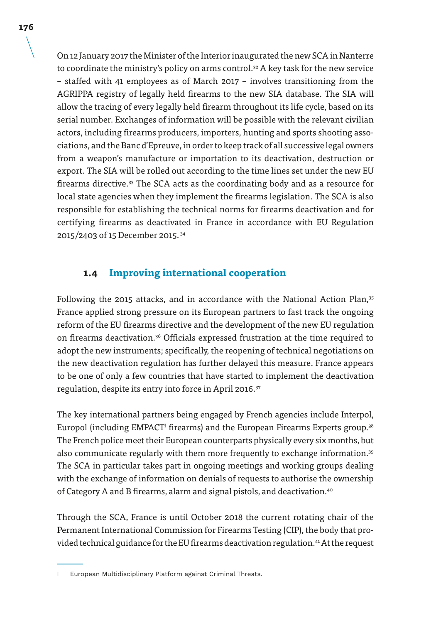On 12 January 2017 the Minister of the Interior inaugurated the new SCA in Nanterre to coordinate the ministry's policy on arms control.<sup>32</sup> A key task for the new service – staffed with 41 employees as of March 2017 – involves transitioning from the AGRIPPA registry of legally held firearms to the new SIA database. The SIA will allow the tracing of every legally held firearm throughout its life cycle, based on its serial number. Exchanges of information will be possible with the relevant civilian actors, including firearms producers, importers, hunting and sports shooting associations, and the Banc d'Epreuve, in order to keep track of all successive legal owners from a weapon's manufacture or importation to its deactivation, destruction or export. The SIA will be rolled out according to the time lines set under the new EU firearms directive.<sup>33</sup> The SCA acts as the coordinating body and as a resource for local state agencies when they implement the firearms legislation. The SCA is also responsible for establishing the technical norms for firearms deactivation and for certifying firearms as deactivated in France in accordance with EU Regulation 2015/2403 of 15 December 2015. 34

### **1.4 Improving international cooperation**

Following the 2015 attacks, and in accordance with the National Action Plan,<sup>35</sup> France applied strong pressure on its European partners to fast track the ongoing reform of the EU firearms directive and the development of the new EU regulation on firearms deactivation.36 Officials expressed frustration at the time required to adopt the new instruments; specifically, the reopening of technical negotiations on the new deactivation regulation has further delayed this measure. France appears to be one of only a few countries that have started to implement the deactivation regulation, despite its entry into force in April 2016.<sup>37</sup>

The key international partners being engaged by French agencies include Interpol, Europol (including EMPACT $^{\mathrm{I}}$  firearms) and the European Firearms Experts group. $^{\text{36}}$ The French police meet their European counterparts physically every six months, but also communicate regularly with them more frequently to exchange information.39 The SCA in particular takes part in ongoing meetings and working groups dealing with the exchange of information on denials of requests to authorise the ownership of Category A and B firearms, alarm and signal pistols, and deactivation.40

Through the SCA, France is until October 2018 the current rotating chair of the Permanent International Commission for Firearms Testing (CIP), the body that provided technical guidance for the EU firearms deactivation regulation.<sup>41</sup> At the request

I European Multidisciplinary Platform against Criminal Threats.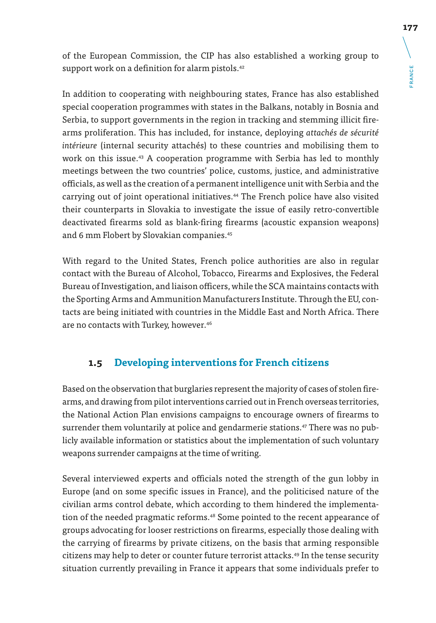of the European Commission, the CIP has also established a working group to support work on a definition for alarm pistols.<sup>42</sup>

In addition to cooperating with neighbouring states, France has also established special cooperation programmes with states in the Balkans, notably in Bosnia and Serbia, to support governments in the region in tracking and stemming illicit firearms proliferation. This has included, for instance, deploying *attachés de sécurité intérieure* (internal security attachés) to these countries and mobilising them to work on this issue.<sup>43</sup> A cooperation programme with Serbia has led to monthly meetings between the two countries' police, customs, justice, and administrative officials, as well as the creation of a permanent intelligence unit with Serbia and the carrying out of joint operational initiatives.44 The French police have also visited their counterparts in Slovakia to investigate the issue of easily retro-convertible deactivated firearms sold as blank-firing firearms (acoustic expansion weapons) and 6 mm Flobert by Slovakian companies.<sup>45</sup>

With regard to the United States, French police authorities are also in regular contact with the Bureau of Alcohol, Tobacco, Firearms and Explosives, the Federal Bureau of Investigation, and liaison officers, while the SCA maintains contacts with the Sporting Arms and Ammunition Manufacturers Institute. Through the EU, contacts are being initiated with countries in the Middle East and North Africa. There are no contacts with Turkey, however.<sup>46</sup>

## **1.5 Developing interventions for French citizens**

Based on the observation that burglaries represent the majority of cases of stolen firearms, and drawing from pilot interventions carried out in French overseas territories, the National Action Plan envisions campaigns to encourage owners of firearms to surrender them voluntarily at police and gendarmerie stations.<sup>47</sup> There was no publicly available information or statistics about the implementation of such voluntary weapons surrender campaigns at the time of writing.

Several interviewed experts and officials noted the strength of the gun lobby in Europe (and on some specific issues in France), and the politicised nature of the civilian arms control debate, which according to them hindered the implementation of the needed pragmatic reforms.<sup>48</sup> Some pointed to the recent appearance of groups advocating for looser restrictions on firearms, especially those dealing with the carrying of firearms by private citizens, on the basis that arming responsible citizens may help to deter or counter future terrorist attacks.<sup>49</sup> In the tense security situation currently prevailing in France it appears that some individuals prefer to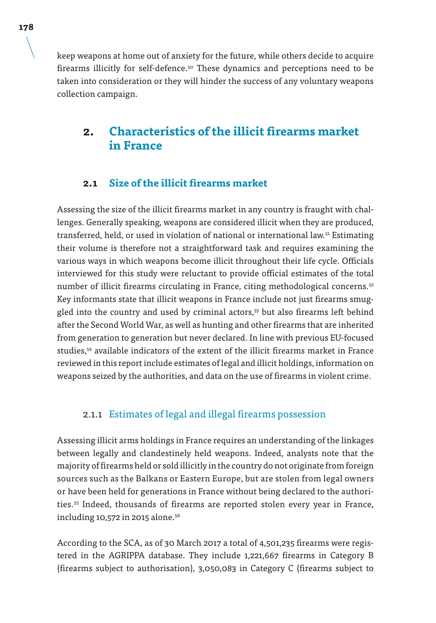keep weapons at home out of anxiety for the future, while others decide to acquire firearms illicitly for self-defence.50 These dynamics and perceptions need to be taken into consideration or they will hinder the success of any voluntary weapons collection campaign.

## **2. Characteristics of the illicit firearms market in France**

### **2.1 Size of the illicit firearms market**

Assessing the size of the illicit firearms market in any country is fraught with challenges. Generally speaking, weapons are considered illicit when they are produced, transferred, held, or used in violation of national or international law.<sup>51</sup> Estimating their volume is therefore not a straightforward task and requires examining the various ways in which weapons become illicit throughout their life cycle. Officials interviewed for this study were reluctant to provide official estimates of the total number of illicit firearms circulating in France, citing methodological concerns.<sup>52</sup> Key informants state that illicit weapons in France include not just firearms smuggled into the country and used by criminal actors,53 but also firearms left behind after the Second World War, as well as hunting and other firearms that are inherited from generation to generation but never declared. In line with previous EU-focused studies,54 available indicators of the extent of the illicit firearms market in France reviewed in this report include estimates of legal and illicit holdings, information on weapons seized by the authorities, and data on the use of firearms in violent crime.

### 2.1.1 Estimates of legal and illegal firearms possession

Assessing illicit arms holdings in France requires an understanding of the linkages between legally and clandestinely held weapons. Indeed, analysts note that the majority of firearms held or sold illicitly in the country do not originate from foreign sources such as the Balkans or Eastern Europe, but are stolen from legal owners or have been held for generations in France without being declared to the authorities.55 Indeed, thousands of firearms are reported stolen every year in France, including 10,572 in 2015 alone.<sup>56</sup>

According to the SCA, as of 30 March 2017 a total of 4,501,235 firearms were registered in the AGRIPPA database. They include 1,221,667 firearms in Category B (firearms subject to authorisation), 3,050,083 in Category C (firearms subject to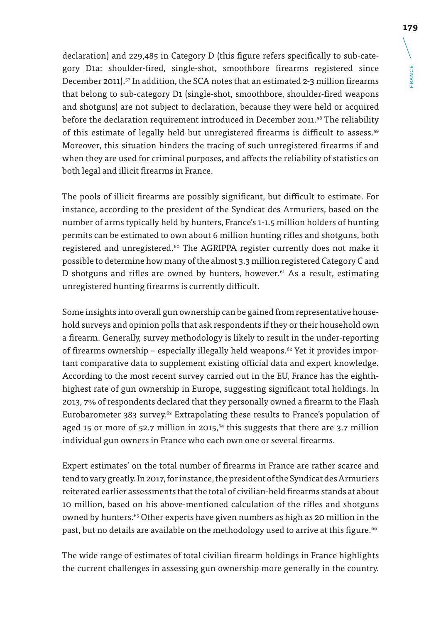declaration) and 229,485 in Category D (this figure refers specifically to sub-category D1a: shoulder-fired, single-shot, smoothbore firearms registered since December 2011).<sup>57</sup> In addition, the SCA notes that an estimated 2-3 million firearms that belong to sub-category D1 (single-shot, smoothbore, shoulder-fired weapons and shotguns) are not subject to declaration, because they were held or acquired before the declaration requirement introduced in December 2011.<sup>58</sup> The reliability of this estimate of legally held but unregistered firearms is difficult to assess.59 Moreover, this situation hinders the tracing of such unregistered firearms if and when they are used for criminal purposes, and affects the reliability of statistics on both legal and illicit firearms in France.

The pools of illicit firearms are possibly significant, but difficult to estimate. For instance, according to the president of the Syndicat des Armuriers, based on the number of arms typically held by hunters, France's 1-1.5 million holders of hunting permits can be estimated to own about 6 million hunting rifles and shotguns, both registered and unregistered.<sup>60</sup> The AGRIPPA register currently does not make it possible to determine how many of the almost 3.3 million registered Category C and D shotguns and rifles are owned by hunters, however.<sup>61</sup> As a result, estimating unregistered hunting firearms is currently difficult.

Some insights into overall gun ownership can be gained from representative household surveys and opinion polls that ask respondents if they or their household own a firearm. Generally, survey methodology is likely to result in the under-reporting of firearms ownership – especially illegally held weapons.<sup> $62$ </sup> Yet it provides important comparative data to supplement existing official data and expert knowledge. According to the most recent survey carried out in the EU, France has the eighthhighest rate of gun ownership in Europe, suggesting significant total holdings. In 2013, 7% of respondents declared that they personally owned a firearm to the Flash Eurobarometer 383 survey.<sup>63</sup> Extrapolating these results to France's population of aged 15 or more of 52.7 million in 2015.<sup>64</sup> this suggests that there are 3.7 million individual gun owners in France who each own one or several firearms.

Expert estimates' on the total number of firearms in France are rather scarce and tend to vary greatly. In 2017, for instance, the president of the Syndicat des Armuriers reiterated earlier assessments that the total of civilian-held firearms stands at about 10 million, based on his above-mentioned calculation of the rifles and shotguns owned by hunters.<sup>65</sup> Other experts have given numbers as high as 20 million in the past, but no details are available on the methodology used to arrive at this figure.<sup>66</sup>

The wide range of estimates of total civilian firearm holdings in France highlights the current challenges in assessing gun ownership more generally in the country.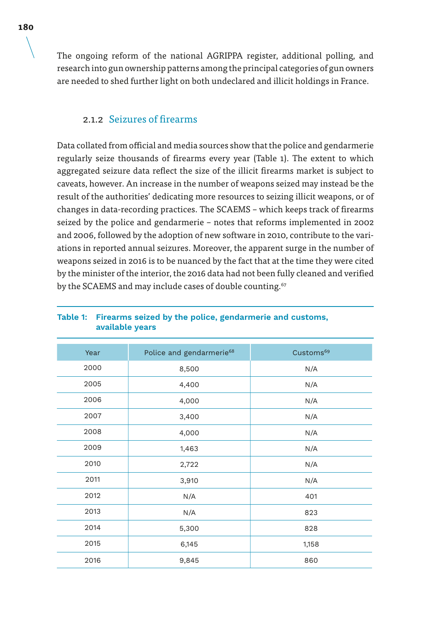The ongoing reform of the national AGRIPPA register, additional polling, and research into gun ownership patterns among the principal categories of gun owners are needed to shed further light on both undeclared and illicit holdings in France.

### 2.1.2 Seizures of firearms

Data collated from official and media sources show that the police and gendarmerie regularly seize thousands of firearms every year (Table 1). The extent to which aggregated seizure data reflect the size of the illicit firearms market is subject to caveats, however. An increase in the number of weapons seized may instead be the result of the authorities' dedicating more resources to seizing illicit weapons, or of changes in data-recording practices. The SCAEMS – which keeps track of firearms seized by the police and gendarmerie – notes that reforms implemented in 2002 and 2006, followed by the adoption of new software in 2010, contribute to the variations in reported annual seizures. Moreover, the apparent surge in the number of weapons seized in 2016 is to be nuanced by the fact that at the time they were cited by the minister of the interior, the 2016 data had not been fully cleaned and verified by the SCAEMS and may include cases of double counting.<sup>67</sup>

| Year | Police and gendarmerie <sup>68</sup> | Customs <sup>69</sup> |
|------|--------------------------------------|-----------------------|
| 2000 | 8,500                                | N/A                   |
| 2005 | 4,400                                | N/A                   |
| 2006 | 4,000                                | N/A                   |
| 2007 | 3,400                                | N/A                   |
| 2008 | 4,000                                | N/A                   |
| 2009 | 1,463                                | N/A                   |
| 2010 | 2,722                                | N/A                   |
| 2011 | 3,910                                | N/A                   |
| 2012 | N/A                                  | 401                   |
| 2013 | N/A                                  | 823                   |
| 2014 | 5,300                                | 828                   |
| 2015 | 6,145                                | 1,158                 |
| 2016 | 9,845                                | 860                   |

#### **Table 1: Firearms seized by the police, gendarmerie and customs, available years**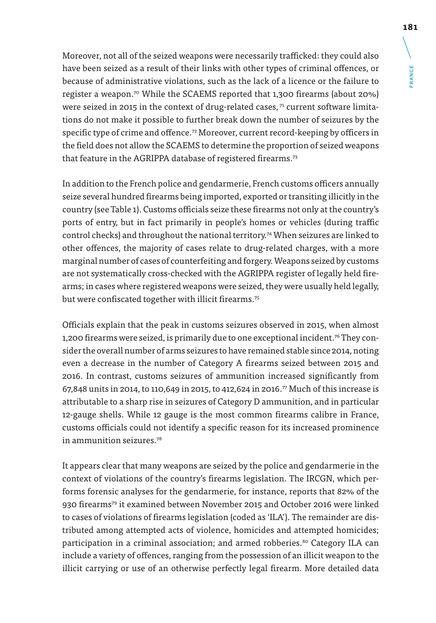Moreover, not all of the seized weapons were necessarily trafficked: they could also have been seized as a result of their links with other types of criminal offences, or because of administrative violations, such as the lack of a licence or the failure to register a weapon.70 While the SCAEMS reported that 1,300 firearms (about 20%) were seized in 2015 in the context of drug-related cases,  $71$  current software limitations do not make it possible to further break down the number of seizures by the specific type of crime and offence.<sup>72</sup> Moreover, current record-keeping by officers in the field does not allow the SCAEMS to determine the proportion of seized weapons that feature in the AGRIPPA database of registered firearms.<sup>73</sup>

In addition to the French police and gendarmerie, French customs officers annually seize several hundred firearms being imported, exported or transiting illicitly in the country (see Table 1). Customs officials seize these firearms not only at the country's ports of entry, but in fact primarily in people's homes or vehicles (during traffic control checks) and throughout the national territory.74 When seizures are linked to other offences, the majority of cases relate to drug-related charges, with a more marginal number of cases of counterfeiting and forgery. Weapons seized by customs are not systematically cross-checked with the AGRIPPA register of legally held firearms; in cases where registered weapons were seized, they were usually held legally, but were confiscated together with illicit firearms.<sup>75</sup>

Officials explain that the peak in customs seizures observed in 2015, when almost 1,200 firearms were seized, is primarily due to one exceptional incident.<sup>76</sup> They consider the overall number of arms seizures to have remained stable since 2014, noting even a decrease in the number of Category A firearms seized between 2015 and 2016. In contrast, customs seizures of ammunition increased significantly from 67,848 units in 2014, to 110,649 in 2015, to 412,624 in 2016.77 Much of this increase is attributable to a sharp rise in seizures of Category D ammunition, and in particular 12-gauge shells. While 12 gauge is the most common firearms calibre in France, customs officials could not identify a specific reason for its increased prominence in ammunition seizures.78

It appears clear that many weapons are seized by the police and gendarmerie in the context of violations of the country's firearms legislation. The IRCGN, which performs forensic analyses for the gendarmerie, for instance, reports that 82% of the 930 firearms79 it examined between November 2015 and October 2016 were linked to cases of violations of firearms legislation (coded as 'ILA'). The remainder are distributed among attempted acts of violence, homicides and attempted homicides; participation in a criminal association; and armed robberies.<sup>80</sup> Category ILA can include a variety of offences, ranging from the possession of an illicit weapon to the illicit carrying or use of an otherwise perfectly legal firearm. More detailed data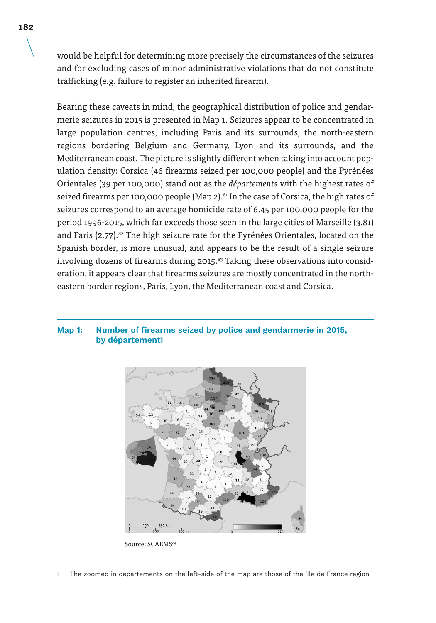would be helpful for determining more precisely the circumstances of the seizures and for excluding cases of minor administrative violations that do not constitute trafficking (e.g. failure to register an inherited firearm).

Bearing these caveats in mind, the geographical distribution of police and gendarmerie seizures in 2015 is presented in Map 1. Seizures appear to be concentrated in large population centres, including Paris and its surrounds, the north-eastern regions bordering Belgium and Germany, Lyon and its surrounds, and the Mediterranean coast. The picture is slightly different when taking into account population density: Corsica (46 firearms seized per 100,000 people) and the Pyrénées Orientales (39 per 100,000) stand out as the *départements* with the highest rates of seized firearms per 100,000 people (Map 2).<sup>81</sup> In the case of Corsica, the high rates of seizures correspond to an average homicide rate of 6.45 per 100,000 people for the period 1996-2015, which far exceeds those seen in the large cities of Marseille (3.81) and Paris (2.77).<sup>82</sup> The high seizure rate for the Pyrénées Orientales, located on the Spanish border, is more unusual, and appears to be the result of a single seizure involving dozens of firearms during 2015.<sup>83</sup> Taking these observations into consideration, it appears clear that firearms seizures are mostly concentrated in the northeastern border regions, Paris, Lyon, the Mediterranean coast and Corsica.

#### **Map 1: Number of firearms seized by police and gendarmerie in 2015, by départementI**



Source: SCAEMS<sup>84</sup>

I The zoomed in departements on the left-side of the map are those of the 'Ile de France region'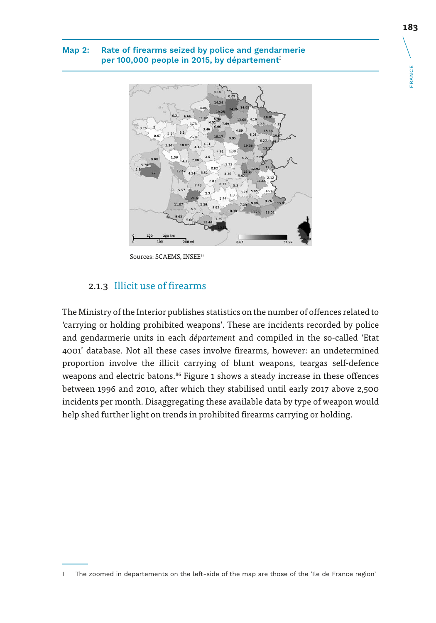#### **Map 2: Rate of firearms seized by police and gendarmerie**  per 100,000 people in 2015, by département<sup>I</sup>



Sources: SCAEMS, INSEE85

### 2.1.3 Illicit use of firearms

The Ministry of the Interior publishes statistics on the number of offences related to 'carrying or holding prohibited weapons'. These are incidents recorded by police and gendarmerie units in each *département* and compiled in the so-called 'Etat 4001' database. Not all these cases involve firearms, however: an undetermined proportion involve the illicit carrying of blunt weapons, teargas self-defence weapons and electric batons.<sup>86</sup> Figure 1 shows a steady increase in these offences between 1996 and 2010, after which they stabilised until early 2017 above 2,500 incidents per month. Disaggregating these available data by type of weapon would help shed further light on trends in prohibited firearms carrying or holding.

FRANCE

**FRANCE** 

I The zoomed in departements on the left-side of the map are those of the 'Ile de France region'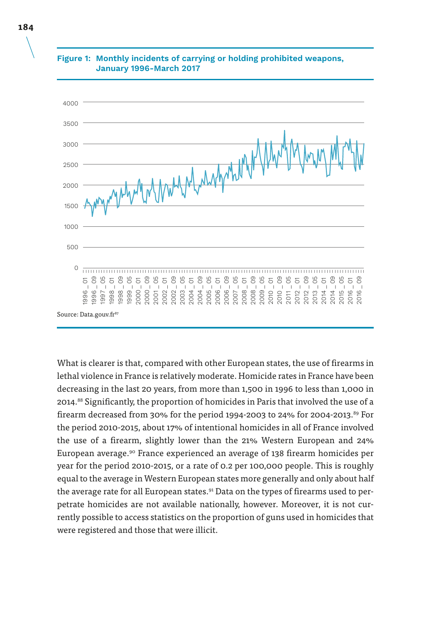

### **Figure 1: Monthly incidents of carrying or holding prohibited weapons, January 1996-March 2017**

What is clearer is that, compared with other European states, the use of firearms in lethal violence in France is relatively moderate. Homicide rates in France have been decreasing in the last 20 years, from more than 1,500 in 1996 to less than 1,000 in 2014.88 Significantly, the proportion of homicides in Paris that involved the use of a firearm decreased from 30% for the period 1994-2003 to 24% for 2004-2013.<sup>89</sup> For the period 2010-2015, about 17% of intentional homicides in all of France involved the use of a firearm, slightly lower than the 21% Western European and 24% European average.90 France experienced an average of 138 firearm homicides per year for the period 2010-2015, or a rate of 0.2 per 100,000 people. This is roughly equal to the average in Western European states more generally and only about half the average rate for all European states.<sup>91</sup> Data on the types of firearms used to perpetrate homicides are not available nationally, however. Moreover, it is not currently possible to access statistics on the proportion of guns used in homicides that were registered and those that were illicit.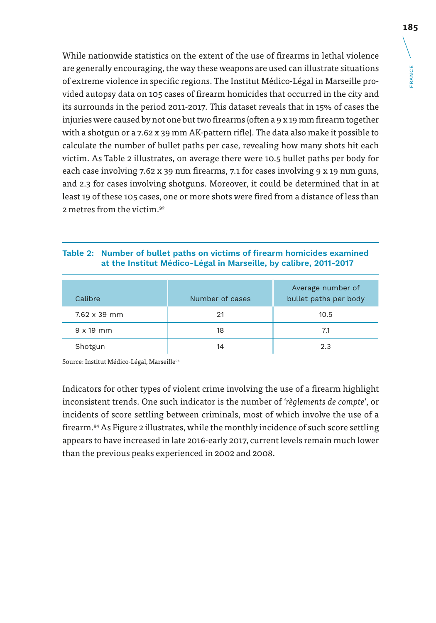**FRANCE** FRANCE

While nationwide statistics on the extent of the use of firearms in lethal violence are generally encouraging, the way these weapons are used can illustrate situations of extreme violence in specific regions. The Institut Médico-Légal in Marseille provided autopsy data on 105 cases of firearm homicides that occurred in the city and its surrounds in the period 2011-2017. This dataset reveals that in 15% of cases the injuries were caused by not one but two firearms (often a 9 x 19 mm firearm together with a shotgun or a 7.62 x 39 mm AK-pattern rifle). The data also make it possible to calculate the number of bullet paths per case, revealing how many shots hit each victim. As Table 2 illustrates, on average there were 10.5 bullet paths per body for each case involving 7.62 x 39 mm firearms, 7.1 for cases involving 9 x 19 mm guns, and 2.3 for cases involving shotguns. Moreover, it could be determined that in at least 19 of these 105 cases, one or more shots were fired from a distance of less than 2 metres from the victim.92

#### **Table 2: Number of bullet paths on victims of firearm homicides examined at the Institut Médico-Légal in Marseille, by calibre, 2011-2017**

| Calibre             | Number of cases | Average number of<br>bullet paths per body |
|---------------------|-----------------|--------------------------------------------|
| $7.62 \times 39$ mm | 21              | 10.5                                       |
| $9 \times 19$ mm    | 18              | 7.1                                        |
| Shotgun             | 14              | 2.3                                        |

Source: Institut Médico-Légal, Marseille<sup>93</sup>

Indicators for other types of violent crime involving the use of a firearm highlight inconsistent trends. One such indicator is the number of '*règlements de compte*', or incidents of score settling between criminals, most of which involve the use of a firearm.<sup>94</sup> As Figure 2 illustrates, while the monthly incidence of such score settling appears to have increased in late 2016-early 2017, current levels remain much lower than the previous peaks experienced in 2002 and 2008.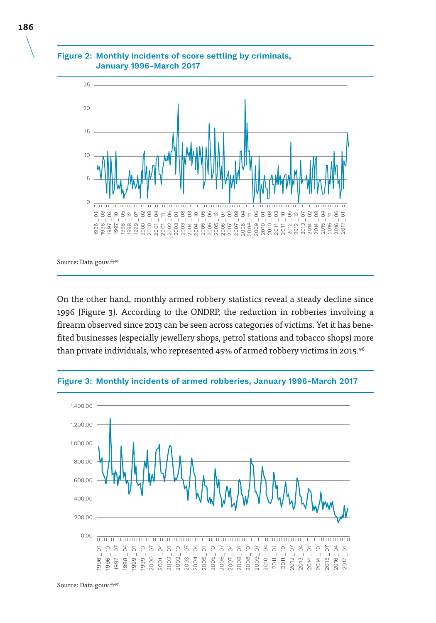

#### **Figure 2: Monthly incidents of score settling by criminals, January 1996-March 2017**

Source: Data.gouv.fr<sup>95</sup>

On the other hand, monthly armed robbery statistics reveal a steady decline since 1996 (Figure 3). According to the ONDRP, the reduction in robberies involving a firearm observed since 2013 can be seen across categories of victims. Yet it has benefited businesses (especially jewellery shops, petrol stations and tobacco shops) more than private individuals, who represented 45% of armed robbery victims in 2015.<sup>96</sup>



**Figure 3: Monthly incidents of armed robberies, January 1996-March 2017**

Source: Data.gouv.fr<sup>97</sup>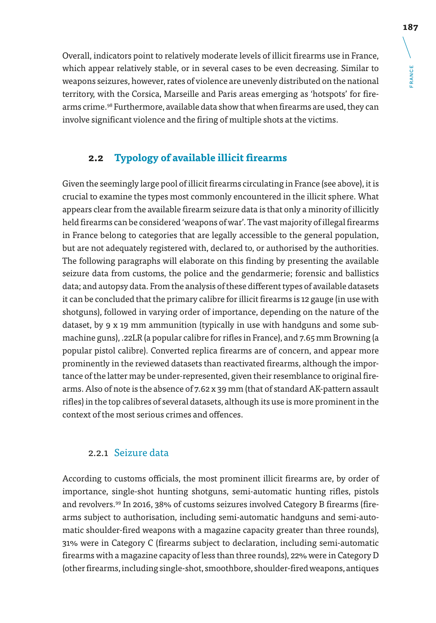**FRANCE** FRANCE

Overall, indicators point to relatively moderate levels of illicit firearms use in France, which appear relatively stable, or in several cases to be even decreasing. Similar to weapons seizures, however, rates of violence are unevenly distributed on the national territory, with the Corsica, Marseille and Paris areas emerging as 'hotspots' for firearms crime.98 Furthermore, available data show that when firearms are used, they can involve significant violence and the firing of multiple shots at the victims.

## **2.2 Typology of available illicit firearms**

Given the seemingly large pool of illicit firearms circulating in France (see above), it is crucial to examine the types most commonly encountered in the illicit sphere. What appears clear from the available firearm seizure data is that only a minority of illicitly held firearms can be considered 'weapons of war'. The vast majority of illegal firearms in France belong to categories that are legally accessible to the general population, but are not adequately registered with, declared to, or authorised by the authorities. The following paragraphs will elaborate on this finding by presenting the available seizure data from customs, the police and the gendarmerie; forensic and ballistics data; and autopsy data. From the analysis of these different types of available datasets it can be concluded that the primary calibre for illicit firearms is 12 gauge (in use with shotguns), followed in varying order of importance, depending on the nature of the dataset, by 9 x 19 mm ammunition (typically in use with handguns and some submachine guns), .22LR (a popular calibre for rifles in France), and 7.65 mm Browning (a popular pistol calibre). Converted replica firearms are of concern, and appear more prominently in the reviewed datasets than reactivated firearms, although the importance of the latter may be under-represented, given their resemblance to original firearms. Also of note is the absence of 7.62 x 39 mm (that of standard AK-pattern assault rifles) in the top calibres of several datasets, although its use is more prominent in the context of the most serious crimes and offences.

### 2.2.1 Seizure data

According to customs officials, the most prominent illicit firearms are, by order of importance, single-shot hunting shotguns, semi-automatic hunting rifles, pistols and revolvers.99 In 2016, 38% of customs seizures involved Category B firearms (firearms subject to authorisation, including semi-automatic handguns and semi-automatic shoulder-fired weapons with a magazine capacity greater than three rounds), 31% were in Category C (firearms subject to declaration, including semi-automatic firearms with a magazine capacity of less than three rounds), 22% were in Category D (other firearms, including single-shot, smoothbore, shoulder-fired weapons, antiques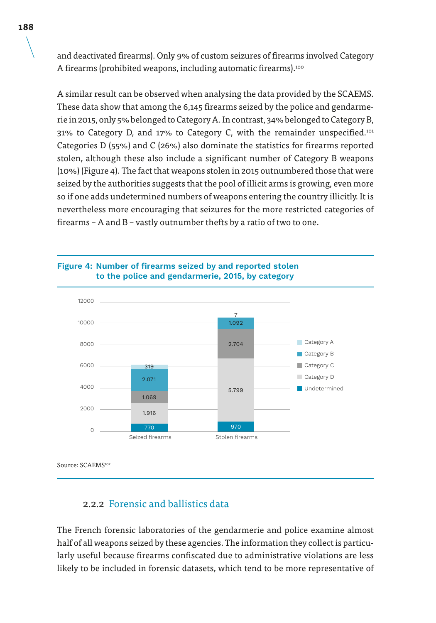and deactivated firearms). Only 9% of custom seizures of firearms involved Category A firearms (prohibited weapons, including automatic firearms).<sup>100</sup>

A similar result can be observed when analysing the data provided by the SCAEMS. These data show that among the 6,145 firearms seized by the police and gendarmerie in 2015, only 5% belonged to Category A. In contrast, 34% belonged to Category B, 31% to Category D, and 17% to Category C, with the remainder unspecified.<sup>101</sup> Categories D (55%) and C (26%) also dominate the statistics for firearms reported stolen, although these also include a significant number of Category B weapons (10%) (Figure 4). The fact that weapons stolen in 2015 outnumbered those that were seized by the authorities suggests that the pool of illicit arms is growing, even more so if one adds undetermined numbers of weapons entering the country illicitly. It is nevertheless more encouraging that seizures for the more restricted categories of firearms – A and B – vastly outnumber thefts by a ratio of two to one.



#### **Figure 4: Number of firearms seized by and reported stolen to the police and gendarmerie, 2015, by category**

Source: SCAEMS<sup>102</sup>

### 2.2.2 Forensic and ballistics data

The French forensic laboratories of the gendarmerie and police examine almost half of all weapons seized by these agencies. The information they collect is particularly useful because firearms confiscated due to administrative violations are less likely to be included in forensic datasets, which tend to be more representative of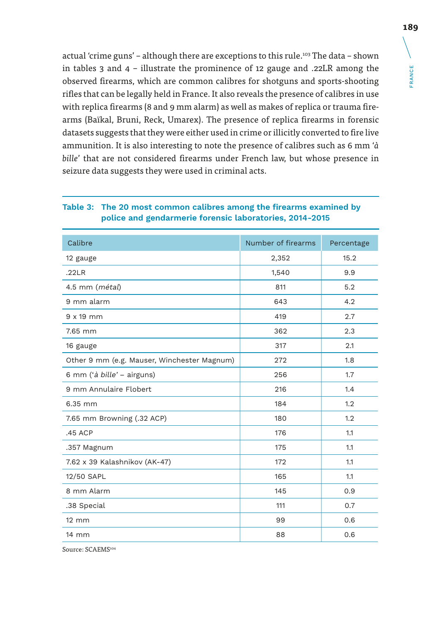actual 'crime guns' – although there are exceptions to this rule.<sup>103</sup> The data – shown in tables 3 and 4 – illustrate the prominence of 12 gauge and .22LR among the observed firearms, which are common calibres for shotguns and sports-shooting rifles that can be legally held in France. It also reveals the presence of calibres in use with replica firearms (8 and 9 mm alarm) as well as makes of replica or trauma firearms (Baïkal, Bruni, Reck, Umarex). The presence of replica firearms in forensic datasets suggests that they were either used in crime or illicitly converted to fire live ammunition. It is also interesting to note the presence of calibres such as 6 mm '*à bille*' that are not considered firearms under French law, but whose presence in seizure data suggests they were used in criminal acts.

| Calibre                                     | Number of firearms | Percentage |
|---------------------------------------------|--------------------|------------|
| 12 gauge                                    | 2,352              | 15.2       |
| .22LR                                       | 1,540              | 9.9        |
| 4.5 mm ( <i>métal</i> )                     | 811                | 5.2        |
| 9 mm alarm                                  | 643                | 4.2        |
| $9 \times 19$ mm                            | 419                | 2.7        |
| 7.65 mm                                     | 362                | 2.3        |
| 16 gauge                                    | 317                | 2.1        |
| Other 9 mm (e.g. Mauser, Winchester Magnum) | 272                | 1.8        |
| 6 mm ('à bille' – airguns)                  | 256                | 1.7        |
| 9 mm Annulaire Flobert                      | 216                | 1.4        |
| 6.35 mm                                     | 184                | 1.2        |
| 7.65 mm Browning (.32 ACP)                  | 180                | 1.2        |
| .45 ACP                                     | 176                | 1.1        |
| .357 Magnum                                 | 175                | 1.1        |
| 7.62 x 39 Kalashnikov (AK-47)               | 172                | 1.1        |
| 12/50 SAPL                                  | 165                | 1.1        |
| 8 mm Alarm                                  | 145                | 0.9        |
| .38 Special                                 | 111                | 0.7        |
| $12 \, \text{mm}$                           | 99                 | 0.6        |
| 14 mm                                       | 88                 | 0.6        |

#### **Table 3: The 20 most common calibres among the firearms examined by police and gendarmerie forensic laboratories, 2014-2015**

Source: SCAEMS104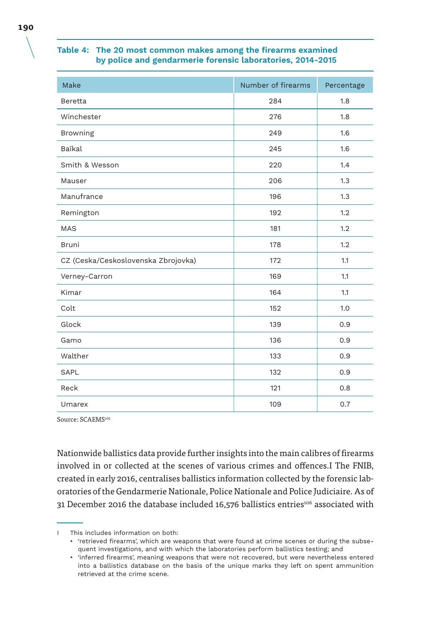#### **Table 4: The 20 most common makes among the firearms examined by police and gendarmerie forensic laboratories, 2014-2015**

| Make                                | Number of firearms | Percentage |
|-------------------------------------|--------------------|------------|
| Beretta                             | 284                | 1.8        |
| Winchester                          | 276                | 1.8        |
| Browning                            | 249                | 1.6        |
| Baïkal                              | 245                | 1.6        |
| Smith & Wesson                      | 220                | 1.4        |
| Mauser                              | 206                | 1.3        |
| Manufrance                          | 196                | 1.3        |
| Remington                           | 192                | 1.2        |
| <b>MAS</b>                          | 181                | 1.2        |
| <b>Bruni</b>                        | 178                | 1.2        |
| CZ (Ceska/Ceskoslovenska Zbrojovka) | 172                | 1.1        |
| Verney-Carron                       | 169                | 1.1        |
| Kimar                               | 164                | 1.1        |
| Colt                                | 152                | 1.0        |
| Glock                               | 139                | 0.9        |
| Gamo                                | 136                | 0.9        |
| Walther                             | 133                | 0.9        |
| SAPL                                | 132                | 0.9        |
| Reck                                | 121                | 0.8        |
| Umarex                              | 109                | 0.7        |

Source: SCAEMS105

Nationwide ballistics data provide further insights into the main calibres of firearms involved in or collected at the scenes of various crimes and offences.I The FNIB, created in early 2016, centralises ballistics information collected by the forensic laboratories of the Gendarmerie Nationale, Police Nationale and Police Judiciaire. As of 31 December 2016 the database included 16,576 ballistics entries<sup>106</sup> associated with

I This includes information on both:

<sup>•</sup> 'retrieved firearms', which are weapons that were found at crime scenes or during the subsequent investigations, and with which the laboratories perform ballistics testing; and

<sup>•</sup> 'inferred firearms', meaning weapons that were not recovered, but were nevertheless entered into a ballistics database on the basis of the unique marks they left on spent ammunition retrieved at the crime scene.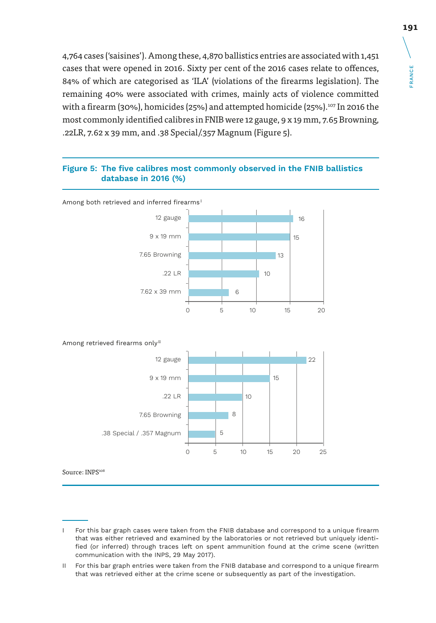4,764 cases ('saisines'). Among these, 4,870 ballistics entries are associated with 1,451 cases that were opened in 2016. Sixty per cent of the 2016 cases relate to offences, 84% of which are categorised as 'ILA' (violations of the firearms legislation). The remaining 40% were associated with crimes, mainly acts of violence committed with a firearm (30%), homicides (25%) and attempted homicide (25%).<sup>107</sup> In 2016 the most commonly identified calibres in FNIB were 12 gauge, 9 x 19 mm, 7.65 Browning, .22LR, 7.62 x 39 mm, and .38 Special/.357 Magnum (Figure 5).

#### **Figure 5: The five calibres most commonly observed in the FNIB ballistics database in 2016 (%)**



I For this bar graph cases were taken from the FNIB database and correspond to a unique firearm that was either retrieved and examined by the laboratories or not retrieved but uniquely identified (or inferred) through traces left on spent ammunition found at the crime scene (written communication with the INPS, 29 May 2017).

II For this bar graph entries were taken from the FNIB database and correspond to a unique firearm that was retrieved either at the crime scene or subsequently as part of the investigation.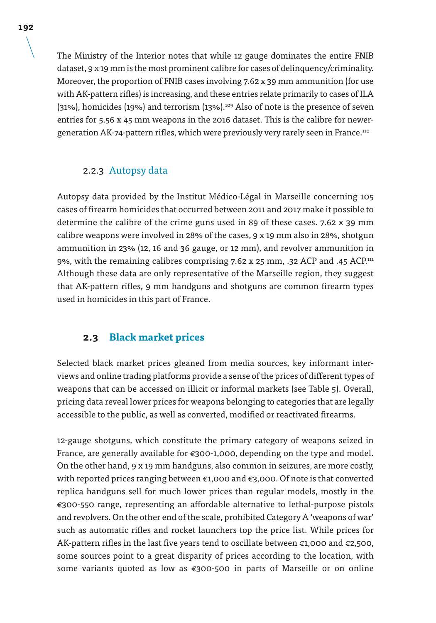The Ministry of the Interior notes that while 12 gauge dominates the entire FNIB dataset, 9 x 19 mm is the most prominent calibre for cases of delinquency/criminality. Moreover, the proportion of FNIB cases involving 7.62 x 39 mm ammunition (for use with AK-pattern rifles) is increasing, and these entries relate primarily to cases of ILA  $(31%)$ , homicides  $(19%)$  and terrorism  $(13%)$ .<sup>109</sup> Also of note is the presence of seven entries for 5.56 x 45 mm weapons in the 2016 dataset. This is the calibre for newergeneration AK-74-pattern rifles, which were previously very rarely seen in France.110

### 2.2.3 Autopsy data

Autopsy data provided by the Institut Médico-Légal in Marseille concerning 105 cases of firearm homicides that occurred between 2011 and 2017 make it possible to determine the calibre of the crime guns used in 89 of these cases. 7.62 x 39 mm calibre weapons were involved in 28% of the cases, 9 x 19 mm also in 28%, shotgun ammunition in 23% (12, 16 and 36 gauge, or 12 mm), and revolver ammunition in 9%, with the remaining calibres comprising 7.62 x 25 mm, .32 ACP and .45 ACP.111 Although these data are only representative of the Marseille region, they suggest that AK-pattern rifles, 9 mm handguns and shotguns are common firearm types used in homicides in this part of France.

### **2.3 Black market prices**

Selected black market prices gleaned from media sources, key informant interviews and online trading platforms provide a sense of the prices of different types of weapons that can be accessed on illicit or informal markets (see Table 5). Overall, pricing data reveal lower prices for weapons belonging to categories that are legally accessible to the public, as well as converted, modified or reactivated firearms.

12-gauge shotguns, which constitute the primary category of weapons seized in France, are generally available for €300-1,000, depending on the type and model. On the other hand, 9 x 19 mm handguns, also common in seizures, are more costly, with reported prices ranging between €1,000 and €3,000. Of note is that converted replica handguns sell for much lower prices than regular models, mostly in the €300-550 range, representing an affordable alternative to lethal-purpose pistols and revolvers. On the other end of the scale, prohibited Category A 'weapons of war' such as automatic rifles and rocket launchers top the price list. While prices for AK-pattern rifles in the last five years tend to oscillate between  $\epsilon$ 1,000 and  $\epsilon$ 2,500, some sources point to a great disparity of prices according to the location, with some variants quoted as low as €300-500 in parts of Marseille or on online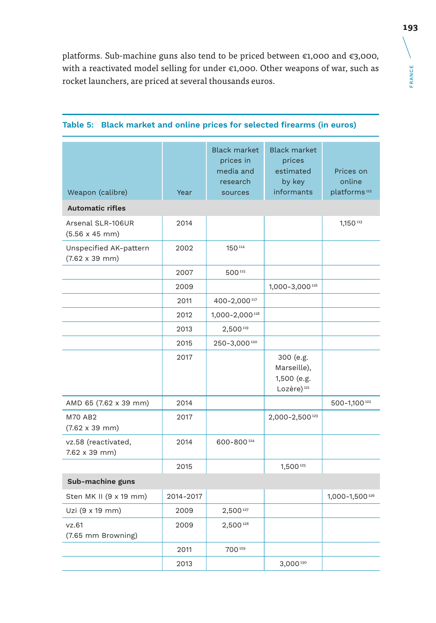platforms. Sub-machine guns also tend to be priced between €1,000 and €3,000, with a reactivated model selling for under €1,000. Other weapons of war, such as rocket launchers, are priced at several thousands euros.

| Weapon (calibre)                                        | Year      | <b>Black market</b><br>prices in<br>media and<br>research<br>sources | <b>Black market</b><br>prices<br>estimated<br>by key<br>informants | Prices on<br>online<br>platforms <sup>112</sup> |
|---------------------------------------------------------|-----------|----------------------------------------------------------------------|--------------------------------------------------------------------|-------------------------------------------------|
| <b>Automatic rifles</b>                                 |           |                                                                      |                                                                    |                                                 |
| Arsenal SLR-106UR<br>$(5.56 \times 45 \text{ mm})$      | 2014      |                                                                      |                                                                    | 1,150 113                                       |
| Unspecified AK-pattern<br>$(7.62 \times 39 \text{ mm})$ | 2002      | 150114                                                               |                                                                    |                                                 |
|                                                         | 2007      | 500115                                                               |                                                                    |                                                 |
|                                                         | 2009      |                                                                      | 1,000-3,000 116                                                    |                                                 |
|                                                         | 2011      | 400-2,000 117                                                        |                                                                    |                                                 |
|                                                         | 2012      | 1,000-2,000 118                                                      |                                                                    |                                                 |
|                                                         | 2013      | 2,500 119                                                            |                                                                    |                                                 |
|                                                         | 2015      | 250-3,000120                                                         |                                                                    |                                                 |
|                                                         | 2017      |                                                                      | 300 (e.g.<br>Marseille),<br>1,500 (e.g.<br>Lozère) <sup>121</sup>  |                                                 |
| AMD 65 (7.62 x 39 mm)                                   | 2014      |                                                                      |                                                                    | 500-1,100122                                    |
| <b>M70 AB2</b><br>$(7.62 \times 39 \text{ mm})$         | 2017      |                                                                      | 2,000-2,500123                                                     |                                                 |
| vz.58 (reactivated,<br>$7.62 \times 39$ mm)             | 2014      | 600-800124                                                           |                                                                    |                                                 |
|                                                         | 2015      |                                                                      | 1,500 125                                                          |                                                 |
| Sub-machine guns                                        |           |                                                                      |                                                                    |                                                 |
| Sten MK II (9 x 19 mm)                                  | 2014-2017 |                                                                      |                                                                    | 1,000-1,500126                                  |
| Uzi (9 x 19 mm)                                         | 2009      | 2,500127                                                             |                                                                    |                                                 |
| vz.61<br>(7.65 mm Browning)                             | 2009      | 2,500128                                                             |                                                                    |                                                 |
|                                                         | 2011      | 700129                                                               |                                                                    |                                                 |
|                                                         | 2013      |                                                                      | 3,000 130                                                          |                                                 |

### **Table 5: Black market and online prices for selected firearms (in euros)**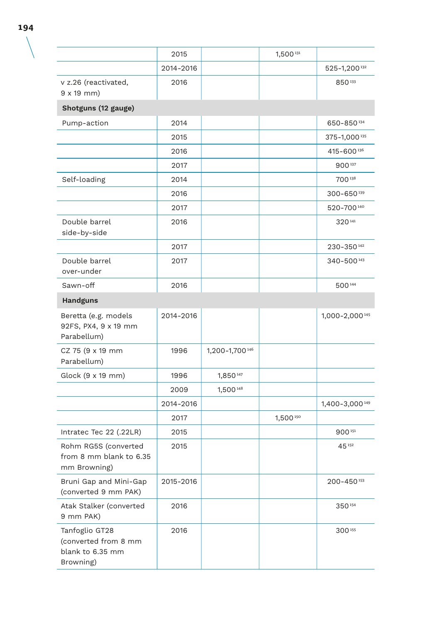|                                                                         | 2015      |                 | 1,500 131 |                            |
|-------------------------------------------------------------------------|-----------|-----------------|-----------|----------------------------|
|                                                                         | 2014-2016 |                 |           | 525-1,200 132              |
| v z.26 (reactivated,<br>$9x19$ mm)                                      | 2016      |                 |           | 850133                     |
| Shotguns (12 gauge)                                                     |           |                 |           |                            |
| Pump-action                                                             | 2014      |                 |           | 650-850 134                |
|                                                                         | 2015      |                 |           | 375-1,000 135              |
|                                                                         | 2016      |                 |           | 415-600 136                |
|                                                                         | 2017      |                 |           | 900137                     |
| Self-loading                                                            | 2014      |                 |           | 700138                     |
|                                                                         | 2016      |                 |           | 300-650139                 |
|                                                                         | 2017      |                 |           | 520-700140                 |
| Double barrel<br>side-by-side                                           | 2016      |                 |           | 320141                     |
|                                                                         | 2017      |                 |           | 230-350142                 |
| Double barrel<br>over-under                                             | 2017      |                 |           | 340-500 143                |
| Sawn-off                                                                | 2016      |                 |           | 500144                     |
| <b>Handguns</b>                                                         |           |                 |           |                            |
| Beretta (e.g. models<br>92FS, PX4, 9 x 19 mm<br>Parabellum)             | 2014-2016 |                 |           | 1,000-2,000 145            |
| CZ 75 (9 x 19 mm<br>Parabellum)                                         | 1996      | 1,200-1,700 146 |           |                            |
| Glock (9 x 19 mm)                                                       | 1996      | 1,850 147       |           |                            |
|                                                                         | 2009      | 1,500 148       |           |                            |
|                                                                         | 2014-2016 |                 |           | 1,400-3,000 149            |
|                                                                         | 2017      |                 | 1,500 150 |                            |
| Intratec Tec 22 (.22LR)                                                 | 2015      |                 |           | 900151                     |
| Rohm RG5S (converted<br>from 8 mm blank to 6.35<br>mm Browning)         | 2015      |                 |           | 45 152                     |
| Bruni Gap and Mini-Gap<br>(converted 9 mm PAK)                          | 2015-2016 |                 |           | $200 - 450$ <sup>153</sup> |
| Atak Stalker (converted<br>9 mm PAK)                                    | 2016      |                 |           | 350154                     |
| Tanfoglio GT28<br>(converted from 8 mm<br>blank to 6.35 mm<br>Browning) | 2016      |                 |           | 300155                     |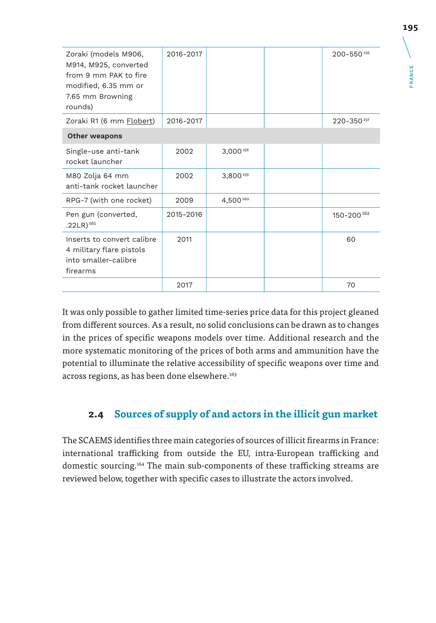| Zoraki (models M906,<br>M914, M925, converted<br>from 9 mm PAK to fire<br>modified, 6.35 mm or<br>7.65 mm Browning<br>rounds) | 2016-2017 |               | 200-550156 |
|-------------------------------------------------------------------------------------------------------------------------------|-----------|---------------|------------|
| Zoraki R1 (6 mm <b>Flobert)</b>                                                                                               | 2016-2017 |               | 220-350157 |
| <b>Other weapons</b>                                                                                                          |           |               |            |
| Single-use anti-tank<br>rocket launcher                                                                                       | 2002      | $3.000^{158}$ |            |
| M80 Zolja 64 mm<br>anti-tank rocket launcher                                                                                  | 2002      | 3,800159      |            |
| RPG-7 (with one rocket)                                                                                                       | 2009      | 4.500 160     |            |
| Pen gun (converted,<br>.22LR $)^{161}$                                                                                        | 2015-2016 |               | 150-200162 |
| Inserts to convert calibre<br>4 military flare pistols<br>into smaller-calibre<br>firearms                                    | 2011      |               | 60         |
|                                                                                                                               | 2017      |               | 70         |

It was only possible to gather limited time-series price data for this project gleaned from different sources. As a result, no solid conclusions can be drawn as to changes in the prices of specific weapons models over time. Additional research and the more systematic monitoring of the prices of both arms and ammunition have the potential to illuminate the relative accessibility of specific weapons over time and across regions, as has been done elsewhere.<sup>163</sup>

### **2.4 Sources of supply of and actors in the illicit gun market**

The SCAEMS identifies three main categories of sources of illicit firearms in France: international trafficking from outside the EU, intra-European trafficking and domestic sourcing.164 The main sub-components of these trafficking streams are reviewed below, together with specific cases to illustrate the actors involved.

FRANCE

**FRANCE**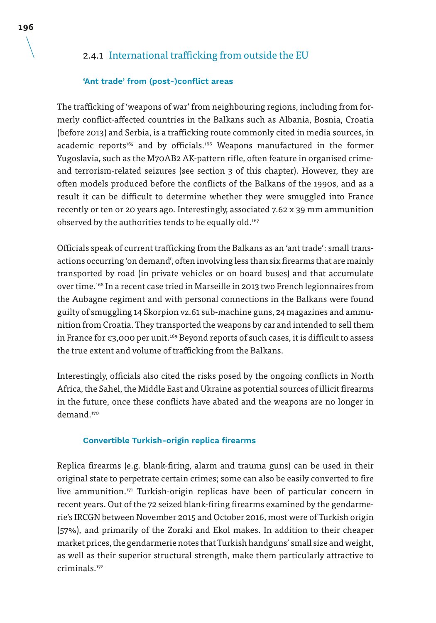### 2.4.1 International trafficking from outside the EU

#### **'Ant trade' from (post-)conflict areas**

The trafficking of 'weapons of war' from neighbouring regions, including from formerly conflict-affected countries in the Balkans such as Albania, Bosnia, Croatia (before 2013) and Serbia, is a trafficking route commonly cited in media sources, in academic reports<sup>165</sup> and by officials.<sup>166</sup> Weapons manufactured in the former Yugoslavia, such as the M70AB2 AK-pattern rifle, often feature in organised crimeand terrorism-related seizures (see section 3 of this chapter). However, they are often models produced before the conflicts of the Balkans of the 1990s, and as a result it can be difficult to determine whether they were smuggled into France recently or ten or 20 years ago. Interestingly, associated 7.62 x 39 mm ammunition observed by the authorities tends to be equally old.<sup>167</sup>

Officials speak of current trafficking from the Balkans as an 'ant trade': small transactions occurring 'on demand', often involving less than six firearms that are mainly transported by road (in private vehicles or on board buses) and that accumulate over time.168 In a recent case tried in Marseille in 2013 two French legionnaires from the Aubagne regiment and with personal connections in the Balkans were found guilty of smuggling 14 Skorpion vz.61 sub-machine guns, 24 magazines and ammunition from Croatia. They transported the weapons by car and intended to sell them in France for €3,000 per unit.169 Beyond reports of such cases, it is difficult to assess the true extent and volume of trafficking from the Balkans.

Interestingly, officials also cited the risks posed by the ongoing conflicts in North Africa, the Sahel, the Middle East and Ukraine as potential sources of illicit firearms in the future, once these conflicts have abated and the weapons are no longer in demand.<sup>170</sup>

#### **Convertible Turkish-origin replica firearms**

Replica firearms (e.g. blank-firing, alarm and trauma guns) can be used in their original state to perpetrate certain crimes; some can also be easily converted to fire live ammunition.171 Turkish-origin replicas have been of particular concern in recent years. Out of the 72 seized blank-firing firearms examined by the gendarmerie's IRCGN between November 2015 and October 2016, most were of Turkish origin (57%), and primarily of the Zoraki and Ekol makes. In addition to their cheaper market prices, the gendarmerie notes that Turkish handguns' small size and weight, as well as their superior structural strength, make them particularly attractive to criminals.172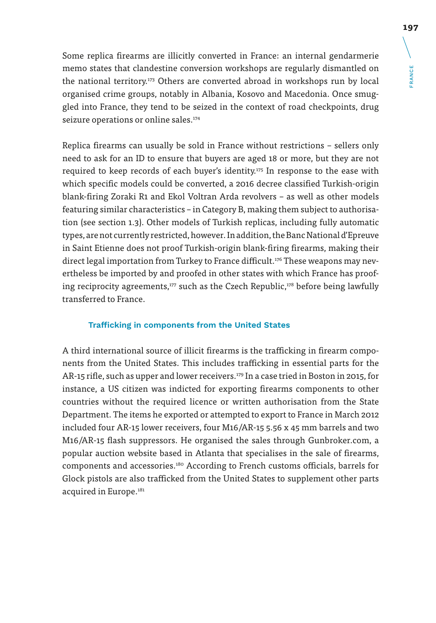Some replica firearms are illicitly converted in France: an internal gendarmerie memo states that clandestine conversion workshops are regularly dismantled on the national territory.<sup>173</sup> Others are converted abroad in workshops run by local organised crime groups, notably in Albania, Kosovo and Macedonia. Once smuggled into France, they tend to be seized in the context of road checkpoints, drug seizure operations or online sales.<sup>174</sup>

Replica firearms can usually be sold in France without restrictions – sellers only need to ask for an ID to ensure that buyers are aged 18 or more, but they are not required to keep records of each buyer's identity.<sup>175</sup> In response to the ease with which specific models could be converted, a 2016 decree classified Turkish-origin blank-firing Zoraki R1 and Ekol Voltran Arda revolvers – as well as other models featuring similar characteristics – in Category B, making them subject to authorisation (see section 1.3). Other models of Turkish replicas, including fully automatic types, are not currently restricted, however. In addition, the Banc National d'Epreuve in Saint Etienne does not proof Turkish-origin blank-firing firearms, making their direct legal importation from Turkey to France difficult.<sup>176</sup> These weapons may nevertheless be imported by and proofed in other states with which France has proofing reciprocity agreements, $177$  such as the Czech Republic, $178$  before being lawfully transferred to France.

#### **Trafficking in components from the United States**

A third international source of illicit firearms is the trafficking in firearm components from the United States. This includes trafficking in essential parts for the AR-15 rifle, such as upper and lower receivers.<sup>179</sup> In a case tried in Boston in 2015, for instance, a US citizen was indicted for exporting firearms components to other countries without the required licence or written authorisation from the State Department. The items he exported or attempted to export to France in March 2012 included four AR-15 lower receivers, four M16/AR-15 5.56 x 45 mm barrels and two M16/AR-15 flash suppressors. He organised the sales through Gunbroker.com, a popular auction website based in Atlanta that specialises in the sale of firearms, components and accessories.180 According to French customs officials, barrels for Glock pistols are also trafficked from the United States to supplement other parts acquired in Europe.<sup>181</sup>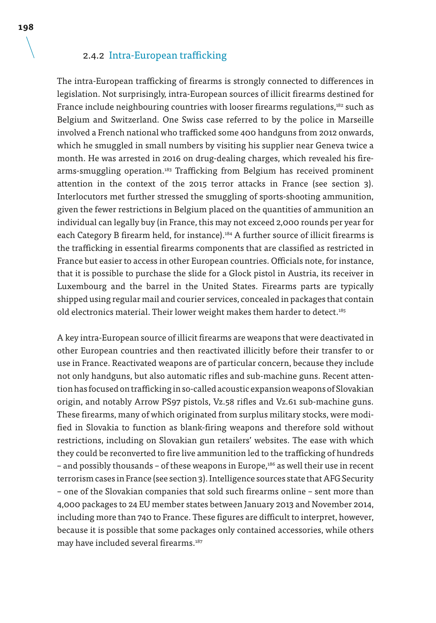### 2.4.2 Intra-European trafficking

The intra-European trafficking of firearms is strongly connected to differences in legislation. Not surprisingly, intra-European sources of illicit firearms destined for France include neighbouring countries with looser firearms regulations,<sup>182</sup> such as Belgium and Switzerland. One Swiss case referred to by the police in Marseille involved a French national who trafficked some 400 handguns from 2012 onwards, which he smuggled in small numbers by visiting his supplier near Geneva twice a month. He was arrested in 2016 on drug-dealing charges, which revealed his firearms-smuggling operation.<sup>183</sup> Trafficking from Belgium has received prominent attention in the context of the 2015 terror attacks in France (see section 3). Interlocutors met further stressed the smuggling of sports-shooting ammunition, given the fewer restrictions in Belgium placed on the quantities of ammunition an individual can legally buy (in France, this may not exceed 2,000 rounds per year for each Category B firearm held, for instance).<sup>184</sup> A further source of illicit firearms is the trafficking in essential firearms components that are classified as restricted in France but easier to access in other European countries. Officials note, for instance, that it is possible to purchase the slide for a Glock pistol in Austria, its receiver in Luxembourg and the barrel in the United States. Firearms parts are typically shipped using regular mail and courier services, concealed in packages that contain old electronics material. Their lower weight makes them harder to detect.<sup>185</sup>

A key intra-European source of illicit firearms are weapons that were deactivated in other European countries and then reactivated illicitly before their transfer to or use in France. Reactivated weapons are of particular concern, because they include not only handguns, but also automatic rifles and sub-machine guns. Recent attention has focused on trafficking in so-called acoustic expansion weapons of Slovakian origin, and notably Arrow PS97 pistols, Vz.58 rifles and Vz.61 sub-machine guns. These firearms, many of which originated from surplus military stocks, were modified in Slovakia to function as blank-firing weapons and therefore sold without restrictions, including on Slovakian gun retailers' websites. The ease with which they could be reconverted to fire live ammunition led to the trafficking of hundreds – and possibly thousands – of these weapons in Europe,<sup>186</sup> as well their use in recent terrorism cases in France (see section 3). Intelligence sources state that AFG Security – one of the Slovakian companies that sold such firearms online – sent more than 4,000 packages to 24 EU member states between January 2013 and November 2014, including more than 740 to France. These figures are difficult to interpret, however, because it is possible that some packages only contained accessories, while others may have included several firearms.<sup>187</sup>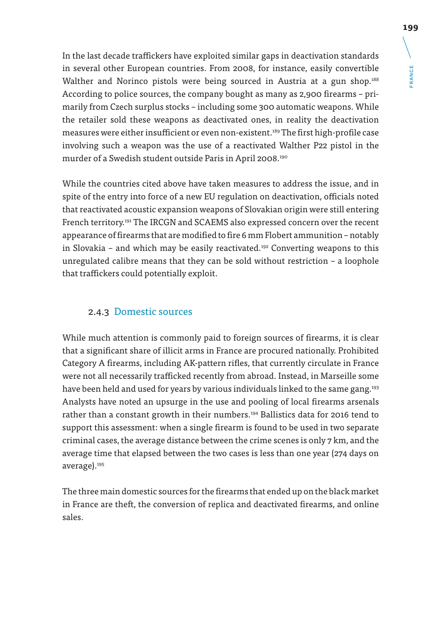**FRANCE** FRANCE

In the last decade traffickers have exploited similar gaps in deactivation standards in several other European countries. From 2008, for instance, easily convertible Walther and Norinco pistols were being sourced in Austria at a gun shop.<sup>188</sup> According to police sources, the company bought as many as 2,900 firearms – primarily from Czech surplus stocks – including some 300 automatic weapons. While the retailer sold these weapons as deactivated ones, in reality the deactivation measures were either insufficient or even non-existent.<sup>189</sup> The first high-profile case involving such a weapon was the use of a reactivated Walther P22 pistol in the murder of a Swedish student outside Paris in April 2008.190

While the countries cited above have taken measures to address the issue, and in spite of the entry into force of a new EU regulation on deactivation, officials noted that reactivated acoustic expansion weapons of Slovakian origin were still entering French territory.191 The IRCGN and SCAEMS also expressed concern over the recent appearance of firearms that are modified to fire 6 mm Flobert ammunition – notably in Slovakia – and which may be easily reactivated.<sup>192</sup> Converting weapons to this unregulated calibre means that they can be sold without restriction – a loophole that traffickers could potentially exploit.

### 2.4.3 Domestic sources

While much attention is commonly paid to foreign sources of firearms, it is clear that a significant share of illicit arms in France are procured nationally. Prohibited Category A firearms, including AK-pattern rifles, that currently circulate in France were not all necessarily trafficked recently from abroad. Instead, in Marseille some have been held and used for years by various individuals linked to the same gang.<sup>193</sup> Analysts have noted an upsurge in the use and pooling of local firearms arsenals rather than a constant growth in their numbers.<sup>194</sup> Ballistics data for 2016 tend to support this assessment: when a single firearm is found to be used in two separate criminal cases, the average distance between the crime scenes is only 7 km, and the average time that elapsed between the two cases is less than one year (274 days on average).195

The three main domestic sources for the firearms that ended up on the black market in France are theft, the conversion of replica and deactivated firearms, and online sales.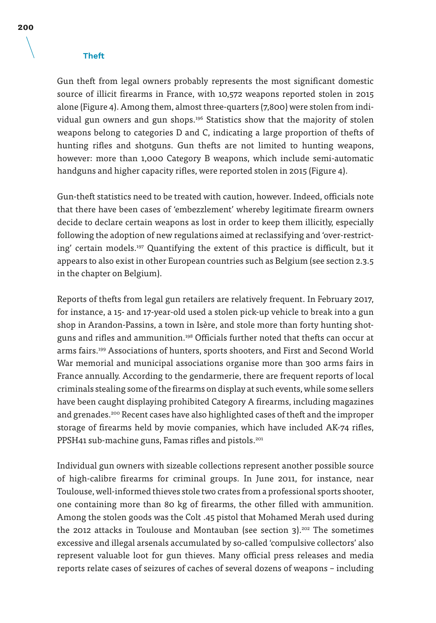#### **Theft**

Gun theft from legal owners probably represents the most significant domestic source of illicit firearms in France, with 10,572 weapons reported stolen in 2015 alone (Figure 4). Among them, almost three-quarters (7,800) were stolen from individual gun owners and gun shops.196 Statistics show that the majority of stolen weapons belong to categories D and C, indicating a large proportion of thefts of hunting rifles and shotguns. Gun thefts are not limited to hunting weapons, however: more than 1,000 Category B weapons, which include semi-automatic handguns and higher capacity rifles, were reported stolen in 2015 (Figure 4).

Gun-theft statistics need to be treated with caution, however. Indeed, officials note that there have been cases of 'embezzlement' whereby legitimate firearm owners decide to declare certain weapons as lost in order to keep them illicitly, especially following the adoption of new regulations aimed at reclassifying and 'over-restricting' certain models.197 Quantifying the extent of this practice is difficult, but it appears to also exist in other European countries such as Belgium (see section 2.3.5 in the chapter on Belgium).

Reports of thefts from legal gun retailers are relatively frequent. In February 2017, for instance, a 15- and 17-year-old used a stolen pick-up vehicle to break into a gun shop in Arandon-Passins, a town in Isère, and stole more than forty hunting shotguns and rifles and ammunition.<sup>198</sup> Officials further noted that thefts can occur at arms fairs.199 Associations of hunters, sports shooters, and First and Second World War memorial and municipal associations organise more than 300 arms fairs in France annually. According to the gendarmerie, there are frequent reports of local criminals stealing some of the firearms on display at such events, while some sellers have been caught displaying prohibited Category A firearms, including magazines and grenades.<sup>200</sup> Recent cases have also highlighted cases of theft and the improper storage of firearms held by movie companies, which have included AK-74 rifles, PPSH41 sub-machine guns, Famas rifles and pistols.<sup>201</sup>

Individual gun owners with sizeable collections represent another possible source of high-calibre firearms for criminal groups. In June 2011, for instance, near Toulouse, well-informed thieves stole two crates from a professional sports shooter, one containing more than 80 kg of firearms, the other filled with ammunition. Among the stolen goods was the Colt .45 pistol that Mohamed Merah used during the 2012 attacks in Toulouse and Montauban (see section  $3$ ).<sup>202</sup> The sometimes excessive and illegal arsenals accumulated by so-called 'compulsive collectors' also represent valuable loot for gun thieves. Many official press releases and media reports relate cases of seizures of caches of several dozens of weapons – including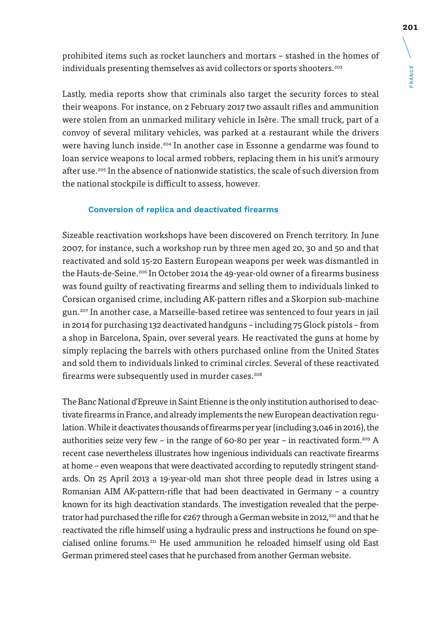prohibited items such as rocket launchers and mortars – stashed in the homes of individuals presenting themselves as avid collectors or sports shooters.<sup>203</sup>

Lastly, media reports show that criminals also target the security forces to steal their weapons. For instance, on 2 February 2017 two assault rifles and ammunition were stolen from an unmarked military vehicle in Isère. The small truck, part of a convoy of several military vehicles, was parked at a restaurant while the drivers were having lunch inside.<sup>204</sup> In another case in Essonne a gendarme was found to loan service weapons to local armed robbers, replacing them in his unit's armoury after use.205 In the absence of nationwide statistics, the scale of such diversion from the national stockpile is difficult to assess, however.

#### **Conversion of replica and deactivated firearms**

Sizeable reactivation workshops have been discovered on French territory. In June 2007, for instance, such a workshop run by three men aged 20, 30 and 50 and that reactivated and sold 15-20 Eastern European weapons per week was dismantled in the Hauts-de-Seine.206 In October 2014 the 49-year-old owner of a firearms business was found guilty of reactivating firearms and selling them to individuals linked to Corsican organised crime, including AK-pattern rifles and a Skorpion sub-machine gun.207 In another case, a Marseille-based retiree was sentenced to four years in jail in 2014 for purchasing 132 deactivated handguns – including 75 Glock pistols – from a shop in Barcelona, Spain, over several years. He reactivated the guns at home by simply replacing the barrels with others purchased online from the United States and sold them to individuals linked to criminal circles. Several of these reactivated firearms were subsequently used in murder cases.<sup>208</sup>

The Banc National d'Epreuve in Saint Etienne is the only institution authorised to deactivate firearms in France, and already implements the new European deactivation regulation. While it deactivates thousands of firearms per year (including 3,046 in 2016), the authorities seize very few – in the range of 60-80 per year – in reactivated form.<sup>209</sup> A recent case nevertheless illustrates how ingenious individuals can reactivate firearms at home – even weapons that were deactivated according to reputedly stringent standards. On 25 April 2013 a 19-year-old man shot three people dead in Istres using a Romanian AIM AK-pattern-rifle that had been deactivated in Germany – a country known for its high deactivation standards. The investigation revealed that the perpetrator had purchased the rifle for  $\epsilon$ 267 through a German website in 2012,<sup>210</sup> and that he reactivated the rifle himself using a hydraulic press and instructions he found on specialised online forums.211 He used ammunition he reloaded himself using old East German primered steel cases that he purchased from another German website.

FRANCE

**FRANCE**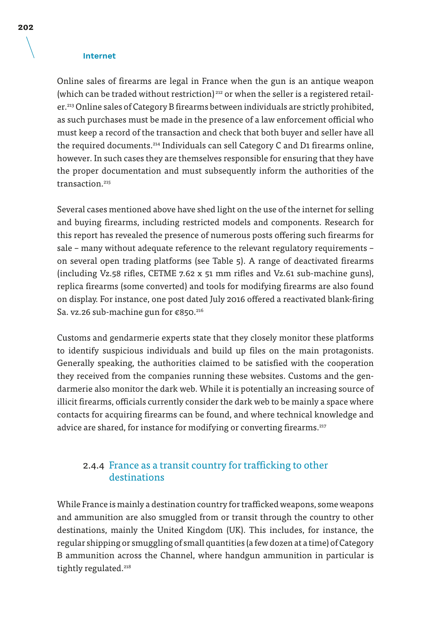#### **Internet**

Online sales of firearms are legal in France when the gun is an antique weapon (which can be traded without restriction)<sup>212</sup> or when the seller is a registered retailer.<sup>213</sup> Online sales of Category B firearms between individuals are strictly prohibited, as such purchases must be made in the presence of a law enforcement official who must keep a record of the transaction and check that both buyer and seller have all the required documents.214 Individuals can sell Category C and D1 firearms online, however. In such cases they are themselves responsible for ensuring that they have the proper documentation and must subsequently inform the authorities of the transaction<sup>215</sup>

Several cases mentioned above have shed light on the use of the internet for selling and buying firearms, including restricted models and components. Research for this report has revealed the presence of numerous posts offering such firearms for sale – many without adequate reference to the relevant regulatory requirements – on several open trading platforms (see Table 5). A range of deactivated firearms (including Vz.58 rifles, CETME 7.62 x 51 mm rifles and Vz.61 sub-machine guns), replica firearms (some converted) and tools for modifying firearms are also found on display. For instance, one post dated July 2016 offered a reactivated blank-firing Sa. vz.26 sub-machine gun for €850.<sup>216</sup>

Customs and gendarmerie experts state that they closely monitor these platforms to identify suspicious individuals and build up files on the main protagonists. Generally speaking, the authorities claimed to be satisfied with the cooperation they received from the companies running these websites. Customs and the gendarmerie also monitor the dark web. While it is potentially an increasing source of illicit firearms, officials currently consider the dark web to be mainly a space where contacts for acquiring firearms can be found, and where technical knowledge and advice are shared, for instance for modifying or converting firearms.<sup>217</sup>

### 2.4.4 France as a transit country for trafficking to other destinations

While France is mainly a destination country for trafficked weapons, some weapons and ammunition are also smuggled from or transit through the country to other destinations, mainly the United Kingdom (UK). This includes, for instance, the regular shipping or smuggling of small quantities (a few dozen at a time) of Category B ammunition across the Channel, where handgun ammunition in particular is tightly regulated.<sup>218</sup>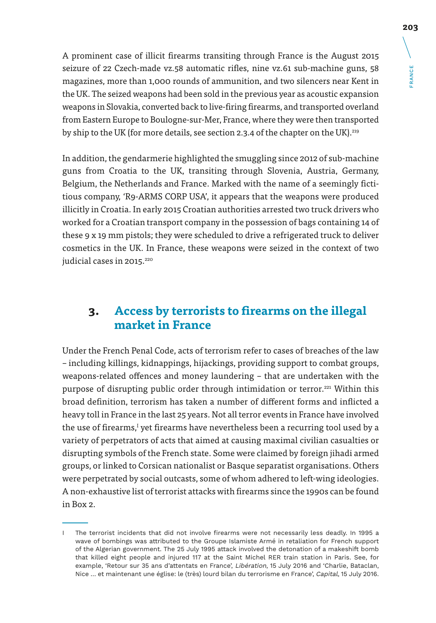A prominent case of illicit firearms transiting through France is the August 2015 seizure of 22 Czech-made vz.58 automatic rifles, nine vz.61 sub-machine guns, 58 magazines, more than 1,000 rounds of ammunition, and two silencers near Kent in the UK. The seized weapons had been sold in the previous year as acoustic expansion weapons in Slovakia, converted back to live-firing firearms, and transported overland from Eastern Europe to Boulogne-sur-Mer, France, where they were then transported by ship to the UK (for more details, see section 2.3.4 of the chapter on the UK).<sup>219</sup>

In addition, the gendarmerie highlighted the smuggling since 2012 of sub-machine guns from Croatia to the UK, transiting through Slovenia, Austria, Germany, Belgium, the Netherlands and France. Marked with the name of a seemingly fictitious company, 'R9-ARMS CORP USA', it appears that the weapons were produced illicitly in Croatia. In early 2015 Croatian authorities arrested two truck drivers who worked for a Croatian transport company in the possession of bags containing 14 of these 9 x 19 mm pistols; they were scheduled to drive a refrigerated truck to deliver cosmetics in the UK. In France, these weapons were seized in the context of two judicial cases in 2015.<sup>220</sup>

## **3. Access by terrorists to firearms on the illegal market in France**

Under the French Penal Code, acts of terrorism refer to cases of breaches of the law – including killings, kidnappings, hijackings, providing support to combat groups, weapons-related offences and money laundering – that are undertaken with the purpose of disrupting public order through intimidation or terror.<sup>221</sup> Within this broad definition, terrorism has taken a number of different forms and inflicted a heavy toll in France in the last 25 years. Not all terror events in France have involved the use of firearms,<sup>I</sup> yet firearms have nevertheless been a recurring tool used by a variety of perpetrators of acts that aimed at causing maximal civilian casualties or disrupting symbols of the French state. Some were claimed by foreign jihadi armed groups, or linked to Corsican nationalist or Basque separatist organisations. Others were perpetrated by social outcasts, some of whom adhered to left-wing ideologies. A non-exhaustive list of terrorist attacks with firearms since the 1990s can be found in Box 2.

FRANCE

**FRANCE** 

I The terrorist incidents that did not involve firearms were not necessarily less deadly. In 1995 a wave of bombings was attributed to the Groupe Islamiste Armé in retaliation for French support of the Algerian government. The 25 July 1995 attack involved the detonation of a makeshift bomb that killed eight people and injured 117 at the Saint Michel RER train station in Paris. See, for example, 'Retour sur 35 ans d'attentats en France', Libération, 15 July 2016 and 'Charlie, Bataclan, Nice … et maintenant une église: le (très) lourd bilan du terrorisme en France', Capital, 15 July 2016.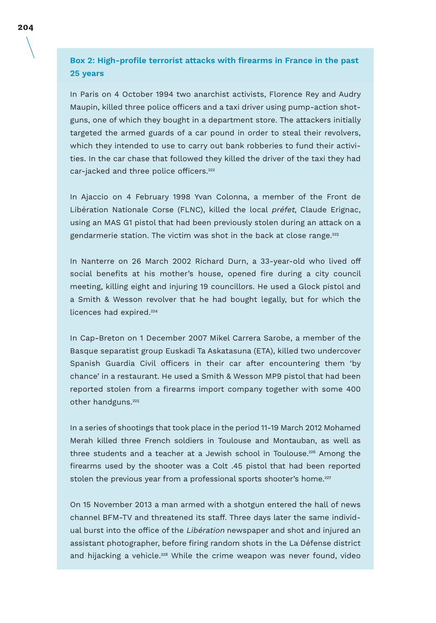**Box 2: High-profile terrorist attacks with firearms in France in the past 25 years**

In Paris on 4 October 1994 two anarchist activists, Florence Rey and Audry Maupin, killed three police officers and a taxi driver using pump-action shotguns, one of which they bought in a department store. The attackers initially targeted the armed guards of a car pound in order to steal their revolvers, which they intended to use to carry out bank robberies to fund their activities. In the car chase that followed they killed the driver of the taxi they had car-jacked and three police officers.<sup>222</sup>

In Ajaccio on 4 February 1998 Yvan Colonna, a member of the Front de Libération Nationale Corse (FLNC), killed the local préfet, Claude Erignac, using an MAS G1 pistol that had been previously stolen during an attack on a gendarmerie station. The victim was shot in the back at close range.<sup>223</sup>

In Nanterre on 26 March 2002 Richard Durn, a 33-year-old who lived off social benefits at his mother's house, opened fire during a city council meeting, killing eight and injuring 19 councillors. He used a Glock pistol and a Smith & Wesson revolver that he had bought legally, but for which the licences had expired.<sup>224</sup>

In Cap-Breton on 1 December 2007 Mikel Carrera Sarobe, a member of the Basque separatist group Euskadi Ta Askatasuna (ETA), killed two undercover Spanish Guardia Civil officers in their car after encountering them 'by chance' in a restaurant. He used a Smith & Wesson MP9 pistol that had been reported stolen from a firearms import company together with some 400 other handguns.<sup>225</sup>

In a series of shootings that took place in the period 11-19 March 2012 Mohamed Merah killed three French soldiers in Toulouse and Montauban, as well as three students and a teacher at a Jewish school in Toulouse.<sup>226</sup> Among the firearms used by the shooter was a Colt .45 pistol that had been reported stolen the previous year from a professional sports shooter's home.<sup>227</sup>

On 15 November 2013 a man armed with a shotgun entered the hall of news channel BFM-TV and threatened its staff. Three days later the same individual burst into the office of the Libération newspaper and shot and injured an assistant photographer, before firing random shots in the La Défense district and hijacking a vehicle.228 While the crime weapon was never found, video

**204**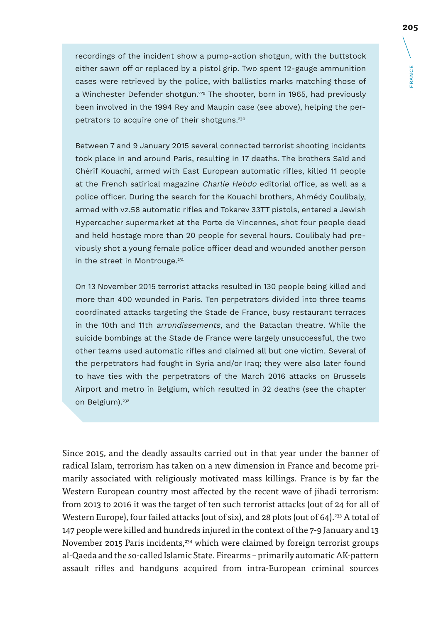recordings of the incident show a pump-action shotgun, with the buttstock either sawn off or replaced by a pistol grip. Two spent 12-gauge ammunition cases were retrieved by the police, with ballistics marks matching those of a Winchester Defender shotgun.<sup>229</sup> The shooter, born in 1965, had previously been involved in the 1994 Rey and Maupin case (see above), helping the perpetrators to acquire one of their shotguns.<sup>230</sup>

Between 7 and 9 January 2015 several connected terrorist shooting incidents took place in and around Paris, resulting in 17 deaths. The brothers Saïd and Chérif Kouachi, armed with East European automatic rifles, killed 11 people at the French satirical magazine Charlie Hebdo editorial office, as well as a police officer. During the search for the Kouachi brothers, Ahmédy Coulibaly, armed with vz.58 automatic rifles and Tokarev 33TT pistols, entered a Jewish Hypercacher supermarket at the Porte de Vincennes, shot four people dead and held hostage more than 20 people for several hours. Coulibaly had previously shot a young female police officer dead and wounded another person in the street in Montrouge.<sup>231</sup>

On 13 November 2015 terrorist attacks resulted in 130 people being killed and more than 400 wounded in Paris. Ten perpetrators divided into three teams coordinated attacks targeting the Stade de France, busy restaurant terraces in the 10th and 11th arrondissements, and the Bataclan theatre. While the suicide bombings at the Stade de France were largely unsuccessful, the two other teams used automatic rifles and claimed all but one victim. Several of the perpetrators had fought in Syria and/or Iraq; they were also later found to have ties with the perpetrators of the March 2016 attacks on Brussels Airport and metro in Belgium, which resulted in 32 deaths (see the chapter on Belgium).<sup>232</sup>

Since 2015, and the deadly assaults carried out in that year under the banner of radical Islam, terrorism has taken on a new dimension in France and become primarily associated with religiously motivated mass killings. France is by far the Western European country most affected by the recent wave of jihadi terrorism: from 2013 to 2016 it was the target of ten such terrorist attacks (out of 24 for all of Western Europe), four failed attacks (out of six), and 28 plots (out of 64).<sup>233</sup> A total of 147 people were killed and hundreds injured in the context of the 7-9 January and 13 November 2015 Paris incidents,<sup>234</sup> which were claimed by foreign terrorist groups al-Qaeda and the so-called Islamic State. Firearms – primarily automatic AK-pattern assault rifles and handguns acquired from intra-European criminal sources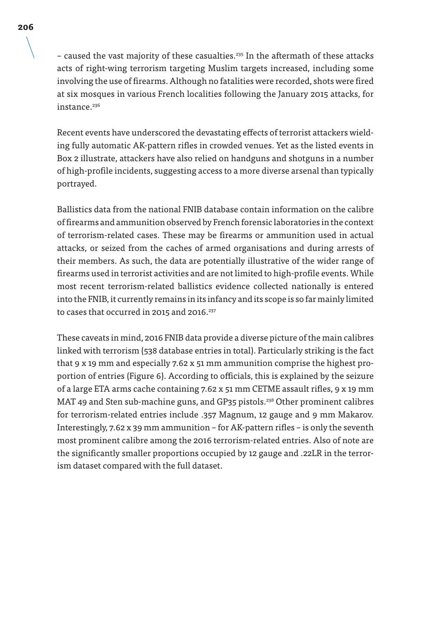– caused the vast majority of these casualties.<sup>235</sup> In the aftermath of these attacks acts of right-wing terrorism targeting Muslim targets increased, including some involving the use of firearms. Although no fatalities were recorded, shots were fired at six mosques in various French localities following the January 2015 attacks, for instance<sup>236</sup>

Recent events have underscored the devastating effects of terrorist attackers wielding fully automatic AK-pattern rifles in crowded venues. Yet as the listed events in Box 2 illustrate, attackers have also relied on handguns and shotguns in a number of high-profile incidents, suggesting access to a more diverse arsenal than typically portrayed.

Ballistics data from the national FNIB database contain information on the calibre of firearms and ammunition observed by French forensic laboratories in the context of terrorism-related cases. These may be firearms or ammunition used in actual attacks, or seized from the caches of armed organisations and during arrests of their members. As such, the data are potentially illustrative of the wider range of firearms used in terrorist activities and are not limited to high-profile events. While most recent terrorism-related ballistics evidence collected nationally is entered into the FNIB, it currently remains in its infancy and its scope is so far mainly limited to cases that occurred in 2015 and 2016.<sup>237</sup>

These caveats in mind, 2016 FNIB data provide a diverse picture of the main calibres linked with terrorism (538 database entries in total). Particularly striking is the fact that 9 x 19 mm and especially 7.62 x 51 mm ammunition comprise the highest proportion of entries (Figure 6). According to officials, this is explained by the seizure of a large ETA arms cache containing 7.62 x 51 mm CETME assault rifles, 9 x 19 mm MAT 49 and Sten sub-machine guns, and GP35 pistols.238 Other prominent calibres for terrorism-related entries include .357 Magnum, 12 gauge and 9 mm Makarov. Interestingly, 7.62 x 39 mm ammunition – for AK-pattern rifles – is only the seventh most prominent calibre among the 2016 terrorism-related entries. Also of note are the significantly smaller proportions occupied by 12 gauge and .22LR in the terrorism dataset compared with the full dataset.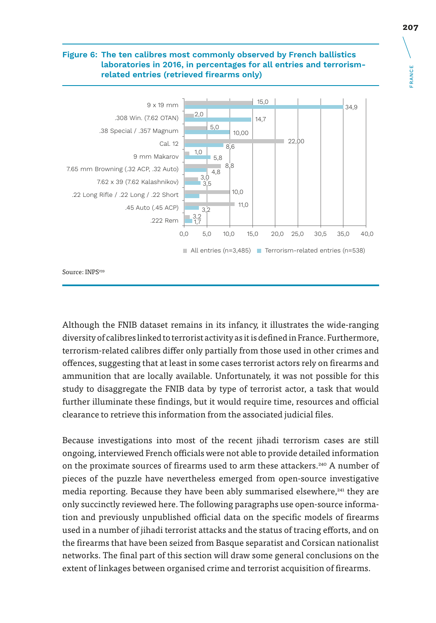#### **Figure 6: The ten calibres most commonly observed by French ballistics laboratories in 2016, in percentages for all entries and terrorismrelated entries (retrieved firearms only)**



Source: INPS<sup>239</sup>

Although the FNIB dataset remains in its infancy, it illustrates the wide-ranging diversity of calibres linked to terrorist activity as it is defined in France. Furthermore, terrorism-related calibres differ only partially from those used in other crimes and offences, suggesting that at least in some cases terrorist actors rely on firearms and ammunition that are locally available. Unfortunately, it was not possible for this study to disaggregate the FNIB data by type of terrorist actor, a task that would further illuminate these findings, but it would require time, resources and official clearance to retrieve this information from the associated judicial files.

Because investigations into most of the recent jihadi terrorism cases are still ongoing, interviewed French officials were not able to provide detailed information on the proximate sources of firearms used to arm these attackers.240 A number of pieces of the puzzle have nevertheless emerged from open-source investigative media reporting. Because they have been ably summarised elsewhere,<sup>241</sup> they are only succinctly reviewed here. The following paragraphs use open-source information and previously unpublished official data on the specific models of firearms used in a number of jihadi terrorist attacks and the status of tracing efforts, and on the firearms that have been seized from Basque separatist and Corsican nationalist networks. The final part of this section will draw some general conclusions on the extent of linkages between organised crime and terrorist acquisition of firearms.

FRANCE

**FRANCE**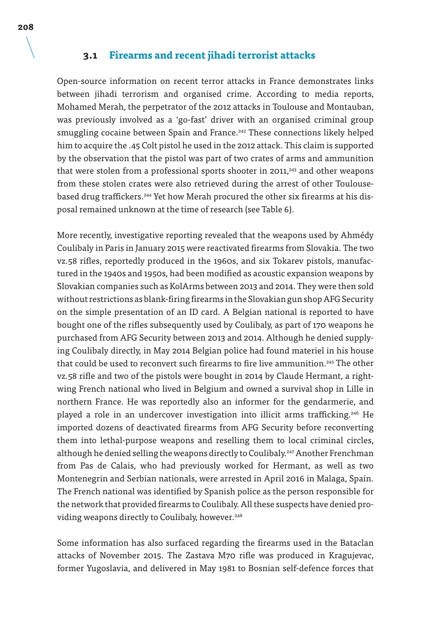#### **3.1 Firearms and recent jihadi terrorist attacks**

Open-source information on recent terror attacks in France demonstrates links between jihadi terrorism and organised crime. According to media reports, Mohamed Merah, the perpetrator of the 2012 attacks in Toulouse and Montauban, was previously involved as a 'go-fast' driver with an organised criminal group smuggling cocaine between Spain and France.<sup>242</sup> These connections likely helped him to acquire the .45 Colt pistol he used in the 2012 attack. This claim is supported by the observation that the pistol was part of two crates of arms and ammunition that were stolen from a professional sports shooter in 2011,<sup>243</sup> and other weapons from these stolen crates were also retrieved during the arrest of other Toulousebased drug traffickers.<sup>244</sup> Yet how Merah procured the other six firearms at his disposal remained unknown at the time of research (see Table 6).

More recently, investigative reporting revealed that the weapons used by Ahmédy Coulibaly in Paris in January 2015 were reactivated firearms from Slovakia. The two vz.58 rifles, reportedly produced in the 1960s, and six Tokarev pistols, manufactured in the 1940s and 1950s, had been modified as acoustic expansion weapons by Slovakian companies such as KolArms between 2013 and 2014. They were then sold without restrictions as blank-firing firearms in the Slovakian gun shop AFG Security on the simple presentation of an ID card. A Belgian national is reported to have bought one of the rifles subsequently used by Coulibaly, as part of 170 weapons he purchased from AFG Security between 2013 and 2014. Although he denied supplying Coulibaly directly, in May 2014 Belgian police had found materiel in his house that could be used to reconvert such firearms to fire live ammunition.<sup>245</sup> The other vz.58 rifle and two of the pistols were bought in 2014 by Claude Hermant, a rightwing French national who lived in Belgium and owned a survival shop in Lille in northern France. He was reportedly also an informer for the gendarmerie, and played a role in an undercover investigation into illicit arms trafficking.<sup>246</sup> He imported dozens of deactivated firearms from AFG Security before reconverting them into lethal-purpose weapons and reselling them to local criminal circles, although he denied selling the weapons directly to Coulibaly.<sup>247</sup> Another Frenchman from Pas de Calais, who had previously worked for Hermant, as well as two Montenegrin and Serbian nationals, were arrested in April 2016 in Malaga, Spain. The French national was identified by Spanish police as the person responsible for the network that provided firearms to Coulibaly. All these suspects have denied providing weapons directly to Coulibaly, however.<sup>248</sup>

Some information has also surfaced regarding the firearms used in the Bataclan attacks of November 2015. The Zastava M70 rifle was produced in Kragujevac, former Yugoslavia, and delivered in May 1981 to Bosnian self-defence forces that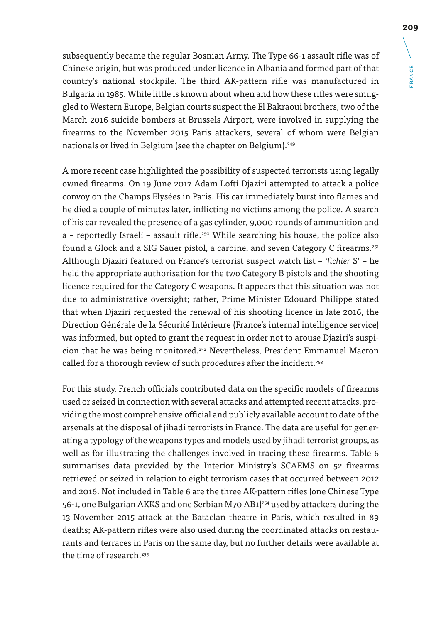subsequently became the regular Bosnian Army. The Type 66-1 assault rifle was of Chinese origin, but was produced under licence in Albania and formed part of that country's national stockpile. The third AK-pattern rifle was manufactured in Bulgaria in 1985. While little is known about when and how these rifles were smuggled to Western Europe, Belgian courts suspect the El Bakraoui brothers, two of the March 2016 suicide bombers at Brussels Airport, were involved in supplying the firearms to the November 2015 Paris attackers, several of whom were Belgian nationals or lived in Belgium (see the chapter on Belgium).<sup>249</sup>

A more recent case highlighted the possibility of suspected terrorists using legally owned firearms. On 19 June 2017 Adam Lofti Djaziri attempted to attack a police convoy on the Champs Elysées in Paris. His car immediately burst into flames and he died a couple of minutes later, inflicting no victims among the police. A search of his car revealed the presence of a gas cylinder, 9,000 rounds of ammunition and  $a$  – reportedly Israeli – assault rifle.<sup>250</sup> While searching his house, the police also found a Glock and a SIG Sauer pistol, a carbine, and seven Category C firearms.<sup>251</sup> Although Djaziri featured on France's terrorist suspect watch list – '*fichier* S' – he held the appropriate authorisation for the two Category B pistols and the shooting licence required for the Category C weapons. It appears that this situation was not due to administrative oversight; rather, Prime Minister Edouard Philippe stated that when Djaziri requested the renewal of his shooting licence in late 2016, the Direction Générale de la Sécurité Intérieure (France's internal intelligence service) was informed, but opted to grant the request in order not to arouse Djaziri's suspicion that he was being monitored.<sup>252</sup> Nevertheless, President Emmanuel Macron called for a thorough review of such procedures after the incident.<sup>253</sup>

For this study, French officials contributed data on the specific models of firearms used or seized in connection with several attacks and attempted recent attacks, providing the most comprehensive official and publicly available account to date of the arsenals at the disposal of jihadi terrorists in France. The data are useful for generating a typology of the weapons types and models used by jihadi terrorist groups, as well as for illustrating the challenges involved in tracing these firearms. Table 6 summarises data provided by the Interior Ministry's SCAEMS on 52 firearms retrieved or seized in relation to eight terrorism cases that occurred between 2012 and 2016. Not included in Table 6 are the three AK-pattern rifles (one Chinese Type 56-1, one Bulgarian AKKS and one Serbian M70 AB1)<sup>254</sup> used by attackers during the 13 November 2015 attack at the Bataclan theatre in Paris, which resulted in 89 deaths; AK-pattern rifles were also used during the coordinated attacks on restaurants and terraces in Paris on the same day, but no further details were available at the time of research.<sup>255</sup>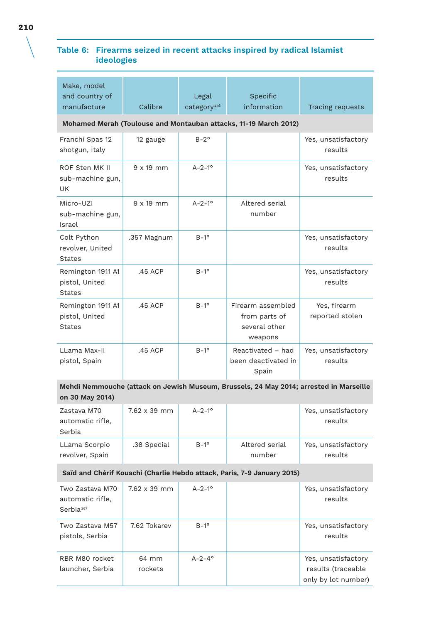### **Table 6: Firearms seized in recent attacks inspired by radical Islamist ideologies**

| Make, model<br>and country of                                           |              | Legal                   | Specific                                                                               |                                 |  |  |  |
|-------------------------------------------------------------------------|--------------|-------------------------|----------------------------------------------------------------------------------------|---------------------------------|--|--|--|
| manufacture                                                             | Calibre      | category <sup>256</sup> | information                                                                            | Tracing requests                |  |  |  |
| Mohamed Merah (Toulouse and Montauban attacks, 11-19 March 2012)        |              |                         |                                                                                        |                                 |  |  |  |
| Franchi Spas 12<br>shotgun, Italy                                       | 12 gauge     | $B-2^{\circ}$           |                                                                                        | Yes, unsatisfactory<br>results  |  |  |  |
| ROF Sten MK II<br>sub-machine gun,<br>UK                                | $9x19$ mm    | $A - 2 - 1^{\circ}$     |                                                                                        | Yes, unsatisfactory<br>results  |  |  |  |
| Micro-UZI<br>sub-machine gun,<br>Israel                                 | $9x19$ mm    | $A - 2 - 1^{\circ}$     | Altered serial<br>number                                                               |                                 |  |  |  |
| Colt Python<br>revolver, United<br>States                               | .357 Magnum  | $B-1^{\circ}$           |                                                                                        | Yes, unsatisfactory<br>results  |  |  |  |
| Remington 1911 A1<br>pistol, United<br>States                           | .45 ACP      | $B-1^{\circ}$           |                                                                                        | Yes, unsatisfactory<br>results  |  |  |  |
| Remington 1911 A1<br>pistol, United<br><b>States</b>                    | .45 ACP      | $B-1^{\circ}$           | Firearm assembled<br>from parts of<br>several other<br>weapons                         | Yes, firearm<br>reported stolen |  |  |  |
| LLama Max-II<br>pistol, Spain                                           | .45 ACP      | $B-1^{\circ}$           | Reactivated - had<br>been deactivated in<br>Spain                                      | Yes, unsatisfactory<br>results  |  |  |  |
| on 30 May 2014)                                                         |              |                         | Mehdi Nemmouche (attack on Jewish Museum, Brussels, 24 May 2014; arrested in Marseille |                                 |  |  |  |
| Zastava M70<br>automatic rifle,<br>Serbia                               | 7.62 x 39 mm | $A - 2 - 1^{\circ}$     |                                                                                        | Yes, unsatisfactory<br>results  |  |  |  |
| LLama Scorpio<br>revolver, Spain                                        | .38 Special  | $B-1^{\circ}$           | Altered serial<br>number                                                               | Yes, unsatisfactory<br>results  |  |  |  |
| Saïd and Chérif Kouachi (Charlie Hebdo attack, Paris, 7-9 January 2015) |              |                         |                                                                                        |                                 |  |  |  |
| Two Zastava M70<br>automatic rifle,<br>Serbia <sup>257</sup>            | 7.62 x 39 mm | $A - 2 - 1^{\circ}$     |                                                                                        | Yes, unsatisfactory<br>results  |  |  |  |
| Two Zastava M57<br>pistols, Serbia                                      | 7.62 Tokarev | $B-1^{\circ}$           |                                                                                        | Yes, unsatisfactory<br>results  |  |  |  |

A-2-4° Nes, unsatisfactory

results (traceable only by lot number)

RBR M80 rocket launcher, Serbia 64 mm rockets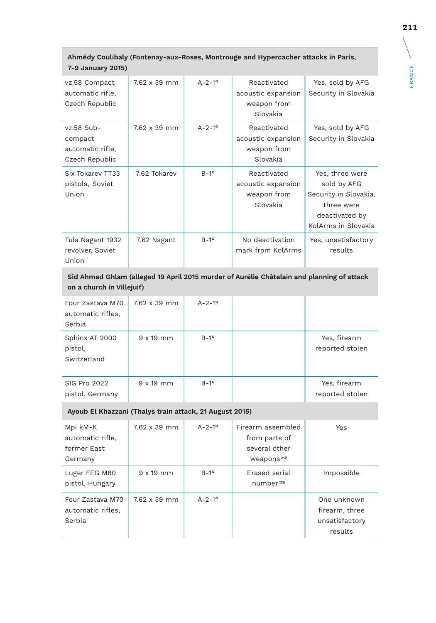| 7-9 January 2015)                                                                                                      |                  |                     |                                                              |                                                                                                                |  |
|------------------------------------------------------------------------------------------------------------------------|------------------|---------------------|--------------------------------------------------------------|----------------------------------------------------------------------------------------------------------------|--|
| vz.58 Compact<br>automatic rifle,<br>Czech Republic                                                                    | 7.62 x 39 mm     | $A - 2 - 1^{\circ}$ | Reactivated<br>acoustic expansion<br>weapon from<br>Slovakia | Yes, sold by AFG<br>Security in Slovakia                                                                       |  |
| vz.58 Sub-<br>compact<br>automatic rifle,<br>Czech Republic                                                            | 7.62 x 39 mm     | $A - 2 - 1^{\circ}$ | Reactivated<br>acoustic expansion<br>weapon from<br>Slovakia | Yes, sold by AFG<br>Security in Slovakia                                                                       |  |
| Six Tokarev TT33<br>pistols, Soviet<br>Union                                                                           | 7.62 Tokarev     | $B-1^{\circ}$       | Reactivated<br>acoustic expansion<br>weapon from<br>Slovakia | Yes, three were<br>sold by AFG<br>Security in Slovakia,<br>three were<br>deactivated by<br>KolArms in Slovakia |  |
| Tula Nagant 1932<br>revolver, Soviet<br>Union                                                                          | 7.62 Nagant      | $B-1^{\circ}$       | No deactivation<br>mark from KolArms                         | Yes, unsatisfactory<br>results                                                                                 |  |
| Sid Ahmed Ghlam (alleged 19 April 2015 murder of Aurélie Châtelain and planning of attack<br>on a church in Villejuif) |                  |                     |                                                              |                                                                                                                |  |
| Four Zastava M70<br>automatic rifles,<br>Serbia                                                                        | 7.62 x 39 mm     | $A - 2 - 1^{\circ}$ |                                                              |                                                                                                                |  |
| Sphinx AT 2000<br>pistol,<br>Switzerland                                                                               | $9x19$ mm        | $B-1^{\circ}$       |                                                              | Yes, firearm<br>reported stolen                                                                                |  |
| <b>SIG Pro 2022</b><br>pistol, Germany                                                                                 | $9 \times 19$ mm | $B-1^{\circ}$       |                                                              | Yes, firearm<br>reported stolen                                                                                |  |

# **Ahmédy Coulibaly (Fontenay-aux-Roses, Montrouge and Hypercacher attacks in Paris,**

#### **Ayoub El Khazzani (Thalys train attack, 21 August 2015)**

| Mpi kM-K<br>automatic rifle,<br>former Fast<br>Germany | 7.62 x 39 mm     | $A - 2 - 1^{\circ}$ | Firearm assembled<br>from parts of<br>several other<br>weapons <sup>258</sup> | Yes                                                        |
|--------------------------------------------------------|------------------|---------------------|-------------------------------------------------------------------------------|------------------------------------------------------------|
| Luger FEG M80<br>pistol, Hungary                       | $9 \times 19$ mm | $B-1^{\circ}$       | Erased serial<br>number <sup>259</sup>                                        | Impossible                                                 |
| Four Zastava M70<br>automatic rifles,<br>Serbia        | 7.62 x 39 mm     | $A - 2 - 1^{\circ}$ |                                                                               | One unknown<br>firearm, three<br>unsatisfactory<br>results |

 $\setminus$ 

FRANCE

FRANCE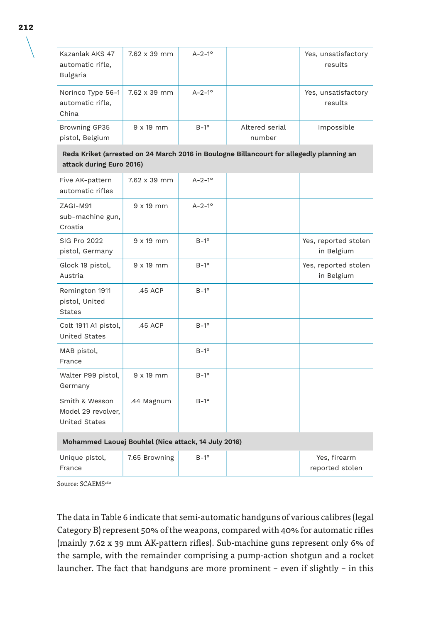| Kazanlak AKS 47<br>automatic rifle,<br>Bulgaria | 7.62 x 39 mm        | $A - 2 - 1^{\circ}$ |                          | Yes, unsatisfactory<br>results |
|-------------------------------------------------|---------------------|---------------------|--------------------------|--------------------------------|
| Norinco Type 56-1<br>automatic rifle,<br>China  | $7.62 \times 39$ mm | $A - 2 - 1^{\circ}$ |                          | Yes, unsatisfactory<br>results |
| Browning GP35<br>pistol, Belgium                | $9 \times 19$ mm    | $B-1^{\circ}$       | Altered serial<br>number | Impossible                     |

**Reda Kriket (arrested on 24 March 2016 in Boulogne Billancourt for allegedly planning an attack during Euro 2016)**

| Five AK-pattern<br>automatic rifles                          | 7.62 x 39 mm     | $A - 2 - 1^{\circ}$ |  |                                    |  |
|--------------------------------------------------------------|------------------|---------------------|--|------------------------------------|--|
| ZAGI-M91<br>sub-machine gun,<br>Croatia                      | $9x19$ mm        | $A - 2 - 1^{\circ}$ |  |                                    |  |
| SIG Pro 2022<br>pistol, Germany                              | $9 \times 19$ mm | $B-1^{\circ}$       |  | Yes, reported stolen<br>in Belgium |  |
| Glock 19 pistol,<br>Austria                                  | $9 \times 19$ mm | $B-1^{\circ}$       |  | Yes, reported stolen<br>in Belgium |  |
| Remington 1911<br>pistol, United<br><b>States</b>            | .45 ACP          | $B-1^{\circ}$       |  |                                    |  |
| Colt 1911 A1 pistol,<br><b>United States</b>                 | .45 ACP          | $B-1^{\circ}$       |  |                                    |  |
| MAB pistol,<br>France                                        |                  | $B-1^{\circ}$       |  |                                    |  |
| Walter P99 pistol,<br>Germany                                | $9 \times 19$ mm | $B-1^{\circ}$       |  |                                    |  |
| Smith & Wesson<br>Model 29 revolver,<br><b>United States</b> | .44 Magnum       | $B-1^{\circ}$       |  |                                    |  |
| Mohammed Laouej Bouhlel (Nice attack, 14 July 2016)          |                  |                     |  |                                    |  |
| Unique pistol,<br>France                                     | 7.65 Browning    | $B-1^{\circ}$       |  | Yes, firearm<br>reported stolen    |  |

Source: SCAEMS<sup>260</sup>

The data in Table 6 indicate that semi-automatic handguns of various calibres (legal Category B) represent 50% of the weapons, compared with 40% for automatic rifles (mainly 7.62 x 39 mm AK-pattern rifles). Sub-machine guns represent only 6% of the sample, with the remainder comprising a pump-action shotgun and a rocket launcher. The fact that handguns are more prominent – even if slightly – in this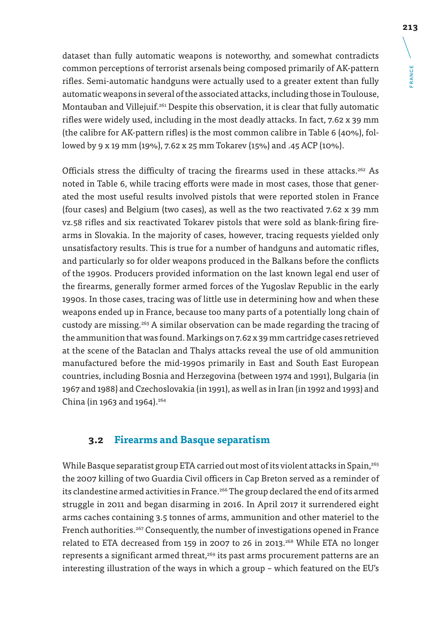dataset than fully automatic weapons is noteworthy, and somewhat contradicts common perceptions of terrorist arsenals being composed primarily of AK-pattern rifles. Semi-automatic handguns were actually used to a greater extent than fully automatic weapons in several of the associated attacks, including those in Toulouse, Montauban and Villejuif.261 Despite this observation, it is clear that fully automatic rifles were widely used, including in the most deadly attacks. In fact, 7.62 x 39 mm (the calibre for AK-pattern rifles) is the most common calibre in Table 6 (40%), followed by 9 x 19 mm (19%), 7.62 x 25 mm Tokarev (15%) and .45 ACP (10%).

Officials stress the difficulty of tracing the firearms used in these attacks.<sup>262</sup> As noted in Table 6, while tracing efforts were made in most cases, those that generated the most useful results involved pistols that were reported stolen in France (four cases) and Belgium (two cases), as well as the two reactivated 7.62 x 39 mm vz.58 rifles and six reactivated Tokarev pistols that were sold as blank-firing firearms in Slovakia. In the majority of cases, however, tracing requests yielded only unsatisfactory results. This is true for a number of handguns and automatic rifles, and particularly so for older weapons produced in the Balkans before the conflicts of the 1990s. Producers provided information on the last known legal end user of the firearms, generally former armed forces of the Yugoslav Republic in the early 1990s. In those cases, tracing was of little use in determining how and when these weapons ended up in France, because too many parts of a potentially long chain of custody are missing.263 A similar observation can be made regarding the tracing of the ammunition that was found. Markings on 7.62 x 39 mm cartridge cases retrieved at the scene of the Bataclan and Thalys attacks reveal the use of old ammunition manufactured before the mid-1990s primarily in East and South East European countries, including Bosnia and Herzegovina (between 1974 and 1991), Bulgaria (in 1967 and 1988) and Czechoslovakia (in 1991), as well as in Iran (in 1992 and 1993) and China (in 1963 and 1964).<sup>264</sup>

### **3.2 Firearms and Basque separatism**

While Basque separatist group ETA carried out most of its violent attacks in Spain,<sup>265</sup> the 2007 killing of two Guardia Civil officers in Cap Breton served as a reminder of its clandestine armed activities in France.<sup>266</sup> The group declared the end of its armed struggle in 2011 and began disarming in 2016. In April 2017 it surrendered eight arms caches containing 3.5 tonnes of arms, ammunition and other materiel to the French authorities.<sup>267</sup> Consequently, the number of investigations opened in France related to ETA decreased from 159 in 2007 to 26 in 2013.268 While ETA no longer represents a significant armed threat,<sup>269</sup> its past arms procurement patterns are an interesting illustration of the ways in which a group – which featured on the EU's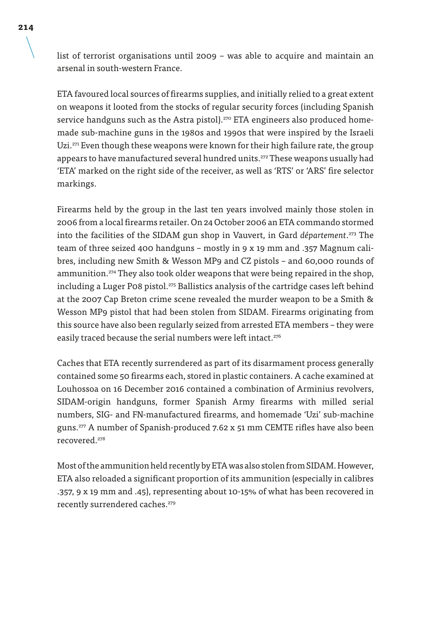list of terrorist organisations until 2009 – was able to acquire and maintain an arsenal in south-western France.

ETA favoured local sources of firearms supplies, and initially relied to a great extent on weapons it looted from the stocks of regular security forces (including Spanish service handguns such as the Astra pistol).<sup>270</sup> ETA engineers also produced homemade sub-machine guns in the 1980s and 1990s that were inspired by the Israeli Uzi.<sup>271</sup> Even though these weapons were known for their high failure rate, the group appears to have manufactured several hundred units.<sup>272</sup> These weapons usually had 'ETA' marked on the right side of the receiver, as well as 'RTS' or 'ARS' fire selector markings.

Firearms held by the group in the last ten years involved mainly those stolen in 2006 from a local firearms retailer. On 24 October 2006 an ETA commando stormed into the facilities of the SIDAM gun shop in Vauvert, in Gard *département*. 273 The team of three seized 400 handguns – mostly in 9 x 19 mm and .357 Magnum calibres, including new Smith & Wesson MP9 and CZ pistols – and 60,000 rounds of ammunition.<sup>274</sup> They also took older weapons that were being repaired in the shop, including a Luger P08 pistol.<sup>275</sup> Ballistics analysis of the cartridge cases left behind at the 2007 Cap Breton crime scene revealed the murder weapon to be a Smith & Wesson MP9 pistol that had been stolen from SIDAM. Firearms originating from this source have also been regularly seized from arrested ETA members – they were easily traced because the serial numbers were left intact.<sup>276</sup>

Caches that ETA recently surrendered as part of its disarmament process generally contained some 50 firearms each, stored in plastic containers. A cache examined at Louhossoa on 16 December 2016 contained a combination of Arminius revolvers, SIDAM-origin handguns, former Spanish Army firearms with milled serial numbers, SIG- and FN-manufactured firearms, and homemade 'Uzi' sub-machine guns.277 A number of Spanish-produced 7.62 x 51 mm CEMTE rifles have also been recovered.278

Most of the ammunition held recently by ETA was also stolen from SIDAM. However, ETA also reloaded a significant proportion of its ammunition (especially in calibres .357, 9 x 19 mm and .45), representing about 10-15% of what has been recovered in recently surrendered caches.<sup>279</sup>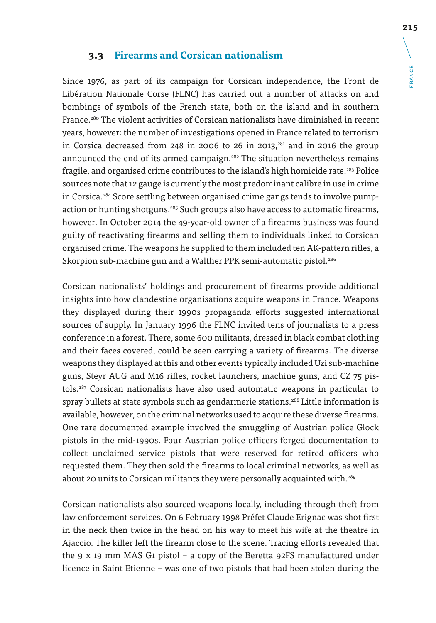### **3.3 Firearms and Corsican nationalism**

Since 1976, as part of its campaign for Corsican independence, the Front de Libération Nationale Corse (FLNC) has carried out a number of attacks on and bombings of symbols of the French state, both on the island and in southern France.<sup>280</sup> The violent activities of Corsican nationalists have diminished in recent years, however: the number of investigations opened in France related to terrorism in Corsica decreased from 248 in 2006 to 26 in 2013, $281$  and in 2016 the group announced the end of its armed campaign.<sup>282</sup> The situation nevertheless remains fragile, and organised crime contributes to the island's high homicide rate.<sup>283</sup> Police sources note that 12 gauge is currently the most predominant calibre in use in crime in Corsica.284 Score settling between organised crime gangs tends to involve pumpaction or hunting shotguns.<sup>285</sup> Such groups also have access to automatic firearms, however. In October 2014 the 49-year-old owner of a firearms business was found guilty of reactivating firearms and selling them to individuals linked to Corsican organised crime. The weapons he supplied to them included ten AK-pattern rifles, a Skorpion sub-machine gun and a Walther PPK semi-automatic pistol.<sup>286</sup>

Corsican nationalists' holdings and procurement of firearms provide additional insights into how clandestine organisations acquire weapons in France. Weapons they displayed during their 1990s propaganda efforts suggested international sources of supply. In January 1996 the FLNC invited tens of journalists to a press conference in a forest. There, some 600 militants, dressed in black combat clothing and their faces covered, could be seen carrying a variety of firearms. The diverse weapons they displayed at this and other events typically included Uzi sub-machine guns, Steyr AUG and M16 rifles, rocket launchers, machine guns, and CZ 75 pistols.287 Corsican nationalists have also used automatic weapons in particular to spray bullets at state symbols such as gendarmerie stations.<sup>288</sup> Little information is available, however, on the criminal networks used to acquire these diverse firearms. One rare documented example involved the smuggling of Austrian police Glock pistols in the mid-1990s. Four Austrian police officers forged documentation to collect unclaimed service pistols that were reserved for retired officers who requested them. They then sold the firearms to local criminal networks, as well as about 20 units to Corsican militants they were personally acquainted with.<sup>289</sup>

Corsican nationalists also sourced weapons locally, including through theft from law enforcement services. On 6 February 1998 Préfet Claude Erignac was shot first in the neck then twice in the head on his way to meet his wife at the theatre in Ajaccio. The killer left the firearm close to the scene. Tracing efforts revealed that the 9 x 19 mm MAS G1 pistol – a copy of the Beretta 92FS manufactured under licence in Saint Etienne – was one of two pistols that had been stolen during the FRANCE

**FRANCE**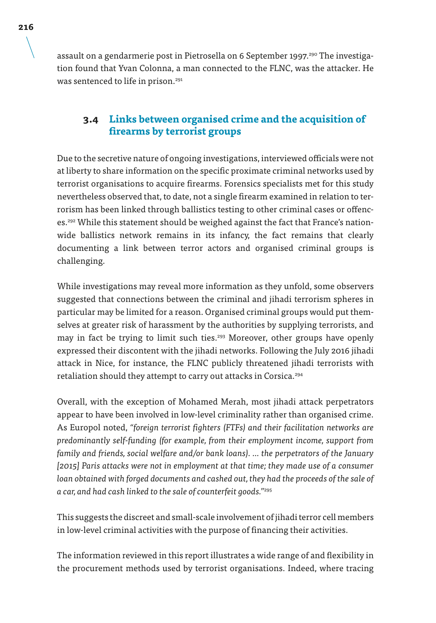assault on a gendarmerie post in Pietrosella on 6 September 1997.<sup>290</sup> The investigation found that Yvan Colonna, a man connected to the FLNC, was the attacker. He was sentenced to life in prison.<sup>291</sup>

### **3.4 Links between organised crime and the acquisition of firearms by terrorist groups**

Due to the secretive nature of ongoing investigations, interviewed officials were not at liberty to share information on the specific proximate criminal networks used by terrorist organisations to acquire firearms. Forensics specialists met for this study nevertheless observed that, to date, not a single firearm examined in relation to terrorism has been linked through ballistics testing to other criminal cases or offences.292 While this statement should be weighed against the fact that France's nationwide ballistics network remains in its infancy, the fact remains that clearly documenting a link between terror actors and organised criminal groups is challenging.

While investigations may reveal more information as they unfold, some observers suggested that connections between the criminal and jihadi terrorism spheres in particular may be limited for a reason. Organised criminal groups would put themselves at greater risk of harassment by the authorities by supplying terrorists, and may in fact be trying to limit such ties.<sup>293</sup> Moreover, other groups have openly expressed their discontent with the jihadi networks. Following the July 2016 jihadi attack in Nice, for instance, the FLNC publicly threatened jihadi terrorists with retaliation should they attempt to carry out attacks in Corsica.<sup>294</sup>

Overall, with the exception of Mohamed Merah, most jihadi attack perpetrators appear to have been involved in low-level criminality rather than organised crime. As Europol noted, *"foreign terrorist fighters (FTFs) and their facilitation networks are predominantly self-funding (for example, from their employment income, support from family and friends, social welfare and/or bank loans). … the perpetrators of the January [2015] Paris attacks were not in employment at that time; they made use of a consumer*  loan obtained with forged documents and cashed out, they had the proceeds of the sale of *a car, and had cash linked to the sale of counterfeit goods."*<sup>295</sup>

This suggests the discreet and small-scale involvement of jihadi terror cell members in low-level criminal activities with the purpose of financing their activities.

The information reviewed in this report illustrates a wide range of and flexibility in the procurement methods used by terrorist organisations. Indeed, where tracing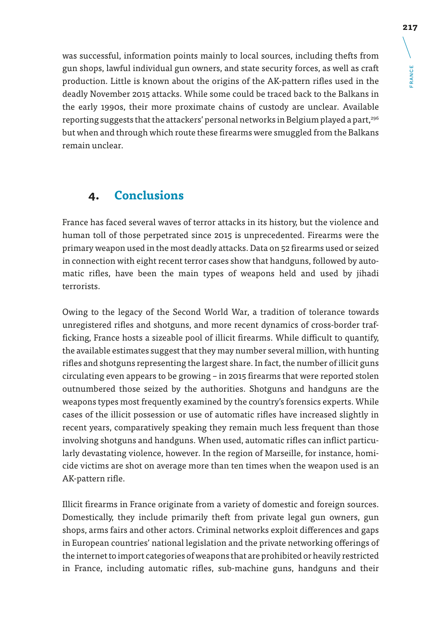was successful, information points mainly to local sources, including thefts from gun shops, lawful individual gun owners, and state security forces, as well as craft production. Little is known about the origins of the AK-pattern rifles used in the deadly November 2015 attacks. While some could be traced back to the Balkans in the early 1990s, their more proximate chains of custody are unclear. Available reporting suggests that the attackers' personal networks in Belgium played a part,296 but when and through which route these firearms were smuggled from the Balkans remain unclear.

## **4. Conclusions**

France has faced several waves of terror attacks in its history, but the violence and human toll of those perpetrated since 2015 is unprecedented. Firearms were the primary weapon used in the most deadly attacks. Data on 52 firearms used or seized in connection with eight recent terror cases show that handguns, followed by automatic rifles, have been the main types of weapons held and used by jihadi terrorists.

Owing to the legacy of the Second World War, a tradition of tolerance towards unregistered rifles and shotguns, and more recent dynamics of cross-border trafficking, France hosts a sizeable pool of illicit firearms. While difficult to quantify, the available estimates suggest that they may number several million, with hunting rifles and shotguns representing the largest share. In fact, the number of illicit guns circulating even appears to be growing – in 2015 firearms that were reported stolen outnumbered those seized by the authorities. Shotguns and handguns are the weapons types most frequently examined by the country's forensics experts. While cases of the illicit possession or use of automatic rifles have increased slightly in recent years, comparatively speaking they remain much less frequent than those involving shotguns and handguns. When used, automatic rifles can inflict particularly devastating violence, however. In the region of Marseille, for instance, homicide victims are shot on average more than ten times when the weapon used is an AK-pattern rifle.

Illicit firearms in France originate from a variety of domestic and foreign sources. Domestically, they include primarily theft from private legal gun owners, gun shops, arms fairs and other actors. Criminal networks exploit differences and gaps in European countries' national legislation and the private networking offerings of the internet to import categories of weapons that are prohibited or heavily restricted in France, including automatic rifles, sub-machine guns, handguns and their FRANCE

**FRANCE**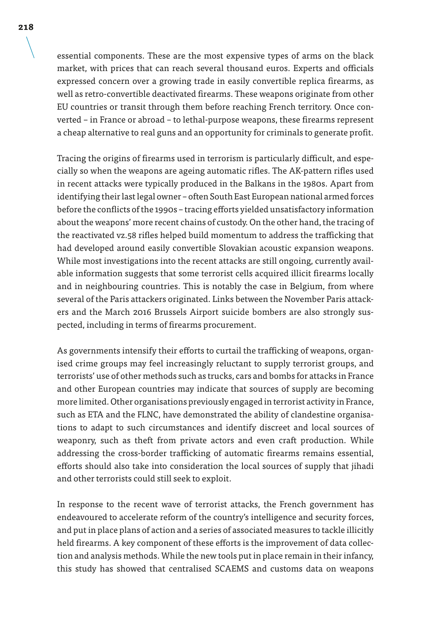essential components. These are the most expensive types of arms on the black market, with prices that can reach several thousand euros. Experts and officials expressed concern over a growing trade in easily convertible replica firearms, as well as retro-convertible deactivated firearms. These weapons originate from other EU countries or transit through them before reaching French territory. Once converted – in France or abroad – to lethal-purpose weapons, these firearms represent a cheap alternative to real guns and an opportunity for criminals to generate profit.

Tracing the origins of firearms used in terrorism is particularly difficult, and especially so when the weapons are ageing automatic rifles. The AK-pattern rifles used in recent attacks were typically produced in the Balkans in the 1980s. Apart from identifying their last legal owner – often South East European national armed forces before the conflicts of the 1990s – tracing efforts yielded unsatisfactory information about the weapons' more recent chains of custody. On the other hand, the tracing of the reactivated vz.58 rifles helped build momentum to address the trafficking that had developed around easily convertible Slovakian acoustic expansion weapons. While most investigations into the recent attacks are still ongoing, currently available information suggests that some terrorist cells acquired illicit firearms locally and in neighbouring countries. This is notably the case in Belgium, from where several of the Paris attackers originated. Links between the November Paris attackers and the March 2016 Brussels Airport suicide bombers are also strongly suspected, including in terms of firearms procurement.

As governments intensify their efforts to curtail the trafficking of weapons, organised crime groups may feel increasingly reluctant to supply terrorist groups, and terrorists' use of other methods such as trucks, cars and bombs for attacks in France and other European countries may indicate that sources of supply are becoming more limited. Other organisations previously engaged in terrorist activity in France, such as ETA and the FLNC, have demonstrated the ability of clandestine organisations to adapt to such circumstances and identify discreet and local sources of weaponry, such as theft from private actors and even craft production. While addressing the cross-border trafficking of automatic firearms remains essential, efforts should also take into consideration the local sources of supply that jihadi and other terrorists could still seek to exploit.

In response to the recent wave of terrorist attacks, the French government has endeavoured to accelerate reform of the country's intelligence and security forces, and put in place plans of action and a series of associated measures to tackle illicitly held firearms. A key component of these efforts is the improvement of data collection and analysis methods. While the new tools put in place remain in their infancy, this study has showed that centralised SCAEMS and customs data on weapons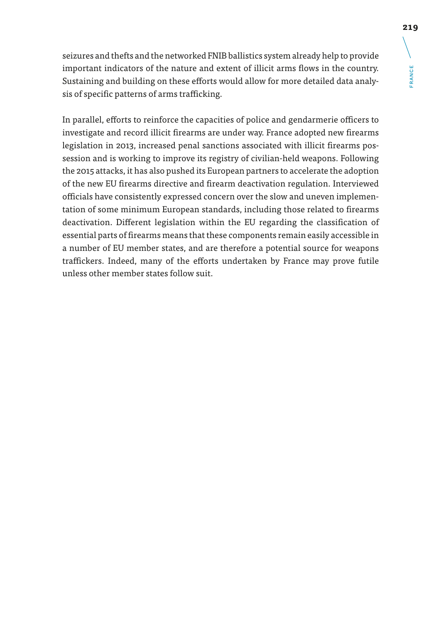**RANCE** FRANCE

seizures and thefts and the networked FNIB ballistics system already help to provide important indicators of the nature and extent of illicit arms flows in the country. Sustaining and building on these efforts would allow for more detailed data analysis of specific patterns of arms trafficking.

In parallel, efforts to reinforce the capacities of police and gendarmerie officers to investigate and record illicit firearms are under way. France adopted new firearms legislation in 2013, increased penal sanctions associated with illicit firearms possession and is working to improve its registry of civilian-held weapons. Following the 2015 attacks, it has also pushed its European partners to accelerate the adoption of the new EU firearms directive and firearm deactivation regulation. Interviewed officials have consistently expressed concern over the slow and uneven implementation of some minimum European standards, including those related to firearms deactivation. Different legislation within the EU regarding the classification of essential parts of firearms means that these components remain easily accessible in a number of EU member states, and are therefore a potential source for weapons traffickers. Indeed, many of the efforts undertaken by France may prove futile unless other member states follow suit.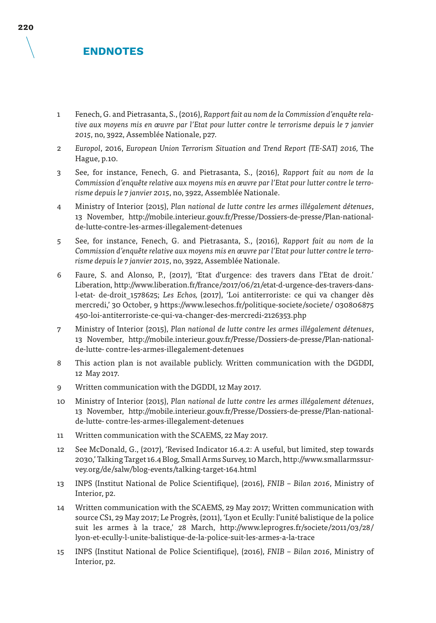### **ENDNOTES**

- 1 Fenech, G. and Pietrasanta, S., (2016), *Rapport fait au nom de la Commission d'enquête relative aux moyens mis en œuvre par l'Etat pour lutter contre le terrorisme depuis le 7 janvier 2015*, no, 3922, Assemblée Nationale, p27.
- 2 *Europol*, 2016, *European Union Terrorism Situation and Trend Report (TE-SAT) 2016,* The Hague, p.10.
- 3 See, for instance, Fenech, G. and Pietrasanta, S., (2016), *Rapport fait au nom de la Commission d'enquête relative aux moyens mis en œuvre par l'Etat pour lutter contre le terrorisme depuis le 7 janvier 2015*, no, 3922, Assemblée Nationale.
- 4 Ministry of Interior (2015), *Plan national de lutte contre les armes illégalement détenues*, 13 November, http://mobile.interieur.gouv.fr/Presse/Dossiers-de-presse/Plan-nationalde-lutte-contre-les-armes-illegalement-detenues
- 5 See, for instance, Fenech, G. and Pietrasanta, S., (2016), *Rapport fait au nom de la Commission d'enquête relative aux moyens mis en œuvre par l'Etat pour lutter contre le terrorisme depuis le 7 janvier 2015*, no, 3922, Assemblée Nationale.
- 6 Faure, S. and Alonso, P., (2017), 'Etat d'urgence: des travers dans l'Etat de droit.' Liberation, http://www.liberation.fr/france/2017/06/21/etat-d-urgence-des-travers-dansl-etat- de-droit\_1578625; *Les Echos,* (2017), 'Loi antiterroriste: ce qui va changer dès mercredi,' 30 October, 9 https://www.lesechos.fr/politique-societe/societe/ 030806875 450-loi-antiterroriste-ce-qui-va-changer-des-mercredi-2126353.php
- 7 Ministry of Interior (2015), *Plan national de lutte contre les armes illégalement détenues*, 13 November, http://mobile.interieur.gouv.fr/Presse/Dossiers-de-presse/Plan-nationalde-lutte- contre-les-armes-illegalement-detenues
- 8 This action plan is not available publicly. Written communication with the DGDDI, 12 May 2017.
- 9 Written communication with the DGDDI, 12 May 2017.
- 10 Ministry of Interior (2015), *Plan national de lutte contre les armes illégalement détenues*, 13 November, http://mobile.interieur.gouv.fr/Presse/Dossiers-de-presse/Plan-nationalde-lutte- contre-les-armes-illegalement-detenues
- 11 Written communication with the SCAEMS, 22 May 2017.
- 12 See McDonald, G., (2017), 'Revised Indicator 16.4.2: A useful, but limited, step towards 2030,' Talking Target 16.4 Blog, Small Arms Survey, 10 March, http://www.smallarmssurvey.org/de/salw/blog-events/talking-target-164.html
- 13 INPS (Institut National de Police Scientifique), (2016), *FNIB Bilan 2016*, Ministry of Interior, p2.
- 14 Written communication with the SCAEMS, 29 May 2017; Written communication with source CS1, 29 May 2017; Le Progrès, (2011), 'Lyon et Ecully: l'unité balistique de la police suit les armes à la trace,' 28 March, http://www.leprogres.fr/societe/2011/03/28/ lyon-et-ecully-l-unite-balistique-de-la-police-suit-les-armes-a-la-trace
- 15 INPS (Institut National de Police Scientifique), (2016), *FNIB Bilan 2016*, Ministry of Interior, p2.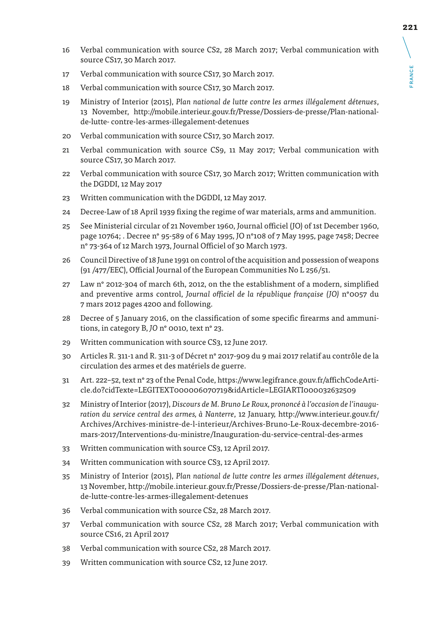- 16 Verbal communication with source CS2, 28 March 2017; Verbal communication with source CS17, 30 March 2017.
- 17 Verbal communication with source CS17, 30 March 2017.
- 18 Verbal communication with source CS17, 30 March 2017.
- 19 Ministry of Interior (2015), *Plan national de lutte contre les armes illégalement détenues*, 13 November, http://mobile.interieur.gouv.fr/Presse/Dossiers-de-presse/Plan-nationalde-lutte- contre-les-armes-illegalement-detenues
- 20 Verbal communication with source CS17, 30 March 2017.
- 21 Verbal communication with source CS9, 11 May 2017; Verbal communication with source CS17, 30 March 2017.
- 22 Verbal communication with source CS17, 30 March 2017; Written communication with the DGDDI, 12 May 2017
- 23 Written communication with the DGDDI, 12 May 2017.
- 24 Decree-Law of 18 April 1939 fixing the regime of war materials, arms and ammunition.
- 25 See Ministerial circular of 21 November 1960, Journal officiel (JO) of 1st December 1960, page 10764; . Decree n° 95-589 of 6 May 1995, JO n°108 of 7 May 1995, page 7458; Decree n° 73-364 of 12 March 1973, Journal Officiel of 30 March 1973.
- 26 Council Directive of 18 June 1991 on control of the acquisition and possession of weapons (91 /477/EEC), Official Journal of the European Communities No L 256/51.
- 27 Law n° 2012-304 of march 6th, 2012, on the the establishment of a modern, simplified and preventive arms control, *Journal officiel de la république française (JO)* n°0057 du 7 mars 2012 pages 4200 and following.
- 28 Decree of 5 January 2016, on the classification of some specific firearms and ammunitions, in category B, *JO* n° 0010, text n° 23.
- 29 Written communication with source CS3, 12 June 2017.
- 30 Articles R. 311-1 and R. 311-3 of Décret n° 2017-909 du 9 mai 2017 relatif au contrôle de la circulation des armes et des matériels de guerre.
- 31 Art. 222–52, text n° 23 of the Penal Code, https://www.legifrance.gouv.fr/affichCodeArticle.do?cidTexte=LEGITEXT000006070719&idArticle=LEGIARTI000032632509
- 32 Ministry of Interior (2017), *Discours de M. Bruno Le Roux, prononcé à l'occasion de l'inauguration du service central des armes, à Nanterre*, 12 January, http://www.interieur.gouv.fr/ Archives/Archives-ministre-de-l-interieur/Archives-Bruno-Le-Roux-decembre-2016 mars-2017/Interventions-du-ministre/Inauguration-du-service-central-des-armes
- 33 Written communication with source CS3, 12 April 2017.
- 34 Written communication with source CS3, 12 April 2017.
- 35 Ministry of Interior (2015), *Plan national de lutte contre les armes illégalement détenues*, 13 November, http://mobile.interieur.gouv.fr/Presse/Dossiers-de-presse/Plan-nationalde-lutte-contre-les-armes-illegalement-detenues
- 36 Verbal communication with source CS2, 28 March 2017.
- 37 Verbal communication with source CS2, 28 March 2017; Verbal communication with source CS16, 21 April 2017
- 38 Verbal communication with source CS2, 28 March 2017.
- 39 Written communication with source CS2, 12 June 2017.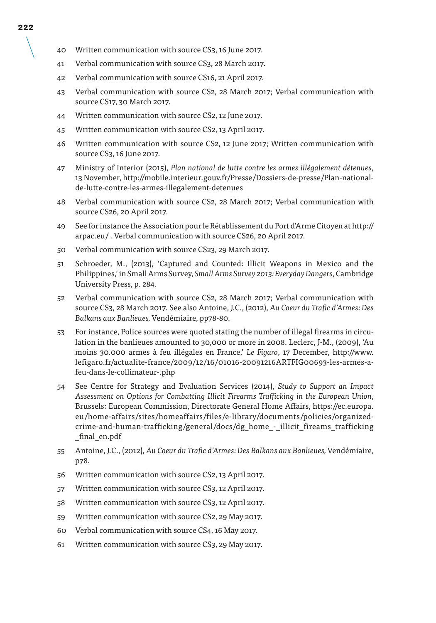- 40 Written communication with source CS3, 16 June 2017.
- 41 Verbal communication with source CS3, 28 March 2017.
- 42 Verbal communication with source CS16, 21 April 2017.
- 43 Verbal communication with source CS2, 28 March 2017; Verbal communication with source CS17, 30 March 2017.
- 44 Written communication with source CS2, 12 June 2017.
- 45 Written communication with source CS2, 13 April 2017.
- 46 Written communication with source CS2, 12 June 2017; Written communication with source CS3, 16 June 2017.
- 47 Ministry of Interior (2015), *Plan national de lutte contre les armes illégalement détenues*, 13 November, http://mobile.interieur.gouv.fr/Presse/Dossiers-de-presse/Plan-nationalde-lutte-contre-les-armes-illegalement-detenues
- 48 Verbal communication with source CS2, 28 March 2017; Verbal communication with source CS26, 20 April 2017.
- 49 See for instance the Association pour le Rétablissement du Port d'Arme Citoyen at http:// arpac.eu/ . Verbal communication with source CS26, 20 April 2017.
- 50 Verbal communication with source CS23, 29 March 2017.
- 51 Schroeder, M., (2013), 'Captured and Counted: Illicit Weapons in Mexico and the Philippines,' in Small Arms Survey*, Small Arms Survey 2013: Everyday Dangers*, Cambridge University Press, p. 284.
- 52 Verbal communication with source CS2, 28 March 2017; Verbal communication with source CS3, 28 March 2017. See also Antoine, J.C., (2012), *Au Coeur du Trafic d'Armes: Des Balkans aux Banlieues,* Vendémiaire, pp78-80.
- 53 For instance, Police sources were quoted stating the number of illegal firearms in circulation in the banlieues amounted to 30,000 or more in 2008. Leclerc, J-M., (2009), 'Au moins 30.000 armes à feu illégales en France,' *Le Figaro*, 17 December, http://www. lefigaro.fr/actualite-france/2009/12/16/01016-20091216ARTFIG00693-les-armes-afeu-dans-le-collimateur-.php
- 54 See Centre for Strategy and Evaluation Services (2014), *Study to Support an Impact Assessment on Options for Combatting Illicit Firearms Trafficking in the European Union*, Brussels: European Commission, Directorate General Home Affairs, https://ec.europa. eu/home-affairs/sites/homeaffairs/files/e-library/documents/policies/organizedcrime-and-human-trafficking/general/docs/dg\_home\_-\_illicit\_fireams\_trafficking \_final\_en.pdf
- 55 Antoine, J.C., (2012), *Au Coeur du Trafic d'Armes: Des Balkans aux Banlieues,* Vendémiaire, p78.
- 56 Written communication with source CS2, 13 April 2017.
- 57 Written communication with source CS3, 12 April 2017.
- 58 Written communication with source CS3, 12 April 2017.
- 59 Written communication with source CS2, 29 May 2017.
- 60 Verbal communication with source CS4, 16 May 2017.
- 61 Written communication with source CS3, 29 May 2017.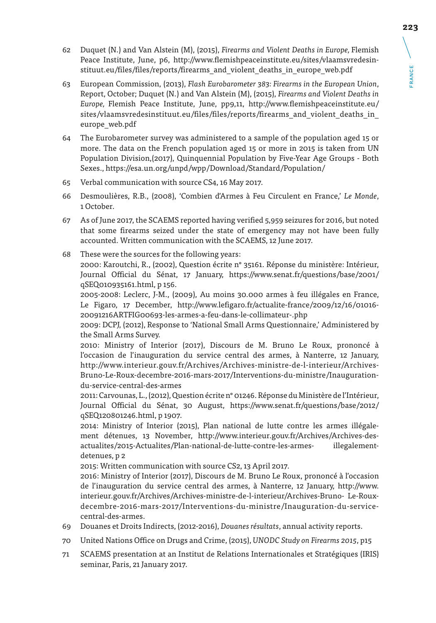- 62 Duquet (N.) and Van Alstein (M), (2015), *Firearms and Violent Deaths in Europe,* Flemish Peace Institute, June, p6, http://www.flemishpeaceinstitute.eu/sites/vlaamsvredesinstituut.eu/files/files/reports/firearms\_and\_violent\_deaths\_in\_europe\_web.pdf
- 63 European Commission, (2013), *Flash Eurobarometer 383: Firearms in the European Union*, Report, October; Duquet (N.) and Van Alstein (M), (2015), *Firearms and Violent Deaths in Europe,* Flemish Peace Institute, June, pp9,11, http://www.flemishpeaceinstitute.eu/ sites/vlaamsvredesinstituut.eu/files/files/reports/firearms\_and\_violent\_deaths\_in\_ europe\_web.pdf
- 64 The Eurobarometer survey was administered to a sample of the population aged 15 or more. The data on the French population aged 15 or more in 2015 is taken from UN Population Division,(2017), Quinquennial Population by Five-Year Age Groups - Both Sexes., https://esa.un.org/unpd/wpp/Download/Standard/Population/
- 65 Verbal communication with source CS4, 16 May 2017.
- 66 Desmoulières, R.B., (2008), 'Combien d'Armes à Feu Circulent en France,' *Le Monde*, 1 October.
- 67 As of June 2017, the SCAEMS reported having verified 5,959 seizures for 2016, but noted that some firearms seized under the state of emergency may not have been fully accounted. Written communication with the SCAEMS, 12 June 2017.
- 68 These were the sources for the following years: 2000: Karoutchi, R., (2002), Question écrite n° 35161. Réponse du ministère: Intérieur, Journal Official du Sénat, 17 January, https://www.senat.fr/questions/base/2001/ qSEQ010935161.html, p 156.

2005-2008: Leclerc, J-M., (2009), Au moins 30.000 armes à feu illégales en France, Le Figaro, 17 December, http://www.lefigaro.fr/actualite-france/2009/12/16/01016- 20091216ARTFIG00693-les-armes-a-feu-dans-le-collimateur-.php

2009: DCPJ, (2012), Response to 'National Small Arms Questionnaire,' Administered by the Small Arms Survey.

2010: Ministry of Interior (2017), Discours de M. Bruno Le Roux, prononcé à l'occasion de l'inauguration du service central des armes, à Nanterre, 12 January, http://www.interieur.gouv.fr/Archives/Archives-ministre-de-l-interieur/Archives-Bruno-Le-Roux-decembre-2016-mars-2017/Interventions-du-ministre/Inaugurationdu-service-central-des-armes

2011: Carvounas, L., (2012), Question écrite n° 01246. Réponse du Ministère de l'Intérieur, Journal Official du Sénat, 30 August, https://www.senat.fr/questions/base/2012/ qSEQ120801246.html, p 1907.

2014: Ministry of Interior (2015), Plan national de lutte contre les armes illégalement détenues, 13 November, http://www.interieur.gouv.fr/Archives/Archives-desactualites/2015-Actualites/Plan-national-de-lutte-contre-les-armes- illegalementdetenues, p 2

2015: Written communication with source CS2, 13 April 2017.

2016: Ministry of Interior (2017), Discours de M. Bruno Le Roux, prononcé à l'occasion de l'inauguration du service central des armes, à Nanterre, 12 January, http://www. interieur.gouv.fr/Archives/Archives-ministre-de-l-interieur/Archives-Bruno- Le-Rouxdecembre-2016-mars-2017/Interventions-du-ministre/Inauguration-du-servicecentral-des-armes.

- 69 Douanes et Droits Indirects, (2012-2016), *Douanes résultats*, annual activity reports.
- 70 United Nations Office on Drugs and Crime, (2015), *UNODC Study on Firearms 2015*, p15
- 71 SCAEMS presentation at an Institut de Relations Internationales et Stratégiques (IRIS) seminar, Paris, 21 January 2017.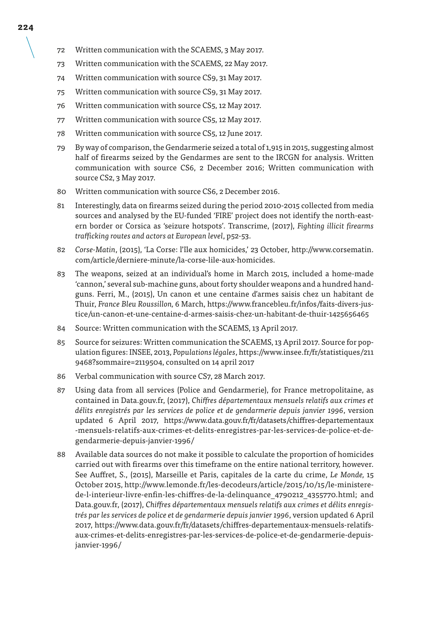- 72 Written communication with the SCAEMS, 3 May 2017.
- 73 Written communication with the SCAEMS, 22 May 2017.
- 74 Written communication with source CS9, 31 May 2017.
- 75 Written communication with source CS9, 31 May 2017.
- 76 Written communication with source CS5, 12 May 2017.
- 77 Written communication with source CS5, 12 May 2017.
- 78 Written communication with source CS5, 12 June 2017.
- 79 By way of comparison, the Gendarmerie seized a total of 1,915 in 2015, suggesting almost half of firearms seized by the Gendarmes are sent to the IRCGN for analysis. Written communication with source CS6, 2 December 2016; Written communication with source CS2, 3 May 2017.
- 80 Written communication with source CS6, 2 December 2016.
- 81 Interestingly, data on firearms seized during the period 2010-2015 collected from media sources and analysed by the EU-funded 'FIRE' project does not identify the north-eastern border or Corsica as 'seizure hotspots'. Transcrime, (2017), *Fighting illicit firearms trafficking routes and actors at European level*, p52-53.
- 82 *Corse-Matin*, (2015), 'La Corse: l'île aux homicides,' 23 October, http://www.corsematin. com/article/derniere-minute/la-corse-lile-aux-homicides.
- 83 The weapons, seized at an individual's home in March 2015, included a home-made 'cannon,' several sub-machine guns, about forty shoulder weapons and a hundred handguns. Ferri, M., (2015), Un canon et une centaine d'armes saisis chez un habitant de Thuir, *France Bleu Roussillon,* 6 March, https://www.francebleu.fr/infos/faits-divers-justice/un-canon-et-une-centaine-d-armes-saisis-chez-un-habitant-de-thuir-1425656465
- 84 Source: Written communication with the SCAEMS, 13 April 2017.
- 85 Source for seizures: Written communication the SCAEMS, 13 April 2017. Source for population figures: INSEE, 2013, *Populations légales*, https://www.insee.fr/fr/statistiques/211 9468?sommaire=2119504, consulted on 14 april 2017
- 86 Verbal communication with source CS7, 28 March 2017.
- 87 Using data from all services (Police and Gendarmerie), for France metropolitaine, as contained in Data.gouv.fr, (2017), *Chiffres départementaux mensuels relatifs aux crimes et délits enregistrés par les services de police et de gendarmerie depuis janvier 1996*, version updated 6 April 2017, https://www.data.gouv.fr/fr/datasets/chiffres-departementaux -mensuels-relatifs-aux-crimes-et-delits-enregistres-par-les-services-de-police-et-degendarmerie-depuis-janvier-1996/
- 88 Available data sources do not make it possible to calculate the proportion of homicides carried out with firearms over this timeframe on the entire national territory, however. See Auffret, S., (2015), Marseille et Paris, capitales de la carte du crime, *Le Monde,* 15 October 2015, http://www.lemonde.fr/les-decodeurs/article/2015/10/15/le-ministerede-l-interieur-livre-enfin-les-chiffres-de-la-delinquance\_4790212\_4355770.html; and Data.gouv.fr, (2017), *Chiffres départementaux mensuels relatifs aux crimes et délits enregistrés par les services de police et de gendarmerie depuis janvier 1996*, version updated 6 April 2017, https://www.data.gouv.fr/fr/datasets/chiffres-departementaux-mensuels-relatifsaux-crimes-et-delits-enregistres-par-les-services-de-police-et-de-gendarmerie-depuisjanvier-1996/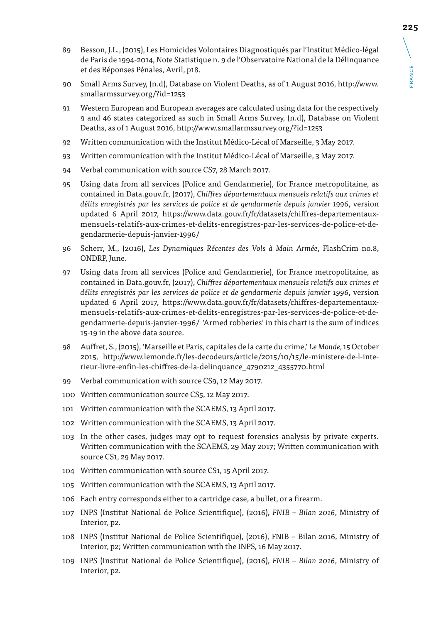- 89 Besson, J.L., (2015), Les Homicides Volontaires Diagnostiqués par l'Institut Médico-légal de Paris de 1994-2014, Note Statistique n. 9 de l'Observatoire National de la Délinquance et des Réponses Pénales, Avril, p18.
- 90 Small Arms Survey, (n.d), Database on Violent Deaths, as of 1 August 2016, http://www. smallarmssurvey.org/?id=1253
- 91 Western European and European averages are calculated using data for the respectively 9 and 46 states categorized as such in Small Arms Survey, (n.d), Database on Violent Deaths, as of 1 August 2016, http://www.smallarmssurvey.org/?id=1253
- 92 Written communication with the Institut Médico-Lécal of Marseille, 3 May 2017.
- 93 Written communication with the Institut Médico-Lécal of Marseille, 3 May 2017.
- 94 Verbal communication with source CS7, 28 March 2017.
- 95 Using data from all services (Police and Gendarmerie), for France metropolitaine, as contained in Data.gouv.fr, (2017), *Chiffres départementaux mensuels relatifs aux crimes et délits enregistrés par les services de police et de gendarmerie depuis janvier 1996*, version updated 6 April 2017, https://www.data.gouv.fr/fr/datasets/chiffres-departementauxmensuels-relatifs-aux-crimes-et-delits-enregistres-par-les-services-de-police-et-degendarmerie-depuis-janvier-1996/
- 96 Scherr, M., (2016), *Les Dynamiques Récentes des Vols à Main Armée*, FlashCrim no.8, ONDRP, June.
- 97 Using data from all services (Police and Gendarmerie), for France metropolitaine, as contained in Data.gouv.fr, (2017), *Chiffres départementaux mensuels relatifs aux crimes et délits enregistrés par les services de police et de gendarmerie depuis janvier 1996*, version updated 6 April 2017, https://www.data.gouv.fr/fr/datasets/chiffres-departementauxmensuels-relatifs-aux-crimes-et-delits-enregistres-par-les-services-de-police-et-degendarmerie-depuis-janvier-1996/ 'Armed robberies' in this chart is the sum of indices 15-19 in the above data source.
- 98 Auffret, S., (2015), 'Marseille et Paris, capitales de la carte du crime,' *Le Monde,* 15 October 2015, http://www.lemonde.fr/les-decodeurs/article/2015/10/15/le-ministere-de-l-interieur-livre-enfin-les-chiffres-de-la-delinquance\_4790212\_4355770.html
- 99 Verbal communication with source CS9, 12 May 2017.
- 100 Written communication source CS5, 12 May 2017.
- 101 Written communication with the SCAEMS, 13 April 2017.
- 102 Written communication with the SCAEMS, 13 April 2017.
- 103 In the other cases, judges may opt to request forensics analysis by private experts. Written communication with the SCAEMS, 29 May 2017; Written communication with source CS1, 29 May 2017.
- 104 Written communication with source CS1, 15 April 2017.
- 105 Written communication with the SCAEMS, 13 April 2017.
- 106 Each entry corresponds either to a cartridge case, a bullet, or a firearm.
- 107 INPS (Institut National de Police Scientifique), (2016), *FNIB Bilan 2016*, Ministry of Interior, p2.
- 108 INPS (Institut National de Police Scientifique), (2016), FNIB Bilan 2016, Ministry of Interior, p2; Written communication with the INPS, 16 May 2017.
- 109 INPS (Institut National de Police Scientifique), (2016), *FNIB Bilan 2016*, Ministry of Interior, p2.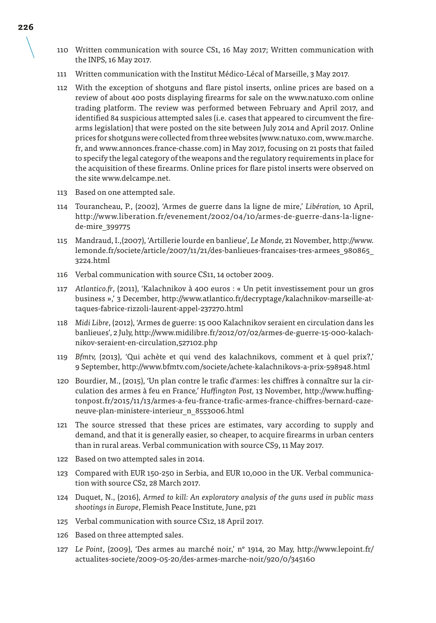- 110 Written communication with source CS1, 16 May 2017; Written communication with the INPS, 16 May 2017.
- 111 Written communication with the Institut Médico-Lécal of Marseille, 3 May 2017.
- 112 With the exception of shotguns and flare pistol inserts, online prices are based on a review of about 400 posts displaying firearms for sale on the www.natuxo.com online trading platform. The review was performed between February and April 2017, and identified 84 suspicious attempted sales (i.e. cases that appeared to circumvent the firearms legislation) that were posted on the site between July 2014 and April 2017. Online prices for shotguns were collected from three websites (www.natuxo.com, www.marche. fr, and www.annonces.france-chasse.com) in May 2017, focusing on 21 posts that failed to specify the legal category of the weapons and the regulatory requirements in place for the acquisition of these firearms. Online prices for flare pistol inserts were observed on the site www.delcampe.net.
- 113 Based on one attempted sale.
- 114 Tourancheau, P., (2002), 'Armes de guerre dans la ligne de mire,' *Libération,* 10 April, http://www.liberation.fr/evenement/2002/04/10/armes-de-guerre-dans-la-lignede-mire\_399775
- 115 Mandraud, I.,(2007), 'Artillerie lourde en banlieue', *Le Monde,* 21 November, http://www. lemonde.fr/societe/article/2007/11/21/des-banlieues-francaises-tres-armees\_980865\_ 3224.html
- 116 Verbal communication with source CS11, 14 october 2009.
- 117 *Atlantico.fr*, (2011), 'Kalachnikov à 400 euros : « Un petit investissement pour un gros business »,' 3 December, http://www.atlantico.fr/decryptage/kalachnikov-marseille-attaques-fabrice-rizzoli-laurent-appel-237270.html
- 118 *Midi Libre*, (2012), 'Armes de guerre: 15 000 Kalachnikov seraient en circulation dans les banlieues', 2 July, http://www.midilibre.fr/2012/07/02/armes-de-guerre-15-000-kalachnikov-seraient-en-circulation,527102.php
- 119 *Bfmtv,* (2013), 'Qui achète et qui vend des kalachnikovs, comment et à quel prix?,' 9 September, http://www.bfmtv.com/societe/achete-kalachnikovs-a-prix-598948.html
- 120 Bourdier, M., (2015), 'Un plan contre le trafic d'armes: les chiffres à connaître sur la circulation des armes à feu en France*,' Huffington Post,* 13 November, http://www.huffingtonpost.fr/2015/11/13/armes-a-feu-france-trafic-armes-france-chiffres-bernard-cazeneuve-plan-ministere-interieur\_n\_8553006.html
- 121 The source stressed that these prices are estimates, vary according to supply and demand, and that it is generally easier, so cheaper, to acquire firearms in urban centers than in rural areas. Verbal communication with source CS9, 11 May 2017.
- 122 Based on two attempted sales in 2014.
- 123 Compared with EUR 150-250 in Serbia, and EUR 10,000 in the UK. Verbal communication with source CS2, 28 March 2017.
- 124 Duquet, N., (2016), *Armed to kill: An exploratory analysis of the guns used in public mass shootings in Europe*, Flemish Peace Institute, June, p21
- 125 Verbal communication with source CS12, 18 April 2017.
- 126 Based on three attempted sales.
- 127 *Le Point*, (2009), 'Des armes au marché noir,' n° 1914, 20 May, http://www.lepoint.fr/ actualites-societe/2009-05-20/des-armes-marche-noir/920/0/345160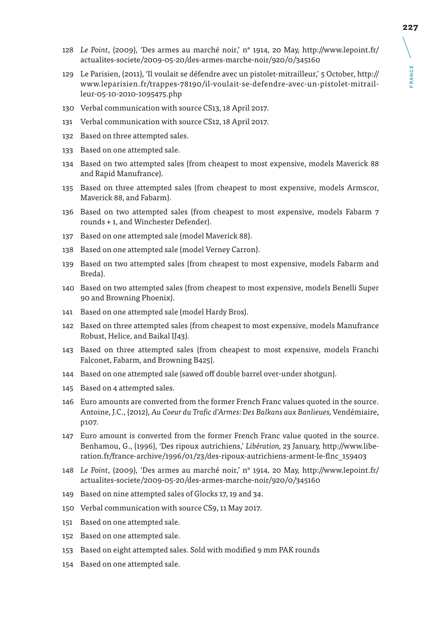FRANCE

**RANCE** 

- *Le Point*, (2009), 'Des armes au marché noir,' n° 1914, 20 May, http://www.lepoint.fr/ actualites-societe/2009-05-20/des-armes-marche-noir/920/0/345160
- Le Parisien, (2011), 'Il voulait se défendre avec un pistolet-mitrailleur,' 5 October, http:// www.leparisien.fr/trappes-78190/il-voulait-se-defendre-avec-un-pistolet-mitrailleur-05-10-2010-1095475.php
- Verbal communication with source CS13, 18 April 2017.
- Verbal communication with source CS12, 18 April 2017.
- Based on three attempted sales.
- Based on one attempted sale.
- Based on two attempted sales (from cheapest to most expensive, models Maverick 88 and Rapid Manufrance).
- Based on three attempted sales (from cheapest to most expensive, models Armscor, Maverick 88, and Fabarm).
- Based on two attempted sales (from cheapest to most expensive, models Fabarm 7 rounds + 1, and Winchester Defender).
- Based on one attempted sale (model Maverick 88).
- Based on one attempted sale (model Verney Carron).
- Based on two attempted sales (from cheapest to most expensive, models Fabarm and Breda).
- Based on two attempted sales (from cheapest to most expensive, models Benelli Super 90 and Browning Phoenix).
- Based on one attempted sale (model Hardy Bros).
- Based on three attempted sales (from cheapest to most expensive, models Manufrance Robust, Helice, and Baikal IJ43).
- Based on three attempted sales (from cheapest to most expensive, models Franchi Falconet, Fabarm, and Browning B425).
- Based on one attempted sale (sawed off double barrel over-under shotgun).
- Based on 4 attempted sales.
- Euro amounts are converted from the former French Franc values quoted in the source. Antoine, J.C., (2012), *Au Coeur du Trafic d'Armes: Des Balkans aux Banlieues,* Vendémiaire, p107.
- Euro amount is converted from the former French Franc value quoted in the source. Benhamou, G., (1996), 'Des ripoux autrichiens,' *Libération,* 23 January, http://www.liberation.fr/france-archive/1996/01/23/des-ripoux-autrichiens-arment-le-flnc\_159403
- *Le Point*, (2009), 'Des armes au marché noir,' n° 1914, 20 May, http://www.lepoint.fr/ actualites-societe/2009-05-20/des-armes-marche-noir/920/0/345160
- Based on nine attempted sales of Glocks 17, 19 and 34.
- Verbal communication with source CS9, 11 May 2017.
- Based on one attempted sale.
- Based on one attempted sale.
- Based on eight attempted sales. Sold with modified 9 mm PAK rounds
- Based on one attempted sale.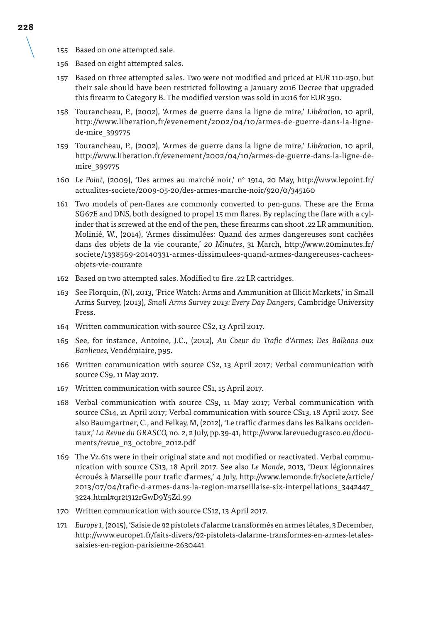- 155 Based on one attempted sale.
- 156 Based on eight attempted sales.
- 157 Based on three attempted sales. Two were not modified and priced at EUR 110-250, but their sale should have been restricted following a January 2016 Decree that upgraded this firearm to Category B. The modified version was sold in 2016 for EUR 350.
- 158 Tourancheau, P., (2002), 'Armes de guerre dans la ligne de mire,' *Libération,* 10 april, http://www.liberation.fr/evenement/2002/04/10/armes-de-guerre-dans-la-lignede-mire\_399775
- 159 Tourancheau, P., (2002), 'Armes de guerre dans la ligne de mire,' *Libération,* 10 april, http://www.liberation.fr/evenement/2002/04/10/armes-de-guerre-dans-la-ligne-demire\_399775
- 160 *Le Point*, (2009), 'Des armes au marché noir,' n° 1914, 20 May, http://www.lepoint.fr/ actualites-societe/2009-05-20/des-armes-marche-noir/920/0/345160
- 161 Two models of pen-flares are commonly converted to pen-guns. These are the Erma SG67E and DNS, both designed to propel 15 mm flares. By replacing the flare with a cylinder that is screwed at the end of the pen, these firearms can shoot .22 LR ammunition. Molinié, W., (2014), 'Armes dissimulées: Quand des armes dangereuses sont cachées dans des objets de la vie courante,' *20 Minutes*, 31 March, http://www.20minutes.fr/ societe/1338569-20140331-armes-dissimulees-quand-armes-dangereuses-cacheesobjets-vie-courante
- 162 Based on two attempted sales. Modified to fire .22 LR cartridges.
- 163 See Florquin, (N), 2013, 'Price Watch: Arms and Ammunition at Illicit Markets,' in Small Arms Survey, (2013), *Small Arms Survey 2013: Every Day Dangers*, Cambridge University Press.
- 164 Written communication with source CS2, 13 April 2017.
- 165 See, for instance, Antoine, J.C., (2012), *Au Coeur du Trafic d'Armes: Des Balkans aux Banlieues,* Vendémiaire, p95.
- 166 Written communication with source CS2, 13 April 2017; Verbal communication with source CS9, 11 May 2017.
- 167 Written communication with source CS1, 15 April 2017.
- 168 Verbal communication with source CS9, 11 May 2017; Verbal communication with source CS14, 21 April 2017; Verbal communication with source CS13, 18 April 2017. See also Baumgartner, C., and Felkay, M, (2012), 'Le traffic d'armes dans les Balkans occidentaux,' *La Revue du GRASCO,* no. 2, 2 July, pp.39-41, http://www.larevuedugrasco.eu/documents/revue\_n3\_octobre\_2012.pdf
- 169 The Vz.61s were in their original state and not modified or reactivated. Verbal communication with source CS13, 18 April 2017. See also *Le Monde*, 2013, 'Deux légionnaires écroués à Marseille pour trafic d'armes,' 4 July, http://www.lemonde.fr/societe/article/ 2013/07/04/trafic-d-armes-dans-la-region-marseillaise-six-interpellations\_3442447\_ 3224.html#qr2t312rGwD9Y5Zd.99
- 170 Written communication with source CS12, 13 April 2017.
- 171 *Europe 1*, (2015), 'Saisie de 92 pistolets d'alarme transformés en armes létales, 3 December, http://www.europe1.fr/faits-divers/92-pistolets-dalarme-transformes-en-armes-letalessaisies-en-region-parisienne-2630441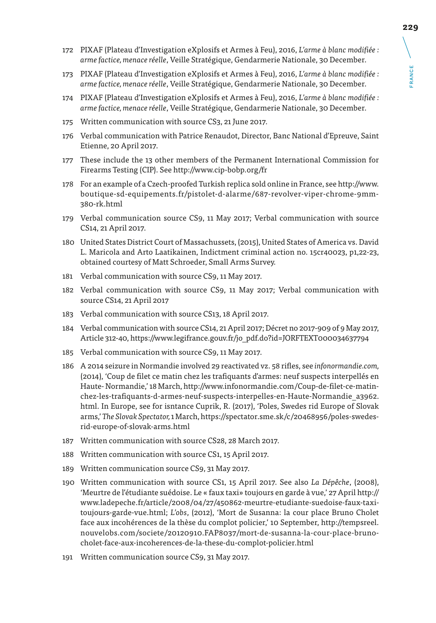- 172 PIXAF (Plateau d'Investigation eXplosifs et Armes à Feu), 2016, *L'arme à blanc modifiée : arme factice, menace réelle*, Veille Stratégique, Gendarmerie Nationale, 30 December.
- 173 PIXAF (Plateau d'Investigation eXplosifs et Armes à Feu), 2016, *L'arme à blanc modifiée : arme factice, menace réelle*, Veille Stratégique, Gendarmerie Nationale, 30 December.
- 174 PIXAF (Plateau d'Investigation eXplosifs et Armes à Feu), 2016, *L'arme à blanc modifiée : arme factice, menace réelle*, Veille Stratégique, Gendarmerie Nationale, 30 December.
- 175 Written communication with source CS3, 21 June 2017.
- 176 Verbal communication with Patrice Renaudot, Director, Banc National d'Epreuve, Saint Etienne, 20 April 2017.
- 177 These include the 13 other members of the Permanent International Commission for Firearms Testing (CIP). See http://www.cip-bobp.org/fr
- 178 For an example of a Czech-proofed Turkish replica sold online in France, see http://www. boutique-sd-equipements.fr/pistolet-d-alarme/687-revolver-viper-chrome-9mm-380-rk.html
- 179 Verbal communication source CS9, 11 May 2017; Verbal communication with source CS14, 21 April 2017.
- 180 United States District Court of Massachussets, (2015), United States of America vs. David L. Maricola and Arto Laatikainen, Indictment criminal action no. 15cr40023, p1,22-23, obtained courtesy of Matt Schroeder, Small Arms Survey.
- 181 Verbal communication with source CS9, 11 May 2017.
- 182 Verbal communication with source CS9, 11 May 2017; Verbal communication with source CS14, 21 April 2017
- 183 Verbal communication with source CS13, 18 April 2017.
- 184 Verbal communication with source CS14, 21 April 2017; Décret no 2017-909 of 9 May 2017, Article 312-40, https://www.legifrance.gouv.fr/jo\_pdf.do?id=JORFTEXT000034637794
- 185 Verbal communication with source CS9, 11 May 2017.
- 186 A 2014 seizure in Normandie involved 29 reactivated vz. 58 rifles, see *infonormandie.com,*  (2014), 'Coup de filet ce matin chez les trafiquants d'armes: neuf suspects interpellés en Haute- Normandie,' 18 March, http://www.infonormandie.com/Coup-de-filet-ce-matinchez-les-trafiquants-d-armes-neuf-suspects-interpelles-en-Haute-Normandie\_a3962. html. In Europe, see for isntance Cuprik, R. (2017), 'Poles, Swedes rid Europe of Slovak arms,' *The Slovak Spectator,* 1 March, https://spectator.sme.sk/c/20468956/poles-swedesrid-europe-of-slovak-arms.html
- 187 Written communication with source CS28, 28 March 2017.
- 188 Written communication with source CS1, 15 April 2017.
- 189 Written communication source CS9, 31 May 2017.
- 190 Written communication with source CS1, 15 April 2017. See also *La Dépêche*, (2008), 'Meurtre de l'étudiante suédoise. Le « faux taxi» toujours en garde à vue,' 27 April http:// www.ladepeche.fr/article/2008/04/27/450862-meurtre-etudiante-suedoise-faux-taxitoujours-garde-vue.html; *L'obs*, (2012), 'Mort de Susanna: la cour place Bruno Cholet face aux incohérences de la thèse du complot policier,' 10 September, http://tempsreel. nouvelobs.com/societe/20120910.FAP8037/mort-de-susanna-la-cour-place-brunocholet-face-aux-incoherences-de-la-these-du-complot-policier.html
- 191 Written communication source CS9, 31 May 2017.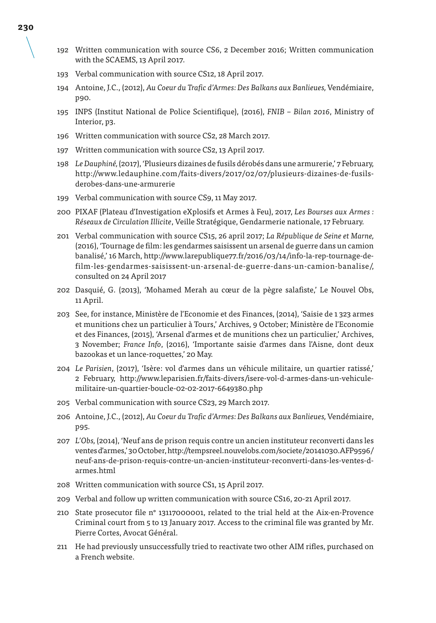- 192 Written communication with source CS6, 2 December 2016; Written communication with the SCAEMS, 13 April 2017.
- 193 Verbal communication with source CS12, 18 April 2017.
- 194 Antoine, J.C., (2012), *Au Coeur du Trafic d'Armes: Des Balkans aux Banlieues,* Vendémiaire, p90.
- 195 INPS (Institut National de Police Scientifique), (2016), *FNIB Bilan 2016*, Ministry of Interior, p3.
- 196 Written communication with source CS2, 28 March 2017.
- 197 Written communication with source CS2, 13 April 2017.
- 198 *Le Dauphiné,* (2017), 'Plusieurs dizaines de fusils dérobés dans une armurerie,' 7 February, http://www.ledauphine.com/faits-divers/2017/02/07/plusieurs-dizaines-de-fusilsderobes-dans-une-armurerie
- 199 Verbal communication with source CS9, 11 May 2017.
- 200 PIXAF (Plateau d'Investigation eXplosifs et Armes à Feu), 2017, *Les Bourses aux Armes : Réseaux de Circulation Illicite*, Veille Stratégique, Gendarmerie nationale, 17 February.
- 201 Verbal communication with source CS15, 26 april 2017; *La République de Seine et Marne,* (2016), 'Tournage de film: les gendarmes saisissent un arsenal de guerre dans un camion banalisé,' 16 March, http://www.larepublique77.fr/2016/03/14/info-la-rep-tournage-defilm-les-gendarmes-saisissent-un-arsenal-de-guerre-dans-un-camion-banalise/, consulted on 24 April 2017
- 202 Dasquié, G. (2013), 'Mohamed Merah au cœur de la pègre salafiste,' Le Nouvel Obs, 11 April.
- 203 See, for instance, Ministère de l'Economie et des Finances, (2014), 'Saisie de 1 323 armes et munitions chez un particulier à Tours,' Archives, 9 October; Ministère de l'Economie et des Finances, (2015), 'Arsenal d'armes et de munitions chez un particulier,' Archives, 3 November; *France Info*, (2016), 'Importante saisie d'armes dans l'Aisne, dont deux bazookas et un lance-roquettes,' 20 May.
- 204 *Le Parisien*, (2017), 'Isère: vol d'armes dans un véhicule militaire, un quartier ratissé,' 2 February, http://www.leparisien.fr/faits-divers/isere-vol-d-armes-dans-un-vehiculemilitaire-un-quartier-boucle-02-02-2017-6649380.php
- 205 Verbal communication with source CS23, 29 March 2017.
- 206 Antoine, J.C., (2012), *Au Coeur du Trafic d'Armes: Des Balkans aux Banlieues,* Vendémiaire, p95.
- 207 *L'Obs,* (2014), 'Neuf ans de prison requis contre un ancien instituteur reconverti dans les ventes d'armes,' 30 October, http://tempsreel.nouvelobs.com/societe/20141030.AFP9596/ neuf-ans-de-prison-requis-contre-un-ancien-instituteur-reconverti-dans-les-ventes-darmes.html
- 208 Written communication with source CS1, 15 April 2017.
- 209 Verbal and follow up written communication with source CS16, 20-21 April 2017.
- 210 State prosecutor file n° 13117000001, related to the trial held at the Aix-en-Provence Criminal court from 5 to 13 January 2017. Access to the criminal file was granted by Mr. Pierre Cortes, Avocat Général.
- 211 He had previously unsuccessfully tried to reactivate two other AIM rifles, purchased on a French website.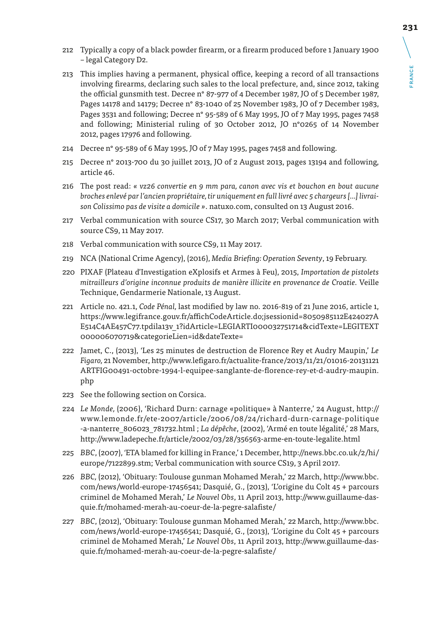- 212 Typically a copy of a black powder firearm, or a firearm produced before 1 January 1900 – legal Category D2.
- 213 This implies having a permanent, physical office, keeping a record of all transactions involving firearms, declaring such sales to the local prefecture, and, since 2012, taking the official gunsmith test. Decree n° 87-977 of 4 December 1987, JO of 5 December 1987, Pages 14178 and 14179; Decree n° 83-1040 of 25 November 1983, JO of 7 December 1983, Pages 3531 and following; Decree n° 95-589 of 6 May 1995, JO of 7 May 1995, pages 7458 and following; Ministerial ruling of 30 October 2012, JO n°0265 of 14 November 2012, pages 17976 and following.
- 214 Decree n° 95-589 of 6 May 1995, JO of 7 May 1995, pages 7458 and following.
- 215 Decree n° 2013-700 du 30 juillet 2013, JO of 2 August 2013, pages 13194 and following, article 46.
- 216 The post read: *« vz26 convertie en 9 mm para, canon avec vis et bouchon en bout aucune broches enlevé par l'ancien propriétaire, tir uniquement en full livré avec 5 chargeurs […] livraison Colissimo pas de visite a domicile »*. natuxo.com, consulted on 13 August 2016.
- 217 Verbal communication with source CS17, 30 March 2017; Verbal communication with source CS9, 11 May 2017.
- 218 Verbal communication with source CS9, 11 May 2017.
- 219 NCA (National Crime Agency), (2016), *Media Briefing: Operation Seventy*, 19 February.
- 220 PIXAF (Plateau d'Investigation eXplosifs et Armes à Feu), 2015, *Importation de pistolets mitrailleurs d'origine inconnue produits de manière illicite en provenance de Croatie.* Veille Technique, Gendarmerie Nationale, 13 August.
- 221 Article no. 421.1, *Code Pénal,* last modified by law no. 2016-819 of 21 June 2016, article 1, https://www.legifrance.gouv.fr/affichCodeArticle.do;jsessionid=8050985112E424027A E514C4AE457C77.tpdila13v\_1?idArticle=LEGIARTI000032751714&cidTexte=LEGITEXT 000006070719&categorieLien=id&dateTexte=
- 222 Jamet, C., (2013), 'Les 25 minutes de destruction de Florence Rey et Audry Maupin,' *Le Figaro,* 21 November, http://www.lefigaro.fr/actualite-france/2013/11/21/01016-20131121 ARTFIG00491-octobre-1994-l-equipee-sanglante-de-florence-rey-et-d-audry-maupin. php
- 223 See the following section on Corsica.
- 224 *Le Monde,* (2006), 'Richard Durn: carnage «politique» à Nanterre,' 24 August, http:// www.lemonde.fr/ete-2007/article/2006/08/24/richard-durn-carnage-politique -a-nanterre\_806023\_781732.html ; *La dépêche*, (2002), 'Armé en toute légalité,' 28 Mars, http://www.ladepeche.fr/article/2002/03/28/356563-arme-en-toute-legalite.html
- 225 *BBC*, (2007), *'*ETA blamed for killing in France,' 1 December, http://news.bbc.co.uk/2/hi/ europe/7122899.stm; Verbal communication with source CS19, 3 April 2017.
- 226 *BBC,* (2012), 'Obituary: Toulouse gunman Mohamed Merah,' 22 March, http://www.bbc. com/news/world-europe-17456541; Dasquié, G., (2013), 'L'origine du Colt 45 + parcours criminel de Mohamed Merah,' *Le Nouvel Obs*, 11 April 2013, http://www.guillaume-dasquie.fr/mohamed-merah-au-coeur-de-la-pegre-salafiste/
- 227 *BBC*, (2012), 'Obituary: Toulouse gunman Mohamed Merah,' 22 March, http://www.bbc. com/news/world-europe-17456541; Dasquié, G., (2013), 'L'origine du Colt 45 + parcours criminel de Mohamed Merah,' *Le Nouvel Obs*, 11 April 2013, http://www.guillaume-dasquie.fr/mohamed-merah-au-coeur-de-la-pegre-salafiste/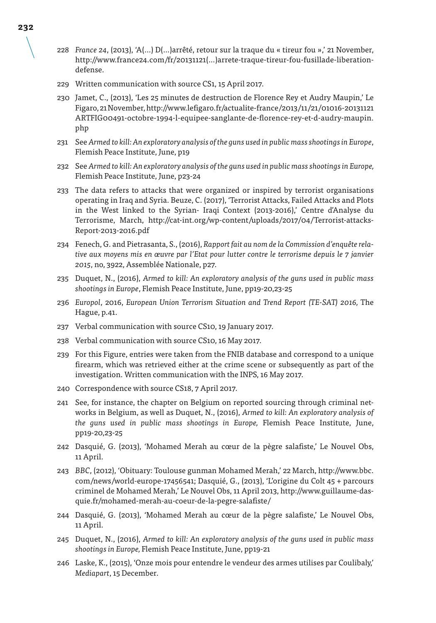- 228 *France 24*, (2013), 'A(…) D(…)arrêté, retour sur la traque du « tireur fou »,' 21 November, http://www.france24.com/fr/20131121(…)arrete-traque-tireur-fou-fusillade-liberationdefense.
- 229 Written communication with source CS1, 15 April 2017.
- 230 Jamet, C., (2013), 'Les 25 minutes de destruction de Florence Rey et Audry Maupin,' Le Figaro, 21 November, http://www.lefigaro.fr/actualite-france/2013/11/21/01016-20131121 ARTFIG00491-octobre-1994-l-equipee-sanglante-de-florence-rey-et-d-audry-maupin. php
- 231 See *Armed to kill: An exploratory analysis of the guns used in public mass shootings in Europe*, Flemish Peace Institute, June, p19
- 232 See *Armed to kill: An exploratory analysis of the guns used in public mass shootings in Europe,*  Flemish Peace Institute, June, p23-24
- 233 The data refers to attacks that were organized or inspired by terrorist organisations operating in Iraq and Syria. Beuze, C. (2017), 'Terrorist Attacks, Failed Attacks and Plots in the West linked to the Syrian- Iraqi Context (2013-2016),' Centre d'Analyse du Terrorisme, March, http://cat-int.org/wp-content/uploads/2017/04/Terrorist-attacks-Report-2013-2016.pdf
- 234 Fenech, G. and Pietrasanta, S., (2016), *Rapport fait au nom de la Commission d'enquête relative aux moyens mis en œuvre par l'Etat pour lutter contre le terrorisme depuis le 7 janvier 2015*, no, 3922, Assemblée Nationale, p27.
- 235 Duquet, N., (2016), *Armed to kill: An exploratory analysis of the guns used in public mass shootings in Europe*, Flemish Peace Institute, June, pp19-20,23-25
- 236 *Europol*, 2016, *European Union Terrorism Situation and Trend Report (TE-SAT) 2016,* The Hague, p.41.
- 237 Verbal communication with source CS10, 19 January 2017.
- 238 Verbal communication with source CS10, 16 May 2017.
- 239 For this Figure, entries were taken from the FNIB database and correspond to a unique firearm, which was retrieved either at the crime scene or subsequently as part of the investigation. Written communication with the INPS, 16 May 2017.
- 240 Correspondence with source CS18, 7 April 2017.
- 241 See, for instance, the chapter on Belgium on reported sourcing through criminal networks in Belgium, as well as Duquet, N., (2016), *Armed to kill: An exploratory analysis of the guns used in public mass shootings in Europe,* Flemish Peace Institute, June, pp19-20,23-25
- 242 Dasquié, G. (2013), 'Mohamed Merah au cœur de la pègre salafiste,' Le Nouvel Obs, 11 April.
- 243 *BBC*, (2012), 'Obituary: Toulouse gunman Mohamed Merah,' 22 March, http://www.bbc. com/news/world-europe-17456541; Dasquié, G., (2013), 'L'origine du Colt 45 + parcours criminel de Mohamed Merah,' Le Nouvel Obs, 11 April 2013, http://www.guillaume-dasquie.fr/mohamed-merah-au-coeur-de-la-pegre-salafiste/
- 244 Dasquié, G. (2013), 'Mohamed Merah au cœur de la pègre salafiste,' Le Nouvel Obs, 11 April.
- 245 Duquet, N., (2016), *Armed to kill: An exploratory analysis of the guns used in public mass shootings in Europe,* Flemish Peace Institute, June, pp19-21
- 246 Laske, K., (2015), 'Onze mois pour entendre le vendeur des armes utilises par Coulibaly,' *Mediapart*, 15 December.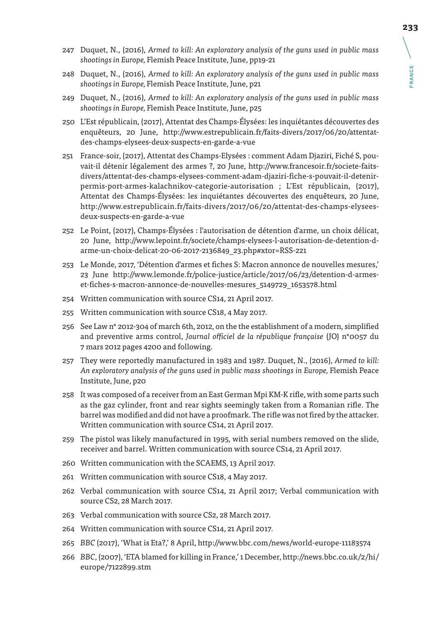- 247 Duquet, N., (2016), *Armed to kill: An exploratory analysis of the guns used in public mass shootings in Europe,* Flemish Peace Institute, June, pp19-21
- 248 Duquet, N., (2016), *Armed to kill: An exploratory analysis of the guns used in public mass shootings in Europe,* Flemish Peace Institute, June, p21
- 249 Duquet, N., (2016), *Armed to kill: An exploratory analysis of the guns used in public mass shootings in Europe,* Flemish Peace Institute, June, p25
- 250 L'Est républicain, (2017), Attentat des Champs-Élysées: les inquiétantes découvertes des enquêteurs, 20 June, http://www.estrepublicain.fr/faits-divers/2017/06/20/attentatdes-champs-elysees-deux-suspects-en-garde-a-vue
- 251 France-soir, (2017), Attentat des Champs-Elysées : comment Adam Djaziri, Fiché S, pouvait-il détenir légalement des armes ?, 20 June, http://www.francesoir.fr/societe-faitsdivers/attentat-des-champs-elysees-comment-adam-djaziri-fiche-s-pouvait-il-detenirpermis-port-armes-kalachnikov-categorie-autorisation ; L'Est républicain, (2017), Attentat des Champs-Élysées: les inquiétantes découvertes des enquêteurs, 20 June, http://www.estrepublicain.fr/faits-divers/2017/06/20/attentat-des-champs-elyseesdeux-suspects-en-garde-a-vue
- 252 Le Point, (2017), Champs-Élysées : l'autorisation de détention d'arme, un choix délicat, 20 June, http://www.lepoint.fr/societe/champs-elysees-l-autorisation-de-detention-darme-un-choix-delicat-20-06-2017-2136849\_23.php#xtor=RSS-221
- 253 Le Monde, 2017, 'Détention d'armes et fiches S: Macron annonce de nouvelles mesures,' 23 June http://www.lemonde.fr/police-justice/article/2017/06/23/detention-d-armeset-fiches-s-macron-annonce-de-nouvelles-mesures\_5149729\_1653578.html
- 254 Written communication with source CS14, 21 April 2017.
- 255 Written communication with source CS18, 4 May 2017.
- 256 See Law n° 2012-304 of march 6th, 2012, on the the establishment of a modern, simplified and preventive arms control, *Journal officiel de la république française* (JO) n°0057 du 7 mars 2012 pages 4200 and following.
- 257 They were reportedly manufactured in 1983 and 1987. Duquet, N., (2016), *Armed to kill: An exploratory analysis of the guns used in public mass shootings in Europe,* Flemish Peace Institute, June, p20
- 258 It was composed of a receiver from an East German Mpi KM-K rifle, with some parts such as the gaz cylinder, front and rear sights seemingly taken from a Romanian rifle. The barrel was modified and did not have a proofmark. The rifle was not fired by the attacker. Written communication with source CS14, 21 April 2017.
- 259 The pistol was likely manufactured in 1995, with serial numbers removed on the slide, receiver and barrel. Written communication with source CS14, 21 April 2017.
- 260 Written communication with the SCAEMS, 13 April 2017.
- 261 Written communication with source CS18, 4 May 2017.
- 262 Verbal communication with source CS14, 21 April 2017; Verbal communication with source CS2, 28 March 2017.
- 263 Verbal communication with source CS2, 28 March 2017.
- 264 Written communication with source CS14, 21 April 2017.
- 265 *BBC* (2017), 'What is Eta?,' 8 April, http://www.bbc.com/news/world-europe-11183574
- 266 *BBC*, (2007), 'ETA blamed for killing in France,' 1 December, http://news.bbc.co.uk/2/hi/ europe/7122899.stm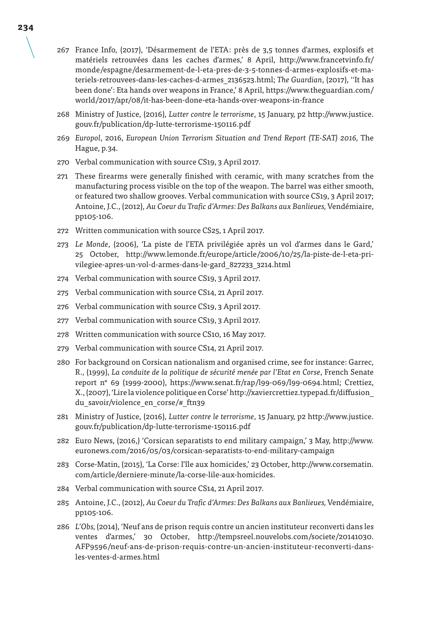- 267 France Info, (2017), 'Désarmement de l'ETA: près de 3,5 tonnes d'armes, explosifs et matériels retrouvées dans les caches d'armes,' 8 April, http://www.francetvinfo.fr/ monde/espagne/desarmement-de-l-eta-pres-de-3-5-tonnes-d-armes-explosifs-et-materiels-retrouvees-dans-les-caches-d-armes\_2136523.html; *The Guardian*, (2017), ''It has been done': Eta hands over weapons in France,' 8 April, https://www.theguardian.com/ world/2017/apr/08/it-has-been-done-eta-hands-over-weapons-in-france
- 268 Ministry of Justice, (2016), *Lutter contre le terrorisme*, 15 January, p2 http://www.justice. gouv.fr/publication/dp-lutte-terrorisme-150116.pdf
- 269 *Europol*, 2016, *European Union Terrorism Situation and Trend Report (TE-SAT) 2016,* The Hague, p.34.
- 270 Verbal communication with source CS19, 3 April 2017.
- 271 These firearms were generally finished with ceramic, with many scratches from the manufacturing process visible on the top of the weapon. The barrel was either smooth, or featured two shallow grooves. Verbal communication with source CS19, 3 April 2017; Antoine, J.C., (2012), *Au Coeur du Trafic d'Armes: Des Balkans aux Banlieues,* Vendémiaire, pp105-106.
- 272 Written communication with source CS25, 1 April 2017.
- 273 *Le Monde*, (2006), 'La piste de l'ETA privilégiée après un vol d'armes dans le Gard,' 25 October, http://www.lemonde.fr/europe/article/2006/10/25/la-piste-de-l-eta-privilegiee-apres-un-vol-d-armes-dans-le-gard\_827233\_3214.html
- 274 Verbal communication with source CS19, 3 April 2017.
- 275 Verbal communication with source CS14, 21 April 2017.
- 276 Verbal communication with source CS19, 3 April 2017.
- 277 Verbal communication with source CS19, 3 April 2017.
- 278 Written communication with source CS10, 16 May 2017.
- 279 Verbal communication with source CS14, 21 April 2017.
- 280 For background on Corsican nationalism and organised crime, see for instance: Garrec, R., (1999), *La conduite de la politique de sécurité menée par l'Etat en Corse*, French Senate report n° 69 (1999-2000), https://www.senat.fr/rap/l99-069/l99-0694.html; Crettiez, X., (2007), 'Lire la violence politique en Corse' http://xaviercrettiez.typepad.fr/diffusion\_ du\_savoir/violence\_en\_corse/#\_ftn39
- 281 Ministry of Justice, (2016), *Lutter contre le terrorisme*, 15 January, p2 http://www.justice. gouv.fr/publication/dp-lutte-terrorisme-150116.pdf
- 282 Euro News, (2016,) 'Corsican separatists to end military campaign,' 3 May, http://www. euronews.com/2016/05/03/corsican-separatists-to-end-military-campaign
- 283 Corse-Matin, (2015), 'La Corse: l'île aux homicides,' 23 October, http://www.corsematin. com/article/derniere-minute/la-corse-lile-aux-homicides.
- 284 Verbal communication with source CS14, 21 April 2017.
- 285 Antoine, J.C., (2012), *Au Coeur du Trafic d'Armes: Des Balkans aux Banlieues,* Vendémiaire, pp105-106.
- 286 *L'Obs,* (2014), 'Neuf ans de prison requis contre un ancien instituteur reconverti dans les ventes d'armes,' 30 October, http://tempsreel.nouvelobs.com/societe/20141030. AFP9596/neuf-ans-de-prison-requis-contre-un-ancien-instituteur-reconverti-dansles-ventes-d-armes.html